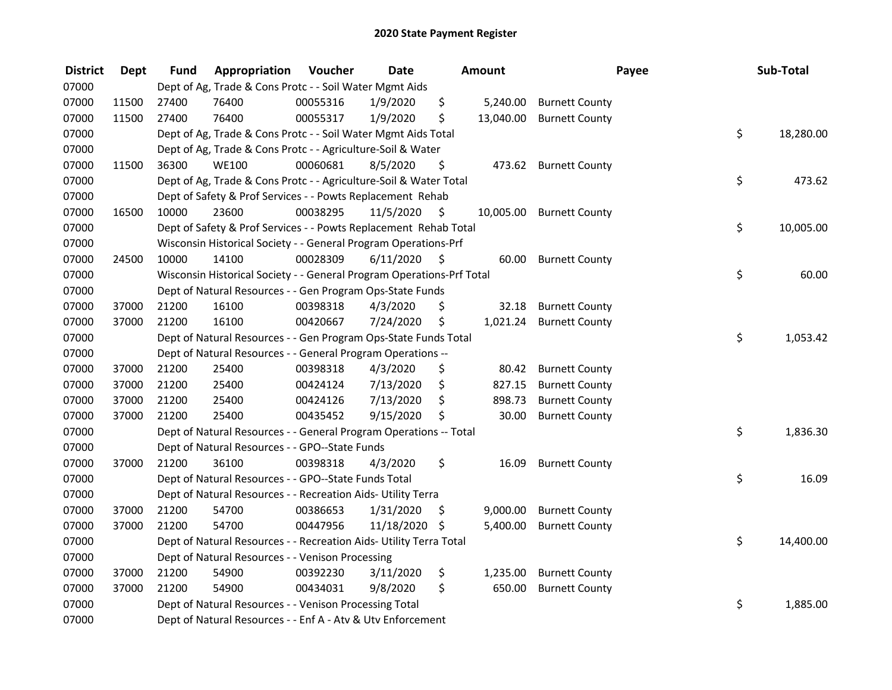| <b>District</b> | <b>Dept</b> | <b>Fund</b> | Appropriation                                                         | Voucher  | <b>Date</b>   |    | Amount    | Payee                    | Sub-Total       |
|-----------------|-------------|-------------|-----------------------------------------------------------------------|----------|---------------|----|-----------|--------------------------|-----------------|
| 07000           |             |             | Dept of Ag, Trade & Cons Protc - - Soil Water Mgmt Aids               |          |               |    |           |                          |                 |
| 07000           | 11500       | 27400       | 76400                                                                 | 00055316 | 1/9/2020      | \$ | 5,240.00  | <b>Burnett County</b>    |                 |
| 07000           | 11500       | 27400       | 76400                                                                 | 00055317 | 1/9/2020      | \$ | 13,040.00 | <b>Burnett County</b>    |                 |
| 07000           |             |             | Dept of Ag, Trade & Cons Protc - - Soil Water Mgmt Aids Total         |          |               |    |           |                          | \$<br>18,280.00 |
| 07000           |             |             | Dept of Ag, Trade & Cons Protc - - Agriculture-Soil & Water           |          |               |    |           |                          |                 |
| 07000           | 11500       | 36300       | <b>WE100</b>                                                          | 00060681 | 8/5/2020      | \$ |           | 473.62 Burnett County    |                 |
| 07000           |             |             | Dept of Ag, Trade & Cons Protc - - Agriculture-Soil & Water Total     |          |               |    |           |                          | \$<br>473.62    |
| 07000           |             |             | Dept of Safety & Prof Services - - Powts Replacement Rehab            |          |               |    |           |                          |                 |
| 07000           | 16500       | 10000       | 23600                                                                 | 00038295 | 11/5/2020     | \$ |           | 10,005.00 Burnett County |                 |
| 07000           |             |             | Dept of Safety & Prof Services - - Powts Replacement Rehab Total      |          |               |    |           |                          | \$<br>10,005.00 |
| 07000           |             |             | Wisconsin Historical Society - - General Program Operations-Prf       |          |               |    |           |                          |                 |
| 07000           | 24500       | 10000       | 14100                                                                 | 00028309 | 6/11/2020     | -S | 60.00     | <b>Burnett County</b>    |                 |
| 07000           |             |             | Wisconsin Historical Society - - General Program Operations-Prf Total |          |               |    |           |                          | \$<br>60.00     |
| 07000           |             |             | Dept of Natural Resources - - Gen Program Ops-State Funds             |          |               |    |           |                          |                 |
| 07000           | 37000       | 21200       | 16100                                                                 | 00398318 | 4/3/2020      | \$ | 32.18     | <b>Burnett County</b>    |                 |
| 07000           | 37000       | 21200       | 16100                                                                 | 00420667 | 7/24/2020     | \$ | 1,021.24  | <b>Burnett County</b>    |                 |
| 07000           |             |             | Dept of Natural Resources - - Gen Program Ops-State Funds Total       |          |               |    |           |                          | \$<br>1,053.42  |
| 07000           |             |             | Dept of Natural Resources - - General Program Operations --           |          |               |    |           |                          |                 |
| 07000           | 37000       | 21200       | 25400                                                                 | 00398318 | 4/3/2020      | \$ | 80.42     | <b>Burnett County</b>    |                 |
| 07000           | 37000       | 21200       | 25400                                                                 | 00424124 | 7/13/2020     | \$ | 827.15    | <b>Burnett County</b>    |                 |
| 07000           | 37000       | 21200       | 25400                                                                 | 00424126 | 7/13/2020     | \$ | 898.73    | <b>Burnett County</b>    |                 |
| 07000           | 37000       | 21200       | 25400                                                                 | 00435452 | 9/15/2020     | \$ | 30.00     | <b>Burnett County</b>    |                 |
| 07000           |             |             | Dept of Natural Resources - - General Program Operations -- Total     |          |               |    |           |                          | \$<br>1,836.30  |
| 07000           |             |             | Dept of Natural Resources - - GPO--State Funds                        |          |               |    |           |                          |                 |
| 07000           | 37000       | 21200       | 36100                                                                 | 00398318 | 4/3/2020      | \$ | 16.09     | <b>Burnett County</b>    |                 |
| 07000           |             |             | Dept of Natural Resources - - GPO--State Funds Total                  |          |               |    |           |                          | \$<br>16.09     |
| 07000           |             |             | Dept of Natural Resources - - Recreation Aids- Utility Terra          |          |               |    |           |                          |                 |
| 07000           | 37000       | 21200       | 54700                                                                 | 00386653 | 1/31/2020     | \$ | 9,000.00  | <b>Burnett County</b>    |                 |
| 07000           | 37000       | 21200       | 54700                                                                 | 00447956 | 11/18/2020 \$ |    | 5,400.00  | <b>Burnett County</b>    |                 |
| 07000           |             |             | Dept of Natural Resources - - Recreation Aids- Utility Terra Total    |          |               |    |           |                          | \$<br>14,400.00 |
| 07000           |             |             | Dept of Natural Resources - - Venison Processing                      |          |               |    |           |                          |                 |
| 07000           | 37000       | 21200       | 54900                                                                 | 00392230 | 3/11/2020     | \$ | 1,235.00  | <b>Burnett County</b>    |                 |
| 07000           | 37000       | 21200       | 54900                                                                 | 00434031 | 9/8/2020      | \$ | 650.00    | <b>Burnett County</b>    |                 |
| 07000           |             |             | Dept of Natural Resources - - Venison Processing Total                |          |               |    |           |                          | \$<br>1,885.00  |
| 07000           |             |             | Dept of Natural Resources - - Enf A - Atv & Utv Enforcement           |          |               |    |           |                          |                 |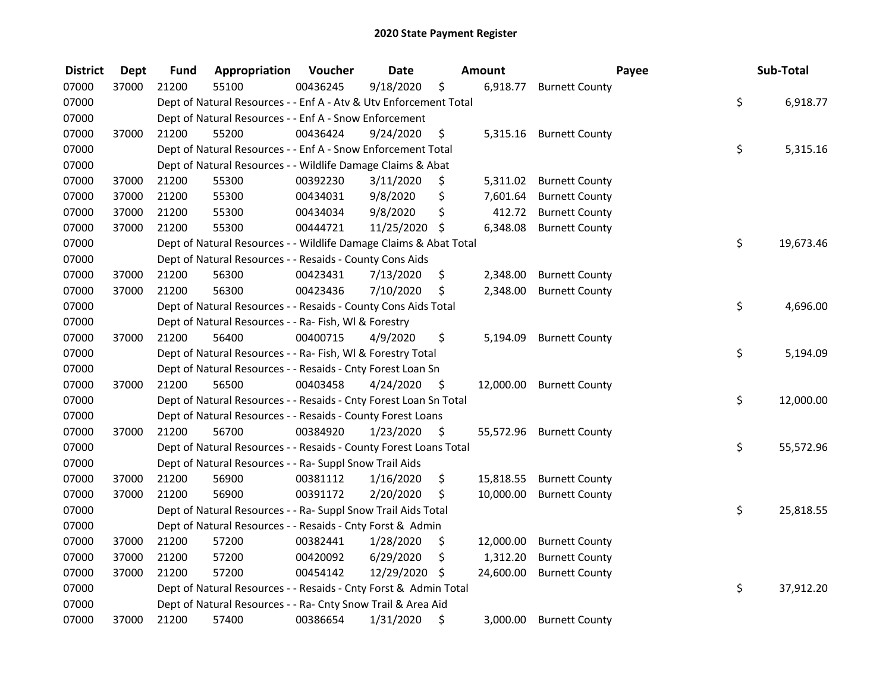| <b>District</b> | <b>Dept</b> | <b>Fund</b> | Appropriation                                                     | Voucher  | <b>Date</b>   |      | Amount    | Payee                    | Sub-Total       |
|-----------------|-------------|-------------|-------------------------------------------------------------------|----------|---------------|------|-----------|--------------------------|-----------------|
| 07000           | 37000       | 21200       | 55100                                                             | 00436245 | 9/18/2020     | \$   | 6,918.77  | <b>Burnett County</b>    |                 |
| 07000           |             |             | Dept of Natural Resources - - Enf A - Atv & Utv Enforcement Total |          |               |      |           |                          | \$<br>6,918.77  |
| 07000           |             |             | Dept of Natural Resources - - Enf A - Snow Enforcement            |          |               |      |           |                          |                 |
| 07000           | 37000       | 21200       | 55200                                                             | 00436424 | 9/24/2020     | \$   |           | 5,315.16 Burnett County  |                 |
| 07000           |             |             | Dept of Natural Resources - - Enf A - Snow Enforcement Total      |          |               |      |           |                          | \$<br>5,315.16  |
| 07000           |             |             | Dept of Natural Resources - - Wildlife Damage Claims & Abat       |          |               |      |           |                          |                 |
| 07000           | 37000       | 21200       | 55300                                                             | 00392230 | 3/11/2020     | \$   |           | 5,311.02 Burnett County  |                 |
| 07000           | 37000       | 21200       | 55300                                                             | 00434031 | 9/8/2020      | \$   | 7,601.64  | <b>Burnett County</b>    |                 |
| 07000           | 37000       | 21200       | 55300                                                             | 00434034 | 9/8/2020      | \$   |           | 412.72 Burnett County    |                 |
| 07000           | 37000       | 21200       | 55300                                                             | 00444721 | 11/25/2020    | \$   | 6,348.08  | <b>Burnett County</b>    |                 |
| 07000           |             |             | Dept of Natural Resources - - Wildlife Damage Claims & Abat Total |          |               |      |           |                          | \$<br>19,673.46 |
| 07000           |             |             | Dept of Natural Resources - - Resaids - County Cons Aids          |          |               |      |           |                          |                 |
| 07000           | 37000       | 21200       | 56300                                                             | 00423431 | 7/13/2020     | \$   | 2,348.00  | <b>Burnett County</b>    |                 |
| 07000           | 37000       | 21200       | 56300                                                             | 00423436 | 7/10/2020     | \$   | 2,348.00  | <b>Burnett County</b>    |                 |
| 07000           |             |             | Dept of Natural Resources - - Resaids - County Cons Aids Total    |          |               |      |           |                          | \$<br>4,696.00  |
| 07000           |             |             | Dept of Natural Resources - - Ra- Fish, WI & Forestry             |          |               |      |           |                          |                 |
| 07000           | 37000       | 21200       | 56400                                                             | 00400715 | 4/9/2020      | \$   | 5,194.09  | <b>Burnett County</b>    |                 |
| 07000           |             |             | Dept of Natural Resources - - Ra- Fish, WI & Forestry Total       |          |               |      |           |                          | \$<br>5,194.09  |
| 07000           |             |             | Dept of Natural Resources - - Resaids - Cnty Forest Loan Sn       |          |               |      |           |                          |                 |
| 07000           | 37000       | 21200       | 56500                                                             | 00403458 | 4/24/2020     | - \$ |           | 12,000.00 Burnett County |                 |
| 07000           |             |             | Dept of Natural Resources - - Resaids - Cnty Forest Loan Sn Total |          |               |      |           |                          | \$<br>12,000.00 |
| 07000           |             |             | Dept of Natural Resources - - Resaids - County Forest Loans       |          |               |      |           |                          |                 |
| 07000           | 37000       | 21200       | 56700                                                             | 00384920 | 1/23/2020     | - \$ |           | 55,572.96 Burnett County |                 |
| 07000           |             |             | Dept of Natural Resources - - Resaids - County Forest Loans Total |          |               |      |           |                          | \$<br>55,572.96 |
| 07000           |             |             | Dept of Natural Resources - - Ra- Suppl Snow Trail Aids           |          |               |      |           |                          |                 |
| 07000           | 37000       | 21200       | 56900                                                             | 00381112 | 1/16/2020     | \$   | 15,818.55 | <b>Burnett County</b>    |                 |
| 07000           | 37000       | 21200       | 56900                                                             | 00391172 | 2/20/2020     | \$   | 10,000.00 | <b>Burnett County</b>    |                 |
| 07000           |             |             | Dept of Natural Resources - - Ra- Suppl Snow Trail Aids Total     |          |               |      |           |                          | \$<br>25,818.55 |
| 07000           |             |             | Dept of Natural Resources - - Resaids - Cnty Forst & Admin        |          |               |      |           |                          |                 |
| 07000           | 37000       | 21200       | 57200                                                             | 00382441 | 1/28/2020     | \$   | 12,000.00 | <b>Burnett County</b>    |                 |
| 07000           | 37000       | 21200       | 57200                                                             | 00420092 | 6/29/2020     | \$   | 1,312.20  | <b>Burnett County</b>    |                 |
| 07000           | 37000       | 21200       | 57200                                                             | 00454142 | 12/29/2020 \$ |      | 24,600.00 | <b>Burnett County</b>    |                 |
| 07000           |             |             | Dept of Natural Resources - - Resaids - Cnty Forst & Admin Total  |          |               |      |           |                          | \$<br>37,912.20 |
| 07000           |             |             | Dept of Natural Resources - - Ra- Cnty Snow Trail & Area Aid      |          |               |      |           |                          |                 |
| 07000           | 37000       | 21200       | 57400                                                             | 00386654 | 1/31/2020     | \$   | 3,000.00  | <b>Burnett County</b>    |                 |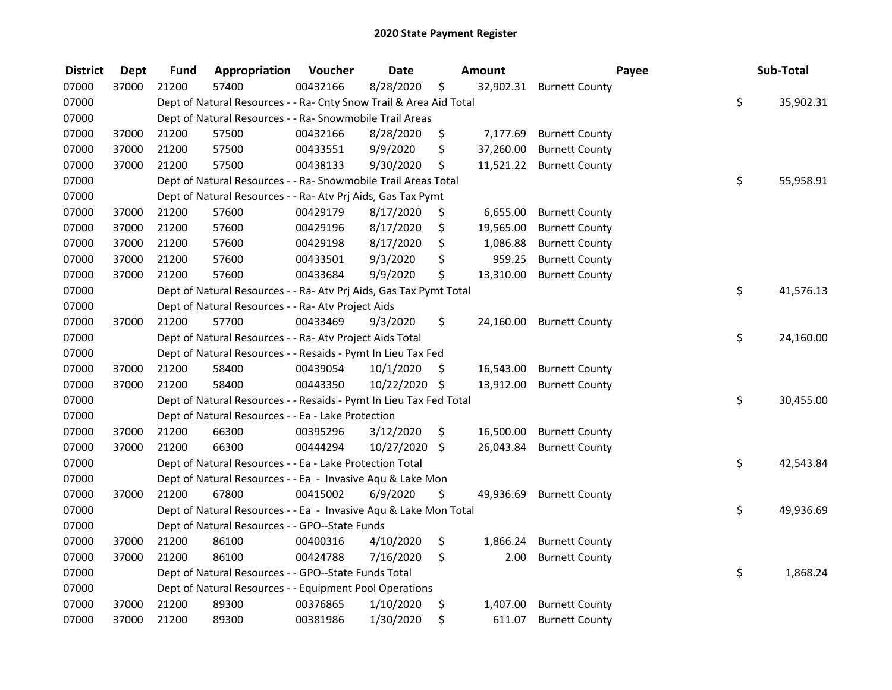| <b>District</b> | <b>Dept</b> | <b>Fund</b> | Appropriation                                                      | Voucher  | <b>Date</b> |      | Amount    | Payee                 | Sub-Total       |
|-----------------|-------------|-------------|--------------------------------------------------------------------|----------|-------------|------|-----------|-----------------------|-----------------|
| 07000           | 37000       | 21200       | 57400                                                              | 00432166 | 8/28/2020   | \$   | 32,902.31 | <b>Burnett County</b> |                 |
| 07000           |             |             | Dept of Natural Resources - - Ra- Cnty Snow Trail & Area Aid Total |          |             |      |           |                       | \$<br>35,902.31 |
| 07000           |             |             | Dept of Natural Resources - - Ra- Snowmobile Trail Areas           |          |             |      |           |                       |                 |
| 07000           | 37000       | 21200       | 57500                                                              | 00432166 | 8/28/2020   | \$   | 7,177.69  | <b>Burnett County</b> |                 |
| 07000           | 37000       | 21200       | 57500                                                              | 00433551 | 9/9/2020    | \$   | 37,260.00 | <b>Burnett County</b> |                 |
| 07000           | 37000       | 21200       | 57500                                                              | 00438133 | 9/30/2020   | \$   | 11,521.22 | <b>Burnett County</b> |                 |
| 07000           |             |             | Dept of Natural Resources - - Ra- Snowmobile Trail Areas Total     |          |             |      |           |                       | \$<br>55,958.91 |
| 07000           |             |             | Dept of Natural Resources - - Ra- Atv Prj Aids, Gas Tax Pymt       |          |             |      |           |                       |                 |
| 07000           | 37000       | 21200       | 57600                                                              | 00429179 | 8/17/2020   | \$   | 6,655.00  | <b>Burnett County</b> |                 |
| 07000           | 37000       | 21200       | 57600                                                              | 00429196 | 8/17/2020   | \$   | 19,565.00 | <b>Burnett County</b> |                 |
| 07000           | 37000       | 21200       | 57600                                                              | 00429198 | 8/17/2020   | \$   | 1,086.88  | <b>Burnett County</b> |                 |
| 07000           | 37000       | 21200       | 57600                                                              | 00433501 | 9/3/2020    | \$   | 959.25    | <b>Burnett County</b> |                 |
| 07000           | 37000       | 21200       | 57600                                                              | 00433684 | 9/9/2020    | \$   | 13,310.00 | <b>Burnett County</b> |                 |
| 07000           |             |             | Dept of Natural Resources - - Ra- Atv Prj Aids, Gas Tax Pymt Total |          |             |      |           |                       | \$<br>41,576.13 |
| 07000           |             |             | Dept of Natural Resources - - Ra- Atv Project Aids                 |          |             |      |           |                       |                 |
| 07000           | 37000       | 21200       | 57700                                                              | 00433469 | 9/3/2020    | \$   | 24,160.00 | <b>Burnett County</b> |                 |
| 07000           |             |             | Dept of Natural Resources - - Ra- Atv Project Aids Total           |          |             |      |           |                       | \$<br>24,160.00 |
| 07000           |             |             | Dept of Natural Resources - - Resaids - Pymt In Lieu Tax Fed       |          |             |      |           |                       |                 |
| 07000           | 37000       | 21200       | 58400                                                              | 00439054 | 10/1/2020   | \$   | 16,543.00 | <b>Burnett County</b> |                 |
| 07000           | 37000       | 21200       | 58400                                                              | 00443350 | 10/22/2020  | - \$ | 13,912.00 | <b>Burnett County</b> |                 |
| 07000           |             |             | Dept of Natural Resources - - Resaids - Pymt In Lieu Tax Fed Total |          |             |      |           |                       | \$<br>30,455.00 |
| 07000           |             |             | Dept of Natural Resources - - Ea - Lake Protection                 |          |             |      |           |                       |                 |
| 07000           | 37000       | 21200       | 66300                                                              | 00395296 | 3/12/2020   | \$   | 16,500.00 | <b>Burnett County</b> |                 |
| 07000           | 37000       | 21200       | 66300                                                              | 00444294 | 10/27/2020  | \$   | 26,043.84 | <b>Burnett County</b> |                 |
| 07000           |             |             | Dept of Natural Resources - - Ea - Lake Protection Total           |          |             |      |           |                       | \$<br>42,543.84 |
| 07000           |             |             | Dept of Natural Resources - - Ea - Invasive Aqu & Lake Mon         |          |             |      |           |                       |                 |
| 07000           | 37000       | 21200       | 67800                                                              | 00415002 | 6/9/2020    | \$   | 49,936.69 | <b>Burnett County</b> |                 |
| 07000           |             |             | Dept of Natural Resources - - Ea - Invasive Aqu & Lake Mon Total   |          |             |      |           |                       | \$<br>49,936.69 |
| 07000           |             |             | Dept of Natural Resources - - GPO--State Funds                     |          |             |      |           |                       |                 |
| 07000           | 37000       | 21200       | 86100                                                              | 00400316 | 4/10/2020   | \$   | 1,866.24  | <b>Burnett County</b> |                 |
| 07000           | 37000       | 21200       | 86100                                                              | 00424788 | 7/16/2020   | \$   | 2.00      | <b>Burnett County</b> |                 |
| 07000           |             |             | Dept of Natural Resources - - GPO--State Funds Total               |          |             |      |           |                       | \$<br>1,868.24  |
| 07000           |             |             | Dept of Natural Resources - - Equipment Pool Operations            |          |             |      |           |                       |                 |
| 07000           | 37000       | 21200       | 89300                                                              | 00376865 | 1/10/2020   | \$   | 1,407.00  | <b>Burnett County</b> |                 |
| 07000           | 37000       | 21200       | 89300                                                              | 00381986 | 1/30/2020   | \$   | 611.07    | <b>Burnett County</b> |                 |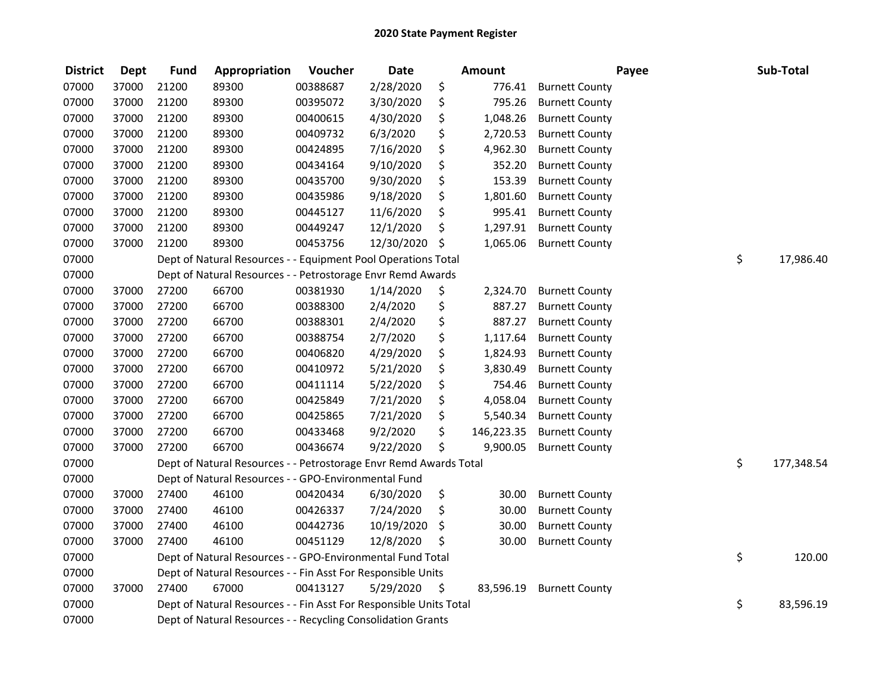| <b>District</b> | <b>Dept</b> | <b>Fund</b> | Appropriation                                                      | Voucher  | <b>Date</b> | <b>Amount</b>    |                       | Payee | Sub-Total        |
|-----------------|-------------|-------------|--------------------------------------------------------------------|----------|-------------|------------------|-----------------------|-------|------------------|
| 07000           | 37000       | 21200       | 89300                                                              | 00388687 | 2/28/2020   | \$<br>776.41     | <b>Burnett County</b> |       |                  |
| 07000           | 37000       | 21200       | 89300                                                              | 00395072 | 3/30/2020   | \$<br>795.26     | <b>Burnett County</b> |       |                  |
| 07000           | 37000       | 21200       | 89300                                                              | 00400615 | 4/30/2020   | \$<br>1,048.26   | <b>Burnett County</b> |       |                  |
| 07000           | 37000       | 21200       | 89300                                                              | 00409732 | 6/3/2020    | \$<br>2,720.53   | <b>Burnett County</b> |       |                  |
| 07000           | 37000       | 21200       | 89300                                                              | 00424895 | 7/16/2020   | \$<br>4,962.30   | <b>Burnett County</b> |       |                  |
| 07000           | 37000       | 21200       | 89300                                                              | 00434164 | 9/10/2020   | \$<br>352.20     | <b>Burnett County</b> |       |                  |
| 07000           | 37000       | 21200       | 89300                                                              | 00435700 | 9/30/2020   | \$<br>153.39     | <b>Burnett County</b> |       |                  |
| 07000           | 37000       | 21200       | 89300                                                              | 00435986 | 9/18/2020   | \$<br>1,801.60   | <b>Burnett County</b> |       |                  |
| 07000           | 37000       | 21200       | 89300                                                              | 00445127 | 11/6/2020   | \$<br>995.41     | <b>Burnett County</b> |       |                  |
| 07000           | 37000       | 21200       | 89300                                                              | 00449247 | 12/1/2020   | \$<br>1,297.91   | <b>Burnett County</b> |       |                  |
| 07000           | 37000       | 21200       | 89300                                                              | 00453756 | 12/30/2020  | \$<br>1,065.06   | <b>Burnett County</b> |       |                  |
| 07000           |             |             | Dept of Natural Resources - - Equipment Pool Operations Total      |          |             |                  |                       |       | \$<br>17,986.40  |
| 07000           |             |             | Dept of Natural Resources - - Petrostorage Envr Remd Awards        |          |             |                  |                       |       |                  |
| 07000           | 37000       | 27200       | 66700                                                              | 00381930 | 1/14/2020   | \$<br>2,324.70   | <b>Burnett County</b> |       |                  |
| 07000           | 37000       | 27200       | 66700                                                              | 00388300 | 2/4/2020    | \$<br>887.27     | <b>Burnett County</b> |       |                  |
| 07000           | 37000       | 27200       | 66700                                                              | 00388301 | 2/4/2020    | \$<br>887.27     | <b>Burnett County</b> |       |                  |
| 07000           | 37000       | 27200       | 66700                                                              | 00388754 | 2/7/2020    | \$<br>1,117.64   | <b>Burnett County</b> |       |                  |
| 07000           | 37000       | 27200       | 66700                                                              | 00406820 | 4/29/2020   | \$<br>1,824.93   | <b>Burnett County</b> |       |                  |
| 07000           | 37000       | 27200       | 66700                                                              | 00410972 | 5/21/2020   | \$<br>3,830.49   | <b>Burnett County</b> |       |                  |
| 07000           | 37000       | 27200       | 66700                                                              | 00411114 | 5/22/2020   | \$<br>754.46     | <b>Burnett County</b> |       |                  |
| 07000           | 37000       | 27200       | 66700                                                              | 00425849 | 7/21/2020   | \$<br>4,058.04   | <b>Burnett County</b> |       |                  |
| 07000           | 37000       | 27200       | 66700                                                              | 00425865 | 7/21/2020   | \$<br>5,540.34   | <b>Burnett County</b> |       |                  |
| 07000           | 37000       | 27200       | 66700                                                              | 00433468 | 9/2/2020    | \$<br>146,223.35 | <b>Burnett County</b> |       |                  |
| 07000           | 37000       | 27200       | 66700                                                              | 00436674 | 9/22/2020   | \$<br>9,900.05   | <b>Burnett County</b> |       |                  |
| 07000           |             |             | Dept of Natural Resources - - Petrostorage Envr Remd Awards Total  |          |             |                  |                       |       | \$<br>177,348.54 |
| 07000           |             |             | Dept of Natural Resources - - GPO-Environmental Fund               |          |             |                  |                       |       |                  |
| 07000           | 37000       | 27400       | 46100                                                              | 00420434 | 6/30/2020   | \$<br>30.00      | <b>Burnett County</b> |       |                  |
| 07000           | 37000       | 27400       | 46100                                                              | 00426337 | 7/24/2020   | \$<br>30.00      | <b>Burnett County</b> |       |                  |
| 07000           | 37000       | 27400       | 46100                                                              | 00442736 | 10/19/2020  | \$<br>30.00      | <b>Burnett County</b> |       |                  |
| 07000           | 37000       | 27400       | 46100                                                              | 00451129 | 12/8/2020   | \$<br>30.00      | <b>Burnett County</b> |       |                  |
| 07000           |             |             | Dept of Natural Resources - - GPO-Environmental Fund Total         |          |             |                  |                       |       | \$<br>120.00     |
| 07000           |             |             | Dept of Natural Resources - - Fin Asst For Responsible Units       |          |             |                  |                       |       |                  |
| 07000           | 37000       | 27400       | 67000                                                              | 00413127 | 5/29/2020   | \$<br>83,596.19  | <b>Burnett County</b> |       |                  |
| 07000           |             |             | Dept of Natural Resources - - Fin Asst For Responsible Units Total |          |             |                  |                       |       | \$<br>83,596.19  |
| 07000           |             |             | Dept of Natural Resources - - Recycling Consolidation Grants       |          |             |                  |                       |       |                  |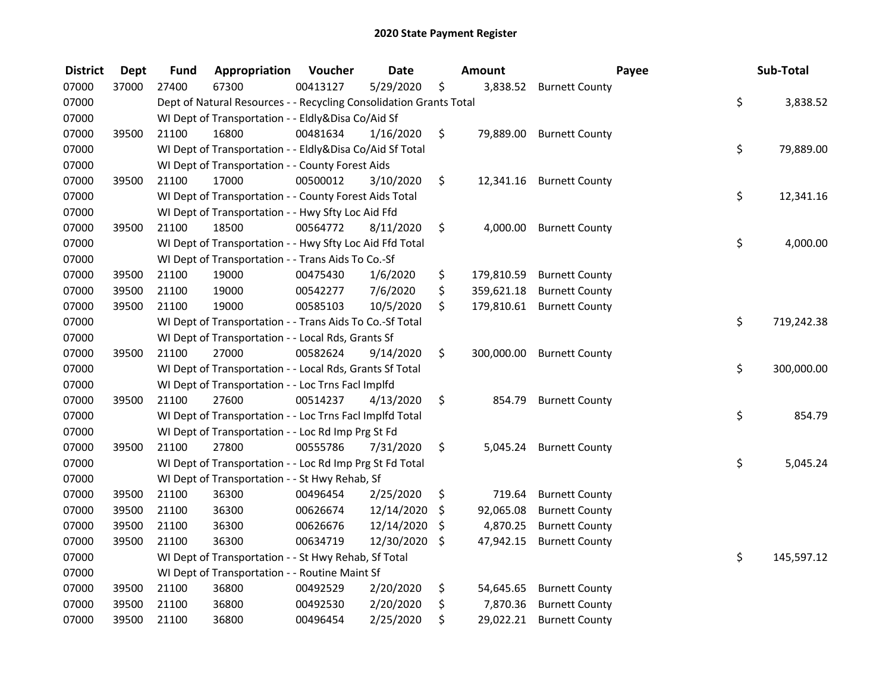| <b>District</b> | <b>Dept</b> | <b>Fund</b> | Appropriation                                                      | Voucher  | <b>Date</b> | <b>Amount</b>    | Payee                     | Sub-Total        |
|-----------------|-------------|-------------|--------------------------------------------------------------------|----------|-------------|------------------|---------------------------|------------------|
| 07000           | 37000       | 27400       | 67300                                                              | 00413127 | 5/29/2020   | \$               | 3,838.52 Burnett County   |                  |
| 07000           |             |             | Dept of Natural Resources - - Recycling Consolidation Grants Total |          |             |                  |                           | \$<br>3,838.52   |
| 07000           |             |             | WI Dept of Transportation - - Eldly&Disa Co/Aid Sf                 |          |             |                  |                           |                  |
| 07000           | 39500       | 21100       | 16800                                                              | 00481634 | 1/16/2020   | \$               | 79,889.00 Burnett County  |                  |
| 07000           |             |             | WI Dept of Transportation - - Eldly&Disa Co/Aid Sf Total           |          |             |                  |                           | \$<br>79,889.00  |
| 07000           |             |             | WI Dept of Transportation - - County Forest Aids                   |          |             |                  |                           |                  |
| 07000           | 39500       | 21100       | 17000                                                              | 00500012 | 3/10/2020   | \$               | 12,341.16 Burnett County  |                  |
| 07000           |             |             | WI Dept of Transportation - - County Forest Aids Total             |          |             |                  |                           | \$<br>12,341.16  |
| 07000           |             |             | WI Dept of Transportation - - Hwy Sfty Loc Aid Ffd                 |          |             |                  |                           |                  |
| 07000           | 39500       | 21100       | 18500                                                              | 00564772 | 8/11/2020   | \$               | 4,000.00 Burnett County   |                  |
| 07000           |             |             | WI Dept of Transportation - - Hwy Sfty Loc Aid Ffd Total           |          |             |                  |                           | \$<br>4,000.00   |
| 07000           |             |             | WI Dept of Transportation - - Trans Aids To Co.-Sf                 |          |             |                  |                           |                  |
| 07000           | 39500       | 21100       | 19000                                                              | 00475430 | 1/6/2020    | \$<br>179,810.59 | <b>Burnett County</b>     |                  |
| 07000           | 39500       | 21100       | 19000                                                              | 00542277 | 7/6/2020    | \$<br>359,621.18 | <b>Burnett County</b>     |                  |
| 07000           | 39500       | 21100       | 19000                                                              | 00585103 | 10/5/2020   | \$               | 179,810.61 Burnett County |                  |
| 07000           |             |             | WI Dept of Transportation - - Trans Aids To Co.-Sf Total           |          |             |                  |                           | \$<br>719,242.38 |
| 07000           |             |             | WI Dept of Transportation - - Local Rds, Grants Sf                 |          |             |                  |                           |                  |
| 07000           | 39500       | 21100       | 27000                                                              | 00582624 | 9/14/2020   | \$<br>300,000.00 | <b>Burnett County</b>     |                  |
| 07000           |             |             | WI Dept of Transportation - - Local Rds, Grants Sf Total           |          |             |                  |                           | \$<br>300,000.00 |
| 07000           |             |             | WI Dept of Transportation - - Loc Trns FacI Implfd                 |          |             |                  |                           |                  |
| 07000           | 39500       | 21100       | 27600                                                              | 00514237 | 4/13/2020   | \$               | 854.79 Burnett County     |                  |
| 07000           |             |             | WI Dept of Transportation - - Loc Trns Facl Implfd Total           |          |             |                  |                           | \$<br>854.79     |
| 07000           |             |             | WI Dept of Transportation - - Loc Rd Imp Prg St Fd                 |          |             |                  |                           |                  |
| 07000           | 39500       | 21100       | 27800                                                              | 00555786 | 7/31/2020   | \$               | 5,045.24 Burnett County   |                  |
| 07000           |             |             | WI Dept of Transportation - - Loc Rd Imp Prg St Fd Total           |          |             |                  |                           | \$<br>5,045.24   |
| 07000           |             |             | WI Dept of Transportation - - St Hwy Rehab, Sf                     |          |             |                  |                           |                  |
| 07000           | 39500       | 21100       | 36300                                                              | 00496454 | 2/25/2020   | \$<br>719.64     | <b>Burnett County</b>     |                  |
| 07000           | 39500       | 21100       | 36300                                                              | 00626674 | 12/14/2020  | \$<br>92,065.08  | <b>Burnett County</b>     |                  |
| 07000           | 39500       | 21100       | 36300                                                              | 00626676 | 12/14/2020  | \$<br>4,870.25   | <b>Burnett County</b>     |                  |
| 07000           | 39500       | 21100       | 36300                                                              | 00634719 | 12/30/2020  | \$<br>47,942.15  | <b>Burnett County</b>     |                  |
| 07000           |             |             | WI Dept of Transportation - - St Hwy Rehab, Sf Total               |          |             |                  |                           | \$<br>145,597.12 |
| 07000           |             |             | WI Dept of Transportation - - Routine Maint Sf                     |          |             |                  |                           |                  |
| 07000           | 39500       | 21100       | 36800                                                              | 00492529 | 2/20/2020   | \$<br>54,645.65  | <b>Burnett County</b>     |                  |
| 07000           | 39500       | 21100       | 36800                                                              | 00492530 | 2/20/2020   | \$<br>7,870.36   | <b>Burnett County</b>     |                  |
| 07000           | 39500       | 21100       | 36800                                                              | 00496454 | 2/25/2020   | \$               | 29,022.21 Burnett County  |                  |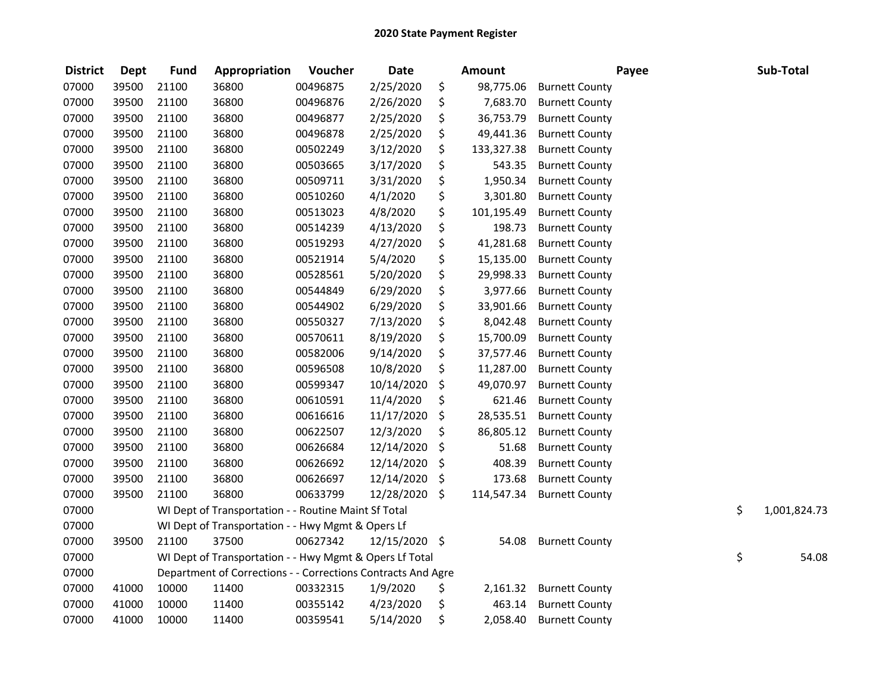| <b>District</b> | <b>Dept</b> | <b>Fund</b> | Appropriation                                                | Voucher  | <b>Date</b>   | <b>Amount</b>    |                       | Payee | Sub-Total          |
|-----------------|-------------|-------------|--------------------------------------------------------------|----------|---------------|------------------|-----------------------|-------|--------------------|
| 07000           | 39500       | 21100       | 36800                                                        | 00496875 | 2/25/2020     | \$<br>98,775.06  | <b>Burnett County</b> |       |                    |
| 07000           | 39500       | 21100       | 36800                                                        | 00496876 | 2/26/2020     | \$<br>7,683.70   | <b>Burnett County</b> |       |                    |
| 07000           | 39500       | 21100       | 36800                                                        | 00496877 | 2/25/2020     | \$<br>36,753.79  | <b>Burnett County</b> |       |                    |
| 07000           | 39500       | 21100       | 36800                                                        | 00496878 | 2/25/2020     | \$<br>49,441.36  | <b>Burnett County</b> |       |                    |
| 07000           | 39500       | 21100       | 36800                                                        | 00502249 | 3/12/2020     | \$<br>133,327.38 | <b>Burnett County</b> |       |                    |
| 07000           | 39500       | 21100       | 36800                                                        | 00503665 | 3/17/2020     | \$<br>543.35     | <b>Burnett County</b> |       |                    |
| 07000           | 39500       | 21100       | 36800                                                        | 00509711 | 3/31/2020     | \$<br>1,950.34   | <b>Burnett County</b> |       |                    |
| 07000           | 39500       | 21100       | 36800                                                        | 00510260 | 4/1/2020      | \$<br>3,301.80   | <b>Burnett County</b> |       |                    |
| 07000           | 39500       | 21100       | 36800                                                        | 00513023 | 4/8/2020      | \$<br>101,195.49 | <b>Burnett County</b> |       |                    |
| 07000           | 39500       | 21100       | 36800                                                        | 00514239 | 4/13/2020     | \$<br>198.73     | <b>Burnett County</b> |       |                    |
| 07000           | 39500       | 21100       | 36800                                                        | 00519293 | 4/27/2020     | \$<br>41,281.68  | <b>Burnett County</b> |       |                    |
| 07000           | 39500       | 21100       | 36800                                                        | 00521914 | 5/4/2020      | \$<br>15,135.00  | <b>Burnett County</b> |       |                    |
| 07000           | 39500       | 21100       | 36800                                                        | 00528561 | 5/20/2020     | \$<br>29,998.33  | <b>Burnett County</b> |       |                    |
| 07000           | 39500       | 21100       | 36800                                                        | 00544849 | 6/29/2020     | \$<br>3,977.66   | <b>Burnett County</b> |       |                    |
| 07000           | 39500       | 21100       | 36800                                                        | 00544902 | 6/29/2020     | \$<br>33,901.66  | <b>Burnett County</b> |       |                    |
| 07000           | 39500       | 21100       | 36800                                                        | 00550327 | 7/13/2020     | \$<br>8,042.48   | <b>Burnett County</b> |       |                    |
| 07000           | 39500       | 21100       | 36800                                                        | 00570611 | 8/19/2020     | \$<br>15,700.09  | <b>Burnett County</b> |       |                    |
| 07000           | 39500       | 21100       | 36800                                                        | 00582006 | 9/14/2020     | \$<br>37,577.46  | <b>Burnett County</b> |       |                    |
| 07000           | 39500       | 21100       | 36800                                                        | 00596508 | 10/8/2020     | \$<br>11,287.00  | <b>Burnett County</b> |       |                    |
| 07000           | 39500       | 21100       | 36800                                                        | 00599347 | 10/14/2020    | \$<br>49,070.97  | <b>Burnett County</b> |       |                    |
| 07000           | 39500       | 21100       | 36800                                                        | 00610591 | 11/4/2020     | \$<br>621.46     | <b>Burnett County</b> |       |                    |
| 07000           | 39500       | 21100       | 36800                                                        | 00616616 | 11/17/2020    | \$<br>28,535.51  | <b>Burnett County</b> |       |                    |
| 07000           | 39500       | 21100       | 36800                                                        | 00622507 | 12/3/2020     | \$<br>86,805.12  | <b>Burnett County</b> |       |                    |
| 07000           | 39500       | 21100       | 36800                                                        | 00626684 | 12/14/2020    | \$<br>51.68      | <b>Burnett County</b> |       |                    |
| 07000           | 39500       | 21100       | 36800                                                        | 00626692 | 12/14/2020    | \$<br>408.39     | <b>Burnett County</b> |       |                    |
| 07000           | 39500       | 21100       | 36800                                                        | 00626697 | 12/14/2020    | \$<br>173.68     | <b>Burnett County</b> |       |                    |
| 07000           | 39500       | 21100       | 36800                                                        | 00633799 | 12/28/2020    | \$<br>114,547.34 | <b>Burnett County</b> |       |                    |
| 07000           |             |             | WI Dept of Transportation - - Routine Maint Sf Total         |          |               |                  |                       |       | \$<br>1,001,824.73 |
| 07000           |             |             | WI Dept of Transportation - - Hwy Mgmt & Opers Lf            |          |               |                  |                       |       |                    |
| 07000           | 39500       | 21100       | 37500                                                        | 00627342 | 12/15/2020 \$ | 54.08            | <b>Burnett County</b> |       |                    |
| 07000           |             |             | WI Dept of Transportation - - Hwy Mgmt & Opers Lf Total      |          |               |                  |                       |       | \$<br>54.08        |
| 07000           |             |             | Department of Corrections - - Corrections Contracts And Agre |          |               |                  |                       |       |                    |
| 07000           | 41000       | 10000       | 11400                                                        | 00332315 | 1/9/2020      | \$<br>2,161.32   | <b>Burnett County</b> |       |                    |
| 07000           | 41000       | 10000       | 11400                                                        | 00355142 | 4/23/2020     | \$<br>463.14     | <b>Burnett County</b> |       |                    |
| 07000           | 41000       | 10000       | 11400                                                        | 00359541 | 5/14/2020     | \$<br>2,058.40   | <b>Burnett County</b> |       |                    |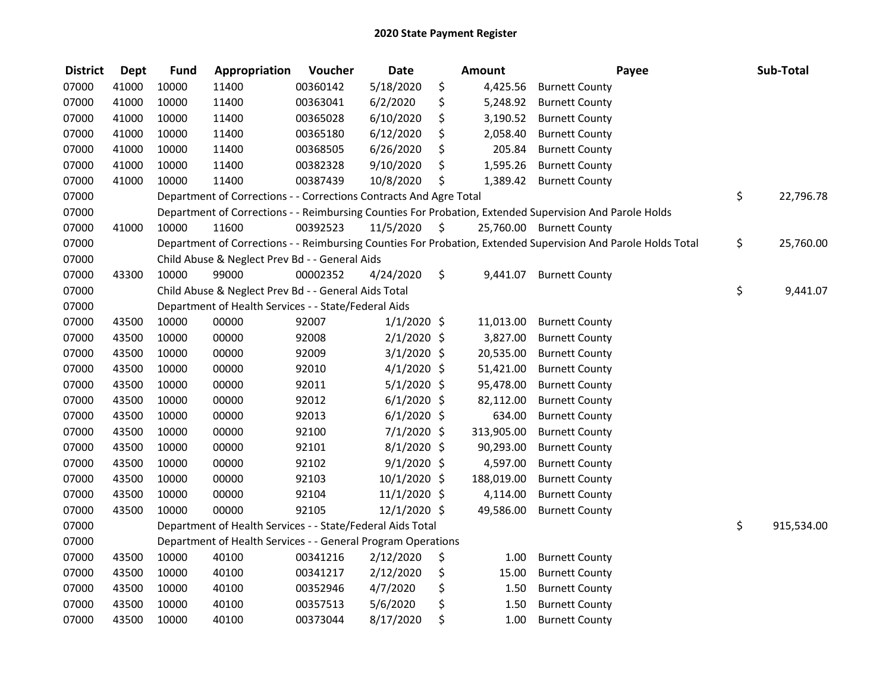| <b>District</b> | <b>Dept</b> | <b>Fund</b> | Appropriation                                                      | Voucher  | <b>Date</b>    |                     | <b>Amount</b> | Payee                                                                                                         | Sub-Total        |
|-----------------|-------------|-------------|--------------------------------------------------------------------|----------|----------------|---------------------|---------------|---------------------------------------------------------------------------------------------------------------|------------------|
| 07000           | 41000       | 10000       | 11400                                                              | 00360142 | 5/18/2020      | \$                  | 4,425.56      | <b>Burnett County</b>                                                                                         |                  |
| 07000           | 41000       | 10000       | 11400                                                              | 00363041 | 6/2/2020       | \$                  | 5,248.92      | <b>Burnett County</b>                                                                                         |                  |
| 07000           | 41000       | 10000       | 11400                                                              | 00365028 | 6/10/2020      | \$                  | 3,190.52      | <b>Burnett County</b>                                                                                         |                  |
| 07000           | 41000       | 10000       | 11400                                                              | 00365180 | 6/12/2020      | \$                  | 2,058.40      | <b>Burnett County</b>                                                                                         |                  |
| 07000           | 41000       | 10000       | 11400                                                              | 00368505 | 6/26/2020      | \$                  | 205.84        | <b>Burnett County</b>                                                                                         |                  |
| 07000           | 41000       | 10000       | 11400                                                              | 00382328 | 9/10/2020      | \$                  | 1,595.26      | <b>Burnett County</b>                                                                                         |                  |
| 07000           | 41000       | 10000       | 11400                                                              | 00387439 | 10/8/2020      | \$                  | 1,389.42      | <b>Burnett County</b>                                                                                         |                  |
| 07000           |             |             | Department of Corrections - - Corrections Contracts And Agre Total |          |                |                     |               |                                                                                                               | \$<br>22,796.78  |
| 07000           |             |             |                                                                    |          |                |                     |               | Department of Corrections - - Reimbursing Counties For Probation, Extended Supervision And Parole Holds       |                  |
| 07000           | 41000       | 10000       | 11600                                                              | 00392523 | 11/5/2020      | $\ddot{\mathsf{s}}$ |               | 25,760.00 Burnett County                                                                                      |                  |
| 07000           |             |             |                                                                    |          |                |                     |               | Department of Corrections - - Reimbursing Counties For Probation, Extended Supervision And Parole Holds Total | \$<br>25,760.00  |
| 07000           |             |             | Child Abuse & Neglect Prev Bd - - General Aids                     |          |                |                     |               |                                                                                                               |                  |
| 07000           | 43300       | 10000       | 99000                                                              | 00002352 | 4/24/2020      | \$                  | 9,441.07      | <b>Burnett County</b>                                                                                         |                  |
| 07000           |             |             | Child Abuse & Neglect Prev Bd - - General Aids Total               |          |                |                     |               |                                                                                                               | \$<br>9,441.07   |
| 07000           |             |             | Department of Health Services - - State/Federal Aids               |          |                |                     |               |                                                                                                               |                  |
| 07000           | 43500       | 10000       | 00000                                                              | 92007    | $1/1/2020$ \$  |                     | 11,013.00     | <b>Burnett County</b>                                                                                         |                  |
| 07000           | 43500       | 10000       | 00000                                                              | 92008    | 2/1/2020 \$    |                     | 3,827.00      | <b>Burnett County</b>                                                                                         |                  |
| 07000           | 43500       | 10000       | 00000                                                              | 92009    | $3/1/2020$ \$  |                     | 20,535.00     | <b>Burnett County</b>                                                                                         |                  |
| 07000           | 43500       | 10000       | 00000                                                              | 92010    | 4/1/2020 \$    |                     | 51,421.00     | <b>Burnett County</b>                                                                                         |                  |
| 07000           | 43500       | 10000       | 00000                                                              | 92011    | $5/1/2020$ \$  |                     | 95,478.00     | <b>Burnett County</b>                                                                                         |                  |
| 07000           | 43500       | 10000       | 00000                                                              | 92012    | $6/1/2020$ \$  |                     | 82,112.00     | <b>Burnett County</b>                                                                                         |                  |
| 07000           | 43500       | 10000       | 00000                                                              | 92013    | $6/1/2020$ \$  |                     | 634.00        | <b>Burnett County</b>                                                                                         |                  |
| 07000           | 43500       | 10000       | 00000                                                              | 92100    | 7/1/2020 \$    |                     | 313,905.00    | <b>Burnett County</b>                                                                                         |                  |
| 07000           | 43500       | 10000       | 00000                                                              | 92101    | $8/1/2020$ \$  |                     | 90,293.00     | <b>Burnett County</b>                                                                                         |                  |
| 07000           | 43500       | 10000       | 00000                                                              | 92102    | $9/1/2020$ \$  |                     | 4,597.00      | <b>Burnett County</b>                                                                                         |                  |
| 07000           | 43500       | 10000       | 00000                                                              | 92103    | 10/1/2020 \$   |                     | 188,019.00    | <b>Burnett County</b>                                                                                         |                  |
| 07000           | 43500       | 10000       | 00000                                                              | 92104    | $11/1/2020$ \$ |                     | 4,114.00      | <b>Burnett County</b>                                                                                         |                  |
| 07000           | 43500       | 10000       | 00000                                                              | 92105    | 12/1/2020 \$   |                     | 49,586.00     | <b>Burnett County</b>                                                                                         |                  |
| 07000           |             |             | Department of Health Services - - State/Federal Aids Total         |          |                |                     |               |                                                                                                               | \$<br>915,534.00 |
| 07000           |             |             | Department of Health Services - - General Program Operations       |          |                |                     |               |                                                                                                               |                  |
| 07000           | 43500       | 10000       | 40100                                                              | 00341216 | 2/12/2020      | \$                  | 1.00          | <b>Burnett County</b>                                                                                         |                  |
| 07000           | 43500       | 10000       | 40100                                                              | 00341217 | 2/12/2020      | \$                  | 15.00         | <b>Burnett County</b>                                                                                         |                  |
| 07000           | 43500       | 10000       | 40100                                                              | 00352946 | 4/7/2020       | \$                  | 1.50          | <b>Burnett County</b>                                                                                         |                  |
| 07000           | 43500       | 10000       | 40100                                                              | 00357513 | 5/6/2020       | \$                  | 1.50          | <b>Burnett County</b>                                                                                         |                  |
| 07000           | 43500       | 10000       | 40100                                                              | 00373044 | 8/17/2020      | \$                  | 1.00          | <b>Burnett County</b>                                                                                         |                  |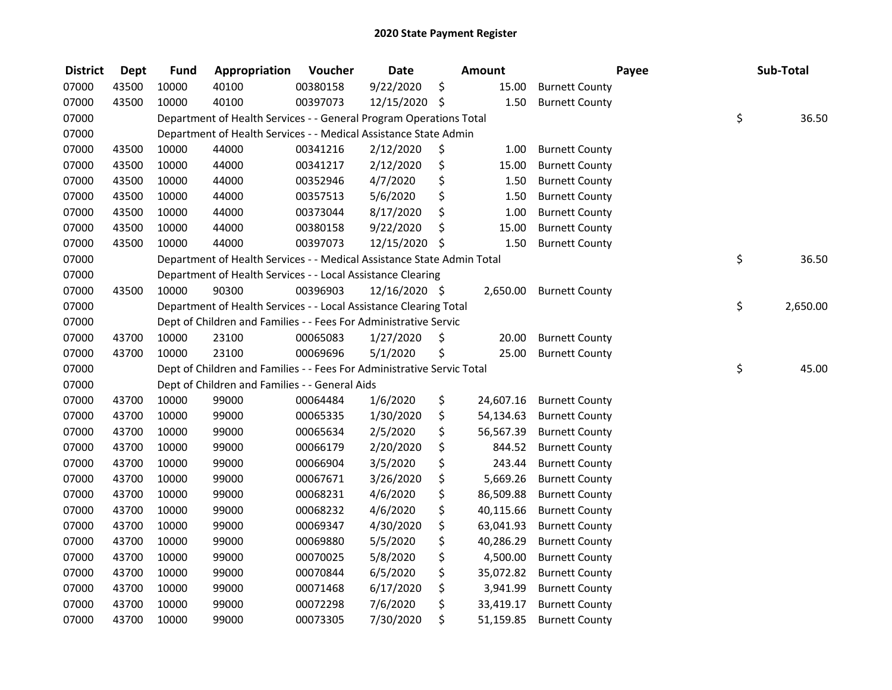| <b>District</b> | <b>Dept</b> | <b>Fund</b> | Appropriation                                                          | Voucher  | <b>Date</b>   | <b>Amount</b>   | Payee                 | Sub-Total      |
|-----------------|-------------|-------------|------------------------------------------------------------------------|----------|---------------|-----------------|-----------------------|----------------|
| 07000           | 43500       | 10000       | 40100                                                                  | 00380158 | 9/22/2020     | \$<br>15.00     | <b>Burnett County</b> |                |
| 07000           | 43500       | 10000       | 40100                                                                  | 00397073 | 12/15/2020 \$ | 1.50            | <b>Burnett County</b> |                |
| 07000           |             |             | Department of Health Services - - General Program Operations Total     |          |               |                 |                       | \$<br>36.50    |
| 07000           |             |             | Department of Health Services - - Medical Assistance State Admin       |          |               |                 |                       |                |
| 07000           | 43500       | 10000       | 44000                                                                  | 00341216 | 2/12/2020     | \$<br>1.00      | <b>Burnett County</b> |                |
| 07000           | 43500       | 10000       | 44000                                                                  | 00341217 | 2/12/2020     | \$<br>15.00     | <b>Burnett County</b> |                |
| 07000           | 43500       | 10000       | 44000                                                                  | 00352946 | 4/7/2020      | \$<br>1.50      | <b>Burnett County</b> |                |
| 07000           | 43500       | 10000       | 44000                                                                  | 00357513 | 5/6/2020      | \$<br>1.50      | <b>Burnett County</b> |                |
| 07000           | 43500       | 10000       | 44000                                                                  | 00373044 | 8/17/2020     | \$<br>1.00      | <b>Burnett County</b> |                |
| 07000           | 43500       | 10000       | 44000                                                                  | 00380158 | 9/22/2020     | \$<br>15.00     | <b>Burnett County</b> |                |
| 07000           | 43500       | 10000       | 44000                                                                  | 00397073 | 12/15/2020 \$ | 1.50            | <b>Burnett County</b> |                |
| 07000           |             |             | Department of Health Services - - Medical Assistance State Admin Total |          |               |                 |                       | \$<br>36.50    |
| 07000           |             |             | Department of Health Services - - Local Assistance Clearing            |          |               |                 |                       |                |
| 07000           | 43500       | 10000       | 90300                                                                  | 00396903 | 12/16/2020 \$ | 2,650.00        | <b>Burnett County</b> |                |
| 07000           |             |             | Department of Health Services - - Local Assistance Clearing Total      |          |               |                 |                       | \$<br>2,650.00 |
| 07000           |             |             | Dept of Children and Families - - Fees For Administrative Servic       |          |               |                 |                       |                |
| 07000           | 43700       | 10000       | 23100                                                                  | 00065083 | 1/27/2020     | \$<br>20.00     | <b>Burnett County</b> |                |
| 07000           | 43700       | 10000       | 23100                                                                  | 00069696 | 5/1/2020      | \$<br>25.00     | <b>Burnett County</b> |                |
| 07000           |             |             | Dept of Children and Families - - Fees For Administrative Servic Total |          |               |                 |                       | \$<br>45.00    |
| 07000           |             |             | Dept of Children and Families - - General Aids                         |          |               |                 |                       |                |
| 07000           | 43700       | 10000       | 99000                                                                  | 00064484 | 1/6/2020      | \$<br>24,607.16 | <b>Burnett County</b> |                |
| 07000           | 43700       | 10000       | 99000                                                                  | 00065335 | 1/30/2020     | \$<br>54,134.63 | <b>Burnett County</b> |                |
| 07000           | 43700       | 10000       | 99000                                                                  | 00065634 | 2/5/2020      | \$<br>56,567.39 | <b>Burnett County</b> |                |
| 07000           | 43700       | 10000       | 99000                                                                  | 00066179 | 2/20/2020     | \$<br>844.52    | <b>Burnett County</b> |                |
| 07000           | 43700       | 10000       | 99000                                                                  | 00066904 | 3/5/2020      | \$<br>243.44    | <b>Burnett County</b> |                |
| 07000           | 43700       | 10000       | 99000                                                                  | 00067671 | 3/26/2020     | \$<br>5,669.26  | <b>Burnett County</b> |                |
| 07000           | 43700       | 10000       | 99000                                                                  | 00068231 | 4/6/2020      | \$<br>86,509.88 | <b>Burnett County</b> |                |
| 07000           | 43700       | 10000       | 99000                                                                  | 00068232 | 4/6/2020      | \$<br>40,115.66 | <b>Burnett County</b> |                |
| 07000           | 43700       | 10000       | 99000                                                                  | 00069347 | 4/30/2020     | \$<br>63,041.93 | <b>Burnett County</b> |                |
| 07000           | 43700       | 10000       | 99000                                                                  | 00069880 | 5/5/2020      | \$<br>40,286.29 | <b>Burnett County</b> |                |
| 07000           | 43700       | 10000       | 99000                                                                  | 00070025 | 5/8/2020      | \$<br>4,500.00  | <b>Burnett County</b> |                |
| 07000           | 43700       | 10000       | 99000                                                                  | 00070844 | 6/5/2020      | \$<br>35,072.82 | <b>Burnett County</b> |                |
| 07000           | 43700       | 10000       | 99000                                                                  | 00071468 | 6/17/2020     | \$<br>3,941.99  | <b>Burnett County</b> |                |
| 07000           | 43700       | 10000       | 99000                                                                  | 00072298 | 7/6/2020      | \$<br>33,419.17 | <b>Burnett County</b> |                |
| 07000           | 43700       | 10000       | 99000                                                                  | 00073305 | 7/30/2020     | \$<br>51,159.85 | <b>Burnett County</b> |                |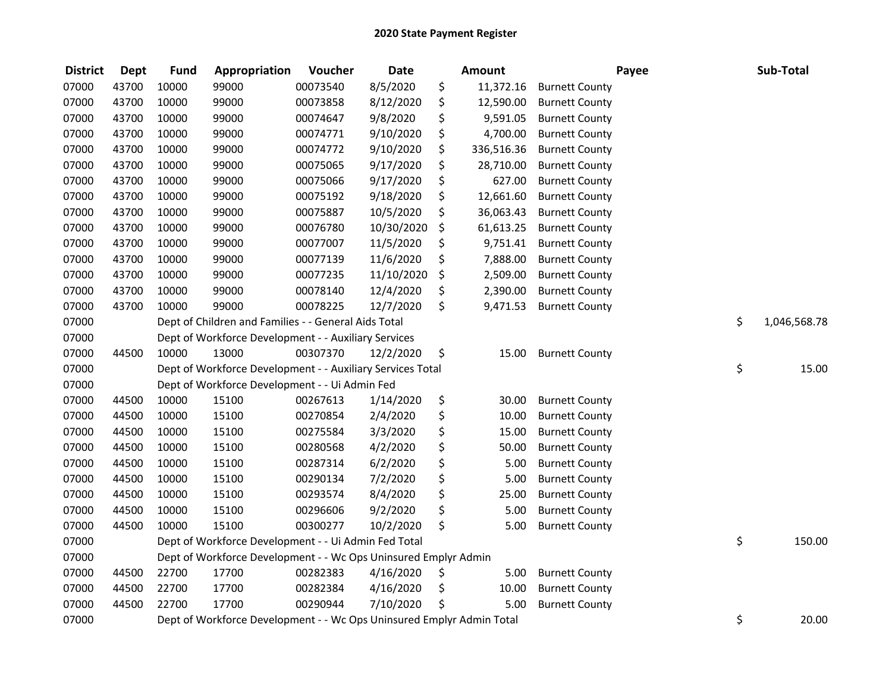| <b>District</b> | <b>Dept</b> | <b>Fund</b> | Appropriation                                                         | Voucher  | <b>Date</b> | <b>Amount</b>    | Payee                 | Sub-Total          |
|-----------------|-------------|-------------|-----------------------------------------------------------------------|----------|-------------|------------------|-----------------------|--------------------|
| 07000           | 43700       | 10000       | 99000                                                                 | 00073540 | 8/5/2020    | \$<br>11,372.16  | <b>Burnett County</b> |                    |
| 07000           | 43700       | 10000       | 99000                                                                 | 00073858 | 8/12/2020   | \$<br>12,590.00  | <b>Burnett County</b> |                    |
| 07000           | 43700       | 10000       | 99000                                                                 | 00074647 | 9/8/2020    | \$<br>9,591.05   | <b>Burnett County</b> |                    |
| 07000           | 43700       | 10000       | 99000                                                                 | 00074771 | 9/10/2020   | \$<br>4,700.00   | <b>Burnett County</b> |                    |
| 07000           | 43700       | 10000       | 99000                                                                 | 00074772 | 9/10/2020   | \$<br>336,516.36 | <b>Burnett County</b> |                    |
| 07000           | 43700       | 10000       | 99000                                                                 | 00075065 | 9/17/2020   | \$<br>28,710.00  | <b>Burnett County</b> |                    |
| 07000           | 43700       | 10000       | 99000                                                                 | 00075066 | 9/17/2020   | \$<br>627.00     | <b>Burnett County</b> |                    |
| 07000           | 43700       | 10000       | 99000                                                                 | 00075192 | 9/18/2020   | \$<br>12,661.60  | <b>Burnett County</b> |                    |
| 07000           | 43700       | 10000       | 99000                                                                 | 00075887 | 10/5/2020   | \$<br>36,063.43  | <b>Burnett County</b> |                    |
| 07000           | 43700       | 10000       | 99000                                                                 | 00076780 | 10/30/2020  | \$<br>61,613.25  | <b>Burnett County</b> |                    |
| 07000           | 43700       | 10000       | 99000                                                                 | 00077007 | 11/5/2020   | \$<br>9,751.41   | <b>Burnett County</b> |                    |
| 07000           | 43700       | 10000       | 99000                                                                 | 00077139 | 11/6/2020   | \$<br>7,888.00   | <b>Burnett County</b> |                    |
| 07000           | 43700       | 10000       | 99000                                                                 | 00077235 | 11/10/2020  | \$<br>2,509.00   | <b>Burnett County</b> |                    |
| 07000           | 43700       | 10000       | 99000                                                                 | 00078140 | 12/4/2020   | \$<br>2,390.00   | <b>Burnett County</b> |                    |
| 07000           | 43700       | 10000       | 99000                                                                 | 00078225 | 12/7/2020   | \$<br>9,471.53   | <b>Burnett County</b> |                    |
| 07000           |             |             | Dept of Children and Families - - General Aids Total                  |          |             |                  |                       | \$<br>1,046,568.78 |
| 07000           |             |             | Dept of Workforce Development - - Auxiliary Services                  |          |             |                  |                       |                    |
| 07000           | 44500       | 10000       | 13000                                                                 | 00307370 | 12/2/2020   | \$<br>15.00      | <b>Burnett County</b> |                    |
| 07000           |             |             | Dept of Workforce Development - - Auxiliary Services Total            |          |             |                  |                       | \$<br>15.00        |
| 07000           |             |             | Dept of Workforce Development - - Ui Admin Fed                        |          |             |                  |                       |                    |
| 07000           | 44500       | 10000       | 15100                                                                 | 00267613 | 1/14/2020   | \$<br>30.00      | <b>Burnett County</b> |                    |
| 07000           | 44500       | 10000       | 15100                                                                 | 00270854 | 2/4/2020    | \$<br>10.00      | <b>Burnett County</b> |                    |
| 07000           | 44500       | 10000       | 15100                                                                 | 00275584 | 3/3/2020    | \$<br>15.00      | <b>Burnett County</b> |                    |
| 07000           | 44500       | 10000       | 15100                                                                 | 00280568 | 4/2/2020    | \$<br>50.00      | <b>Burnett County</b> |                    |
| 07000           | 44500       | 10000       | 15100                                                                 | 00287314 | 6/2/2020    | \$<br>5.00       | <b>Burnett County</b> |                    |
| 07000           | 44500       | 10000       | 15100                                                                 | 00290134 | 7/2/2020    | \$<br>5.00       | <b>Burnett County</b> |                    |
| 07000           | 44500       | 10000       | 15100                                                                 | 00293574 | 8/4/2020    | \$<br>25.00      | <b>Burnett County</b> |                    |
| 07000           | 44500       | 10000       | 15100                                                                 | 00296606 | 9/2/2020    | \$<br>5.00       | <b>Burnett County</b> |                    |
| 07000           | 44500       | 10000       | 15100                                                                 | 00300277 | 10/2/2020   | \$<br>5.00       | <b>Burnett County</b> |                    |
| 07000           |             |             | Dept of Workforce Development - - Ui Admin Fed Total                  |          |             |                  |                       | \$<br>150.00       |
| 07000           |             |             | Dept of Workforce Development - - Wc Ops Uninsured Emplyr Admin       |          |             |                  |                       |                    |
| 07000           | 44500       | 22700       | 17700                                                                 | 00282383 | 4/16/2020   | \$<br>5.00       | <b>Burnett County</b> |                    |
| 07000           | 44500       | 22700       | 17700                                                                 | 00282384 | 4/16/2020   | \$<br>10.00      | <b>Burnett County</b> |                    |
| 07000           | 44500       | 22700       | 17700                                                                 | 00290944 | 7/10/2020   | \$<br>5.00       | <b>Burnett County</b> |                    |
| 07000           |             |             | Dept of Workforce Development - - Wc Ops Uninsured Emplyr Admin Total |          |             |                  |                       | \$<br>20.00        |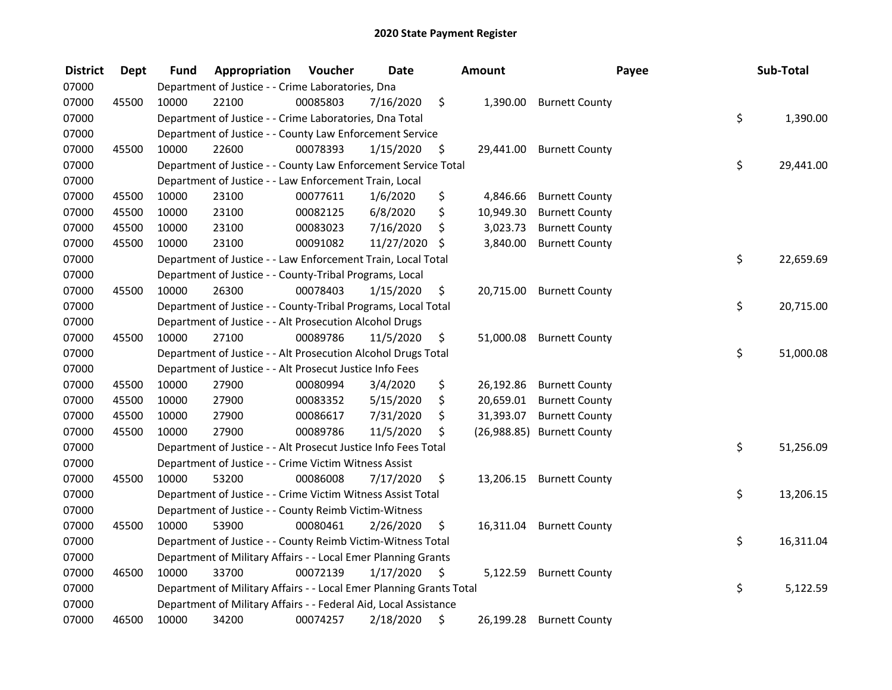| <b>District</b> | <b>Dept</b> | <b>Fund</b> | Appropriation                                                       | Voucher  | <b>Date</b> | <b>Amount</b>   | Payee                      | Sub-Total       |
|-----------------|-------------|-------------|---------------------------------------------------------------------|----------|-------------|-----------------|----------------------------|-----------------|
| 07000           |             |             | Department of Justice - - Crime Laboratories, Dna                   |          |             |                 |                            |                 |
| 07000           | 45500       | 10000       | 22100                                                               | 00085803 | 7/16/2020   | \$<br>1,390.00  | <b>Burnett County</b>      |                 |
| 07000           |             |             | Department of Justice - - Crime Laboratories, Dna Total             |          |             |                 |                            | \$<br>1,390.00  |
| 07000           |             |             | Department of Justice - - County Law Enforcement Service            |          |             |                 |                            |                 |
| 07000           | 45500       | 10000       | 22600                                                               | 00078393 | 1/15/2020   | \$<br>29,441.00 | <b>Burnett County</b>      |                 |
| 07000           |             |             | Department of Justice - - County Law Enforcement Service Total      |          |             |                 |                            | \$<br>29,441.00 |
| 07000           |             |             | Department of Justice - - Law Enforcement Train, Local              |          |             |                 |                            |                 |
| 07000           | 45500       | 10000       | 23100                                                               | 00077611 | 1/6/2020    | \$<br>4,846.66  | <b>Burnett County</b>      |                 |
| 07000           | 45500       | 10000       | 23100                                                               | 00082125 | 6/8/2020    | \$<br>10,949.30 | <b>Burnett County</b>      |                 |
| 07000           | 45500       | 10000       | 23100                                                               | 00083023 | 7/16/2020   | \$<br>3,023.73  | <b>Burnett County</b>      |                 |
| 07000           | 45500       | 10000       | 23100                                                               | 00091082 | 11/27/2020  | \$<br>3,840.00  | <b>Burnett County</b>      |                 |
| 07000           |             |             | Department of Justice - - Law Enforcement Train, Local Total        |          |             |                 |                            | \$<br>22,659.69 |
| 07000           |             |             | Department of Justice - - County-Tribal Programs, Local             |          |             |                 |                            |                 |
| 07000           | 45500       | 10000       | 26300                                                               | 00078403 | 1/15/2020   | \$<br>20,715.00 | <b>Burnett County</b>      |                 |
| 07000           |             |             | Department of Justice - - County-Tribal Programs, Local Total       |          |             |                 |                            | \$<br>20,715.00 |
| 07000           |             |             | Department of Justice - - Alt Prosecution Alcohol Drugs             |          |             |                 |                            |                 |
| 07000           | 45500       | 10000       | 27100                                                               | 00089786 | 11/5/2020   | \$<br>51,000.08 | <b>Burnett County</b>      |                 |
| 07000           |             |             | Department of Justice - - Alt Prosecution Alcohol Drugs Total       |          |             |                 |                            | \$<br>51,000.08 |
| 07000           |             |             | Department of Justice - - Alt Prosecut Justice Info Fees            |          |             |                 |                            |                 |
| 07000           | 45500       | 10000       | 27900                                                               | 00080994 | 3/4/2020    | \$<br>26,192.86 | <b>Burnett County</b>      |                 |
| 07000           | 45500       | 10000       | 27900                                                               | 00083352 | 5/15/2020   | \$<br>20,659.01 | <b>Burnett County</b>      |                 |
| 07000           | 45500       | 10000       | 27900                                                               | 00086617 | 7/31/2020   | \$<br>31,393.07 | <b>Burnett County</b>      |                 |
| 07000           | 45500       | 10000       | 27900                                                               | 00089786 | 11/5/2020   | \$              | (26,988.85) Burnett County |                 |
| 07000           |             |             | Department of Justice - - Alt Prosecut Justice Info Fees Total      |          |             |                 |                            | \$<br>51,256.09 |
| 07000           |             |             | Department of Justice - - Crime Victim Witness Assist               |          |             |                 |                            |                 |
| 07000           | 45500       | 10000       | 53200                                                               | 00086008 | 7/17/2020   | \$<br>13,206.15 | <b>Burnett County</b>      |                 |
| 07000           |             |             | Department of Justice - - Crime Victim Witness Assist Total         |          |             |                 |                            | \$<br>13,206.15 |
| 07000           |             |             | Department of Justice - - County Reimb Victim-Witness               |          |             |                 |                            |                 |
| 07000           | 45500       | 10000       | 53900                                                               | 00080461 | 2/26/2020   | \$<br>16,311.04 | <b>Burnett County</b>      |                 |
| 07000           |             |             | Department of Justice - - County Reimb Victim-Witness Total         |          |             |                 |                            | \$<br>16,311.04 |
| 07000           |             |             | Department of Military Affairs - - Local Emer Planning Grants       |          |             |                 |                            |                 |
| 07000           | 46500       | 10000       | 33700                                                               | 00072139 | 1/17/2020   | \$<br>5,122.59  | <b>Burnett County</b>      |                 |
| 07000           |             |             | Department of Military Affairs - - Local Emer Planning Grants Total |          |             |                 |                            | \$<br>5,122.59  |
| 07000           |             |             | Department of Military Affairs - - Federal Aid, Local Assistance    |          |             |                 |                            |                 |
| 07000           | 46500       | 10000       | 34200                                                               | 00074257 | 2/18/2020   | \$<br>26,199.28 | <b>Burnett County</b>      |                 |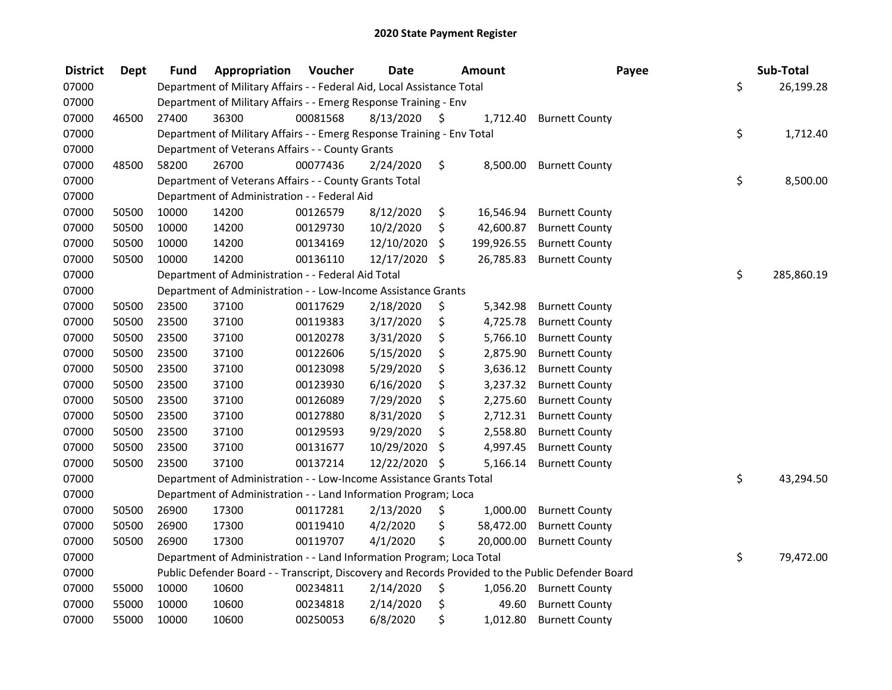| <b>District</b> | <b>Dept</b> | <b>Fund</b> | Appropriation                                                          | Voucher  | <b>Date</b> | Amount           | Payee                                                                                             | Sub-Total        |
|-----------------|-------------|-------------|------------------------------------------------------------------------|----------|-------------|------------------|---------------------------------------------------------------------------------------------------|------------------|
| 07000           |             |             | Department of Military Affairs - - Federal Aid, Local Assistance Total |          |             |                  |                                                                                                   | \$<br>26,199.28  |
| 07000           |             |             | Department of Military Affairs - - Emerg Response Training - Env       |          |             |                  |                                                                                                   |                  |
| 07000           | 46500       | 27400       | 36300                                                                  | 00081568 | 8/13/2020   | \$<br>1,712.40   | <b>Burnett County</b>                                                                             |                  |
| 07000           |             |             | Department of Military Affairs - - Emerg Response Training - Env Total |          |             |                  |                                                                                                   | \$<br>1,712.40   |
| 07000           |             |             | Department of Veterans Affairs - - County Grants                       |          |             |                  |                                                                                                   |                  |
| 07000           | 48500       | 58200       | 26700                                                                  | 00077436 | 2/24/2020   | \$<br>8,500.00   | <b>Burnett County</b>                                                                             |                  |
| 07000           |             |             | Department of Veterans Affairs - - County Grants Total                 |          |             |                  |                                                                                                   | \$<br>8,500.00   |
| 07000           |             |             | Department of Administration - - Federal Aid                           |          |             |                  |                                                                                                   |                  |
| 07000           | 50500       | 10000       | 14200                                                                  | 00126579 | 8/12/2020   | \$<br>16,546.94  | <b>Burnett County</b>                                                                             |                  |
| 07000           | 50500       | 10000       | 14200                                                                  | 00129730 | 10/2/2020   | \$<br>42,600.87  | <b>Burnett County</b>                                                                             |                  |
| 07000           | 50500       | 10000       | 14200                                                                  | 00134169 | 12/10/2020  | \$<br>199,926.55 | <b>Burnett County</b>                                                                             |                  |
| 07000           | 50500       | 10000       | 14200                                                                  | 00136110 | 12/17/2020  | \$<br>26,785.83  | <b>Burnett County</b>                                                                             |                  |
| 07000           |             |             | Department of Administration - - Federal Aid Total                     |          |             |                  |                                                                                                   | \$<br>285,860.19 |
| 07000           |             |             | Department of Administration - - Low-Income Assistance Grants          |          |             |                  |                                                                                                   |                  |
| 07000           | 50500       | 23500       | 37100                                                                  | 00117629 | 2/18/2020   | \$<br>5,342.98   | <b>Burnett County</b>                                                                             |                  |
| 07000           | 50500       | 23500       | 37100                                                                  | 00119383 | 3/17/2020   | \$<br>4,725.78   | <b>Burnett County</b>                                                                             |                  |
| 07000           | 50500       | 23500       | 37100                                                                  | 00120278 | 3/31/2020   | \$<br>5,766.10   | <b>Burnett County</b>                                                                             |                  |
| 07000           | 50500       | 23500       | 37100                                                                  | 00122606 | 5/15/2020   | \$<br>2,875.90   | <b>Burnett County</b>                                                                             |                  |
| 07000           | 50500       | 23500       | 37100                                                                  | 00123098 | 5/29/2020   | \$<br>3,636.12   | <b>Burnett County</b>                                                                             |                  |
| 07000           | 50500       | 23500       | 37100                                                                  | 00123930 | 6/16/2020   | \$<br>3,237.32   | <b>Burnett County</b>                                                                             |                  |
| 07000           | 50500       | 23500       | 37100                                                                  | 00126089 | 7/29/2020   | \$<br>2,275.60   | <b>Burnett County</b>                                                                             |                  |
| 07000           | 50500       | 23500       | 37100                                                                  | 00127880 | 8/31/2020   | \$<br>2,712.31   | <b>Burnett County</b>                                                                             |                  |
| 07000           | 50500       | 23500       | 37100                                                                  | 00129593 | 9/29/2020   | \$<br>2,558.80   | <b>Burnett County</b>                                                                             |                  |
| 07000           | 50500       | 23500       | 37100                                                                  | 00131677 | 10/29/2020  | \$<br>4,997.45   | <b>Burnett County</b>                                                                             |                  |
| 07000           | 50500       | 23500       | 37100                                                                  | 00137214 | 12/22/2020  | \$<br>5,166.14   | <b>Burnett County</b>                                                                             |                  |
| 07000           |             |             | Department of Administration - - Low-Income Assistance Grants Total    |          |             |                  |                                                                                                   | \$<br>43,294.50  |
| 07000           |             |             | Department of Administration - - Land Information Program; Loca        |          |             |                  |                                                                                                   |                  |
| 07000           | 50500       | 26900       | 17300                                                                  | 00117281 | 2/13/2020   | \$<br>1,000.00   | <b>Burnett County</b>                                                                             |                  |
| 07000           | 50500       | 26900       | 17300                                                                  | 00119410 | 4/2/2020    | \$<br>58,472.00  | <b>Burnett County</b>                                                                             |                  |
| 07000           | 50500       | 26900       | 17300                                                                  | 00119707 | 4/1/2020    | \$<br>20,000.00  | <b>Burnett County</b>                                                                             |                  |
| 07000           |             |             | Department of Administration - - Land Information Program; Loca Total  |          |             |                  |                                                                                                   | \$<br>79,472.00  |
| 07000           |             |             |                                                                        |          |             |                  | Public Defender Board - - Transcript, Discovery and Records Provided to the Public Defender Board |                  |
| 07000           | 55000       | 10000       | 10600                                                                  | 00234811 | 2/14/2020   | \$<br>1,056.20   | <b>Burnett County</b>                                                                             |                  |
| 07000           | 55000       | 10000       | 10600                                                                  | 00234818 | 2/14/2020   | \$<br>49.60      | <b>Burnett County</b>                                                                             |                  |
| 07000           | 55000       | 10000       | 10600                                                                  | 00250053 | 6/8/2020    | \$<br>1,012.80   | <b>Burnett County</b>                                                                             |                  |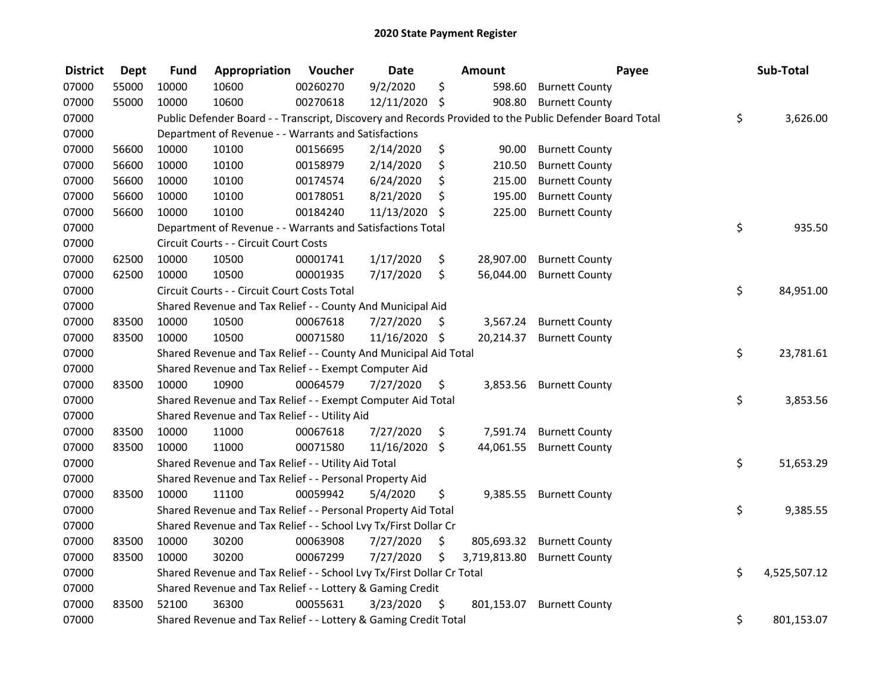| <b>District</b> | <b>Dept</b> | <b>Fund</b> | Appropriation                                                         | Voucher  | <b>Date</b>   |         | Amount       | Payee                                                                                                   | Sub-Total          |
|-----------------|-------------|-------------|-----------------------------------------------------------------------|----------|---------------|---------|--------------|---------------------------------------------------------------------------------------------------------|--------------------|
| 07000           | 55000       | 10000       | 10600                                                                 | 00260270 | 9/2/2020      | \$      | 598.60       | <b>Burnett County</b>                                                                                   |                    |
| 07000           | 55000       | 10000       | 10600                                                                 | 00270618 | 12/11/2020    | \$      | 908.80       | <b>Burnett County</b>                                                                                   |                    |
| 07000           |             |             |                                                                       |          |               |         |              | Public Defender Board - - Transcript, Discovery and Records Provided to the Public Defender Board Total | \$<br>3,626.00     |
| 07000           |             |             | Department of Revenue - - Warrants and Satisfactions                  |          |               |         |              |                                                                                                         |                    |
| 07000           | 56600       | 10000       | 10100                                                                 | 00156695 | 2/14/2020     | \$      | 90.00        | <b>Burnett County</b>                                                                                   |                    |
| 07000           | 56600       | 10000       | 10100                                                                 | 00158979 | 2/14/2020     | \$      | 210.50       | <b>Burnett County</b>                                                                                   |                    |
| 07000           | 56600       | 10000       | 10100                                                                 | 00174574 | 6/24/2020     | \$      | 215.00       | <b>Burnett County</b>                                                                                   |                    |
| 07000           | 56600       | 10000       | 10100                                                                 | 00178051 | 8/21/2020     | \$      | 195.00       | <b>Burnett County</b>                                                                                   |                    |
| 07000           | 56600       | 10000       | 10100                                                                 | 00184240 | 11/13/2020    | - \$    | 225.00       | <b>Burnett County</b>                                                                                   |                    |
| 07000           |             |             | Department of Revenue - - Warrants and Satisfactions Total            |          |               |         |              |                                                                                                         | \$<br>935.50       |
| 07000           |             |             | Circuit Courts - - Circuit Court Costs                                |          |               |         |              |                                                                                                         |                    |
| 07000           | 62500       | 10000       | 10500                                                                 | 00001741 | 1/17/2020     | \$      | 28,907.00    | <b>Burnett County</b>                                                                                   |                    |
| 07000           | 62500       | 10000       | 10500                                                                 | 00001935 | 7/17/2020     | \$      | 56,044.00    | <b>Burnett County</b>                                                                                   |                    |
| 07000           |             |             | Circuit Courts - - Circuit Court Costs Total                          |          |               |         |              |                                                                                                         | \$<br>84,951.00    |
| 07000           |             |             | Shared Revenue and Tax Relief - - County And Municipal Aid            |          |               |         |              |                                                                                                         |                    |
| 07000           | 83500       | 10000       | 10500                                                                 | 00067618 | 7/27/2020     | S.      | 3,567.24     | <b>Burnett County</b>                                                                                   |                    |
| 07000           | 83500       | 10000       | 10500                                                                 | 00071580 | 11/16/2020 \$ |         | 20,214.37    | <b>Burnett County</b>                                                                                   |                    |
| 07000           |             |             | Shared Revenue and Tax Relief - - County And Municipal Aid Total      |          |               |         |              |                                                                                                         | \$<br>23,781.61    |
| 07000           |             |             | Shared Revenue and Tax Relief - - Exempt Computer Aid                 |          |               |         |              |                                                                                                         |                    |
| 07000           | 83500       | 10000       | 10900                                                                 | 00064579 | 7/27/2020     | \$      | 3,853.56     | <b>Burnett County</b>                                                                                   |                    |
| 07000           |             |             | Shared Revenue and Tax Relief - - Exempt Computer Aid Total           |          |               |         |              |                                                                                                         | \$<br>3,853.56     |
| 07000           |             |             | Shared Revenue and Tax Relief - - Utility Aid                         |          |               |         |              |                                                                                                         |                    |
| 07000           | 83500       | 10000       | 11000                                                                 | 00067618 | 7/27/2020     | \$      | 7,591.74     | <b>Burnett County</b>                                                                                   |                    |
| 07000           | 83500       | 10000       | 11000                                                                 | 00071580 | 11/16/2020    | $\zeta$ | 44,061.55    | <b>Burnett County</b>                                                                                   |                    |
| 07000           |             |             | Shared Revenue and Tax Relief - - Utility Aid Total                   |          |               |         |              |                                                                                                         | \$<br>51,653.29    |
| 07000           |             |             | Shared Revenue and Tax Relief - - Personal Property Aid               |          |               |         |              |                                                                                                         |                    |
| 07000           | 83500       | 10000       | 11100                                                                 | 00059942 | 5/4/2020      | \$      | 9,385.55     | <b>Burnett County</b>                                                                                   |                    |
| 07000           |             |             | Shared Revenue and Tax Relief - - Personal Property Aid Total         |          |               |         |              |                                                                                                         | \$<br>9,385.55     |
| 07000           |             |             | Shared Revenue and Tax Relief - - School Lvy Tx/First Dollar Cr       |          |               |         |              |                                                                                                         |                    |
| 07000           | 83500       | 10000       | 30200                                                                 | 00063908 | 7/27/2020     | \$      | 805,693.32   | <b>Burnett County</b>                                                                                   |                    |
| 07000           | 83500       | 10000       | 30200                                                                 | 00067299 | 7/27/2020     | \$      | 3,719,813.80 | <b>Burnett County</b>                                                                                   |                    |
| 07000           |             |             | Shared Revenue and Tax Relief - - School Lvy Tx/First Dollar Cr Total |          |               |         |              |                                                                                                         | \$<br>4,525,507.12 |
| 07000           |             |             | Shared Revenue and Tax Relief - - Lottery & Gaming Credit             |          |               |         |              |                                                                                                         |                    |
| 07000           | 83500       | 52100       | 36300                                                                 | 00055631 | 3/23/2020     | - \$    | 801,153.07   | <b>Burnett County</b>                                                                                   |                    |
| 07000           |             |             | Shared Revenue and Tax Relief - - Lottery & Gaming Credit Total       |          |               |         |              |                                                                                                         | \$<br>801,153.07   |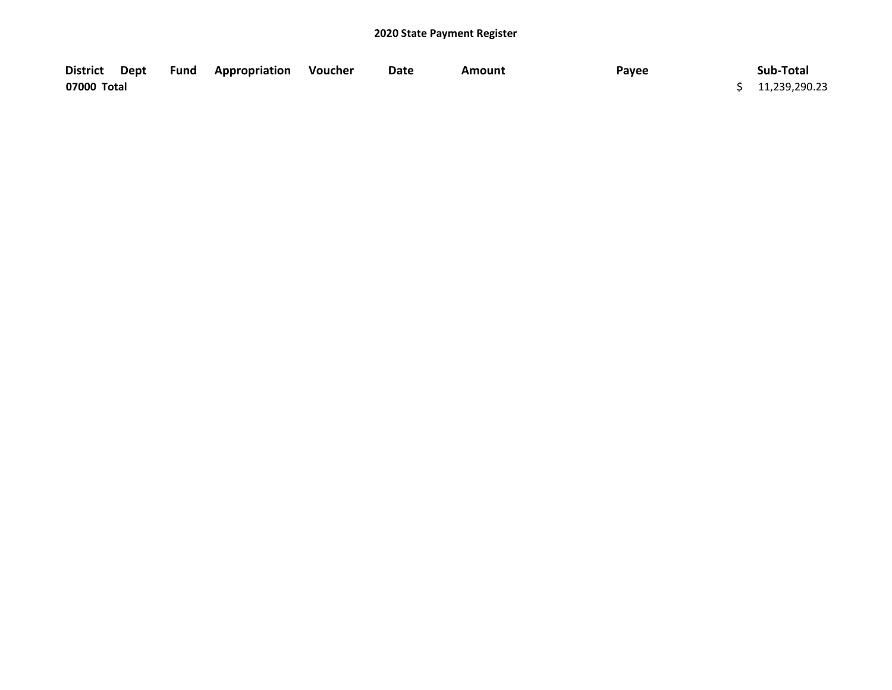| <b>District</b> | Dept | <b>Fund Appropriation Voucher</b> | Date | Amount | Payee | Sub-Total       |
|-----------------|------|-----------------------------------|------|--------|-------|-----------------|
| 07000 Total     |      |                                   |      |        |       | \$11,239,290.23 |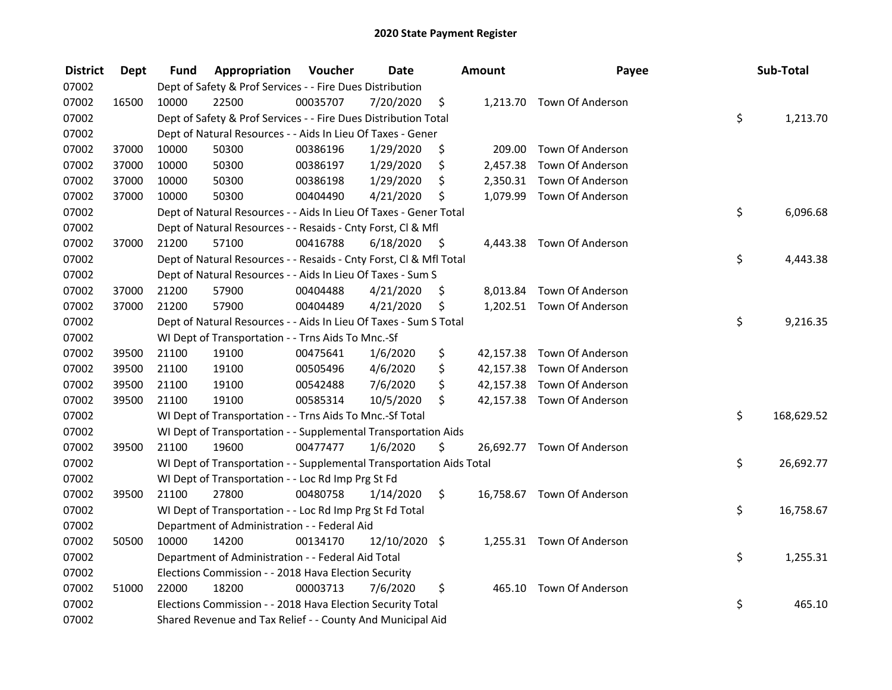| <b>District</b> | <b>Dept</b> | Fund  | Appropriation                                                        | Voucher  | <b>Date</b>   |      | Amount    | Payee                      | Sub-Total        |
|-----------------|-------------|-------|----------------------------------------------------------------------|----------|---------------|------|-----------|----------------------------|------------------|
| 07002           |             |       | Dept of Safety & Prof Services - - Fire Dues Distribution            |          |               |      |           |                            |                  |
| 07002           | 16500       | 10000 | 22500                                                                | 00035707 | 7/20/2020     | \$   |           | 1,213.70 Town Of Anderson  |                  |
| 07002           |             |       | Dept of Safety & Prof Services - - Fire Dues Distribution Total      |          |               |      |           |                            | \$<br>1,213.70   |
| 07002           |             |       | Dept of Natural Resources - - Aids In Lieu Of Taxes - Gener          |          |               |      |           |                            |                  |
| 07002           | 37000       | 10000 | 50300                                                                | 00386196 | 1/29/2020     | \$   | 209.00    | Town Of Anderson           |                  |
| 07002           | 37000       | 10000 | 50300                                                                | 00386197 | 1/29/2020     | \$   | 2,457.38  | Town Of Anderson           |                  |
| 07002           | 37000       | 10000 | 50300                                                                | 00386198 | 1/29/2020     | \$   |           | 2,350.31 Town Of Anderson  |                  |
| 07002           | 37000       | 10000 | 50300                                                                | 00404490 | 4/21/2020     | \$   |           | 1,079.99 Town Of Anderson  |                  |
| 07002           |             |       | Dept of Natural Resources - - Aids In Lieu Of Taxes - Gener Total    |          |               |      |           |                            | \$<br>6,096.68   |
| 07002           |             |       | Dept of Natural Resources - - Resaids - Cnty Forst, Cl & Mfl         |          |               |      |           |                            |                  |
| 07002           | 37000       | 21200 | 57100                                                                | 00416788 | 6/18/2020     | - \$ |           | 4,443.38 Town Of Anderson  |                  |
| 07002           |             |       | Dept of Natural Resources - - Resaids - Cnty Forst, Cl & Mfl Total   |          |               |      |           |                            | \$<br>4,443.38   |
| 07002           |             |       | Dept of Natural Resources - - Aids In Lieu Of Taxes - Sum S          |          |               |      |           |                            |                  |
| 07002           | 37000       | 21200 | 57900                                                                | 00404488 | 4/21/2020     | \$.  | 8,013.84  | Town Of Anderson           |                  |
| 07002           | 37000       | 21200 | 57900                                                                | 00404489 | 4/21/2020     | \$   |           | 1,202.51 Town Of Anderson  |                  |
| 07002           |             |       | Dept of Natural Resources - - Aids In Lieu Of Taxes - Sum S Total    |          |               |      |           |                            | \$<br>9,216.35   |
| 07002           |             |       | WI Dept of Transportation - - Trns Aids To Mnc.-Sf                   |          |               |      |           |                            |                  |
| 07002           | 39500       | 21100 | 19100                                                                | 00475641 | 1/6/2020      | \$   | 42,157.38 | Town Of Anderson           |                  |
| 07002           | 39500       | 21100 | 19100                                                                | 00505496 | 4/6/2020      | \$   | 42,157.38 | Town Of Anderson           |                  |
| 07002           | 39500       | 21100 | 19100                                                                | 00542488 | 7/6/2020      | \$   | 42,157.38 | Town Of Anderson           |                  |
| 07002           | 39500       | 21100 | 19100                                                                | 00585314 | 10/5/2020     | \$   |           | 42,157.38 Town Of Anderson |                  |
| 07002           |             |       | WI Dept of Transportation - - Trns Aids To Mnc.-Sf Total             |          |               |      |           |                            | \$<br>168,629.52 |
| 07002           |             |       | WI Dept of Transportation - - Supplemental Transportation Aids       |          |               |      |           |                            |                  |
| 07002           | 39500       | 21100 | 19600                                                                | 00477477 | 1/6/2020      | \$   |           | 26,692.77 Town Of Anderson |                  |
| 07002           |             |       | WI Dept of Transportation - - Supplemental Transportation Aids Total |          |               |      |           |                            | \$<br>26,692.77  |
| 07002           |             |       | WI Dept of Transportation - - Loc Rd Imp Prg St Fd                   |          |               |      |           |                            |                  |
| 07002           | 39500       | 21100 | 27800                                                                | 00480758 | 1/14/2020     | \$   |           | 16,758.67 Town Of Anderson |                  |
| 07002           |             |       | WI Dept of Transportation - - Loc Rd Imp Prg St Fd Total             |          |               |      |           |                            | \$<br>16,758.67  |
| 07002           |             |       | Department of Administration - - Federal Aid                         |          |               |      |           |                            |                  |
| 07002           | 50500       | 10000 | 14200                                                                | 00134170 | 12/10/2020 \$ |      |           | 1,255.31 Town Of Anderson  |                  |
| 07002           |             |       | Department of Administration - - Federal Aid Total                   |          |               |      |           |                            | \$<br>1,255.31   |
| 07002           |             |       | Elections Commission - - 2018 Hava Election Security                 |          |               |      |           |                            |                  |
| 07002           | 51000       | 22000 | 18200                                                                | 00003713 | 7/6/2020      | \$   | 465.10    | Town Of Anderson           |                  |
| 07002           |             |       | Elections Commission - - 2018 Hava Election Security Total           |          |               |      |           |                            | \$<br>465.10     |
| 07002           |             |       | Shared Revenue and Tax Relief - - County And Municipal Aid           |          |               |      |           |                            |                  |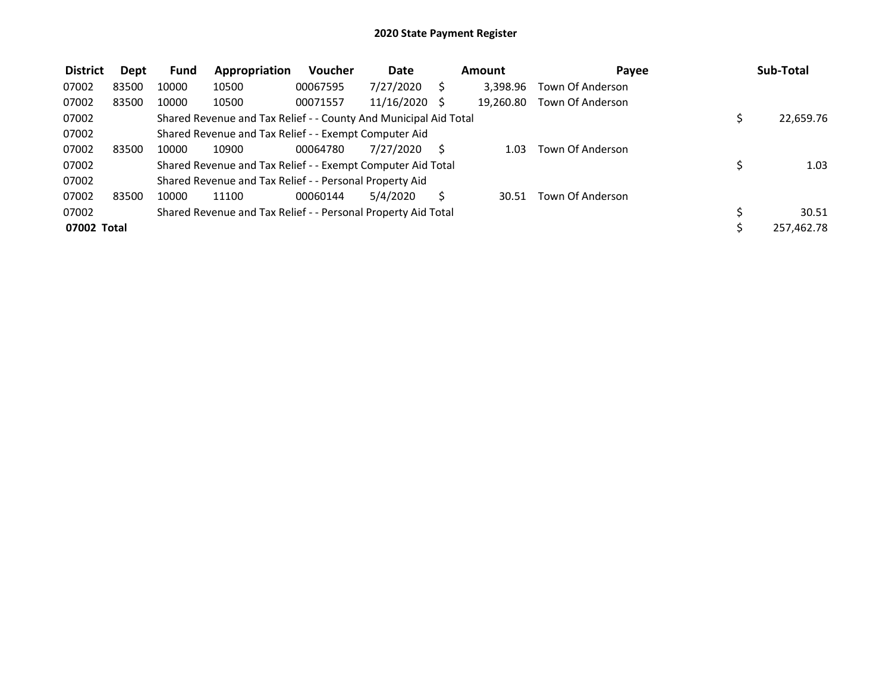| <b>District</b> | Dept  | <b>Fund</b> | Appropriation                                                    | Voucher  | <b>Date</b> | Amount    | Pavee            | Sub-Total  |
|-----------------|-------|-------------|------------------------------------------------------------------|----------|-------------|-----------|------------------|------------|
| 07002           | 83500 | 10000       | 10500                                                            | 00067595 | 7/27/2020   | 3,398.96  | Town Of Anderson |            |
| 07002           | 83500 | 10000       | 10500                                                            | 00071557 | 11/16/2020  | 19.260.80 | Town Of Anderson |            |
| 07002           |       |             | Shared Revenue and Tax Relief - - County And Municipal Aid Total |          |             |           |                  | 22,659.76  |
| 07002           |       |             | Shared Revenue and Tax Relief - - Exempt Computer Aid            |          |             |           |                  |            |
| 07002           | 83500 | 10000       | 10900                                                            | 00064780 | 7/27/2020   | 1.03      | Town Of Anderson |            |
| 07002           |       |             | Shared Revenue and Tax Relief - - Exempt Computer Aid Total      |          |             |           |                  | 1.03       |
| 07002           |       |             | Shared Revenue and Tax Relief - - Personal Property Aid          |          |             |           |                  |            |
| 07002           | 83500 | 10000       | 11100                                                            | 00060144 | 5/4/2020    | 30.51     | Town Of Anderson |            |
| 07002           |       |             | Shared Revenue and Tax Relief - - Personal Property Aid Total    |          |             |           |                  | 30.51      |
| 07002 Total     |       |             |                                                                  |          |             |           |                  | 257,462.78 |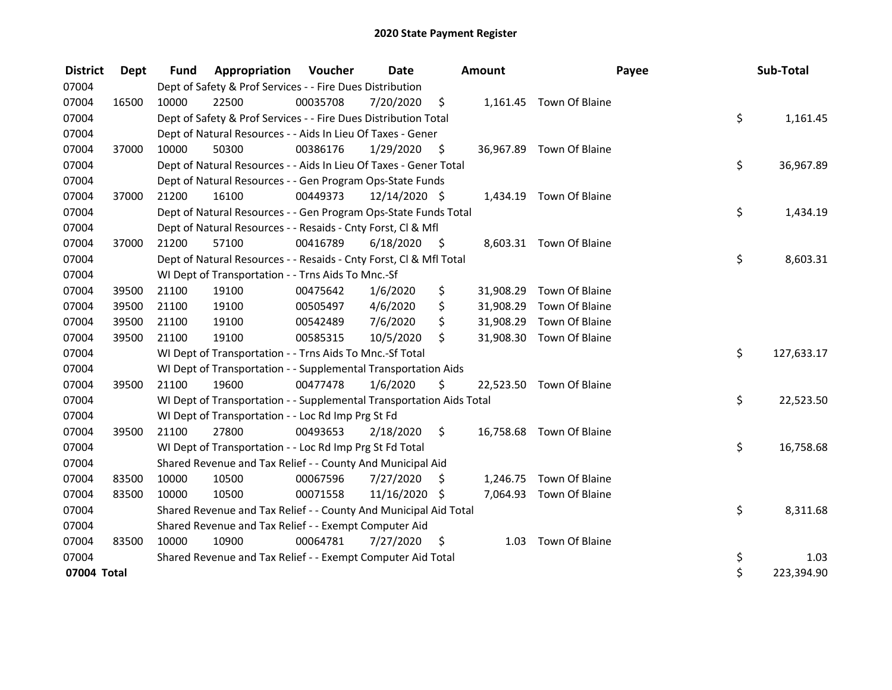| <b>District</b> | Dept  | <b>Fund</b> | <b>Appropriation Voucher</b>                                         |          | <b>Date</b>   |      | Amount    |                          | Payee | Sub-Total  |
|-----------------|-------|-------------|----------------------------------------------------------------------|----------|---------------|------|-----------|--------------------------|-------|------------|
| 07004           |       |             | Dept of Safety & Prof Services - - Fire Dues Distribution            |          |               |      |           |                          |       |            |
| 07004           | 16500 | 10000       | 22500                                                                | 00035708 | 7/20/2020     | \$   |           | 1,161.45 Town Of Blaine  |       |            |
| 07004           |       |             | Dept of Safety & Prof Services - - Fire Dues Distribution Total      |          |               |      |           |                          | \$    | 1,161.45   |
| 07004           |       |             | Dept of Natural Resources - - Aids In Lieu Of Taxes - Gener          |          |               |      |           |                          |       |            |
| 07004           | 37000 | 10000       | 50300                                                                | 00386176 | 1/29/2020     | \$   |           | 36,967.89 Town Of Blaine |       |            |
| 07004           |       |             | Dept of Natural Resources - - Aids In Lieu Of Taxes - Gener Total    |          |               |      |           |                          | \$    | 36,967.89  |
| 07004           |       |             | Dept of Natural Resources - - Gen Program Ops-State Funds            |          |               |      |           |                          |       |            |
| 07004           | 37000 | 21200       | 16100                                                                | 00449373 | 12/14/2020 \$ |      |           | 1,434.19 Town Of Blaine  |       |            |
| 07004           |       |             | Dept of Natural Resources - - Gen Program Ops-State Funds Total      |          |               |      |           |                          | \$    | 1,434.19   |
| 07004           |       |             | Dept of Natural Resources - - Resaids - Cnty Forst, Cl & Mfl         |          |               |      |           |                          |       |            |
| 07004           | 37000 | 21200       | 57100                                                                | 00416789 | 6/18/2020     | - \$ |           | 8,603.31 Town Of Blaine  |       |            |
| 07004           |       |             | Dept of Natural Resources - - Resaids - Cnty Forst, Cl & Mfl Total   |          |               |      |           |                          | \$    | 8,603.31   |
| 07004           |       |             | WI Dept of Transportation - - Trns Aids To Mnc.-Sf                   |          |               |      |           |                          |       |            |
| 07004           | 39500 | 21100       | 19100                                                                | 00475642 | 1/6/2020      | \$   | 31,908.29 | Town Of Blaine           |       |            |
| 07004           | 39500 | 21100       | 19100                                                                | 00505497 | 4/6/2020      | \$   | 31,908.29 | Town Of Blaine           |       |            |
| 07004           | 39500 | 21100       | 19100                                                                | 00542489 | 7/6/2020      | \$   | 31,908.29 | Town Of Blaine           |       |            |
| 07004           | 39500 | 21100       | 19100                                                                | 00585315 | 10/5/2020     | \$   | 31,908.30 | Town Of Blaine           |       |            |
| 07004           |       |             | WI Dept of Transportation - - Trns Aids To Mnc.-Sf Total             |          |               |      |           |                          | \$    | 127,633.17 |
| 07004           |       |             | WI Dept of Transportation - - Supplemental Transportation Aids       |          |               |      |           |                          |       |            |
| 07004           | 39500 | 21100       | 19600                                                                | 00477478 | 1/6/2020      | \$   |           | 22,523.50 Town Of Blaine |       |            |
| 07004           |       |             | WI Dept of Transportation - - Supplemental Transportation Aids Total |          |               |      |           |                          | \$    | 22,523.50  |
| 07004           |       |             | WI Dept of Transportation - - Loc Rd Imp Prg St Fd                   |          |               |      |           |                          |       |            |
| 07004           | 39500 | 21100       | 27800                                                                | 00493653 | 2/18/2020     | \$   |           | 16,758.68 Town Of Blaine |       |            |
| 07004           |       |             | WI Dept of Transportation - - Loc Rd Imp Prg St Fd Total             |          |               |      |           |                          | \$    | 16,758.68  |
| 07004           |       |             | Shared Revenue and Tax Relief - - County And Municipal Aid           |          |               |      |           |                          |       |            |
| 07004           | 83500 | 10000       | 10500                                                                | 00067596 | 7/27/2020     | S    |           | 1,246.75 Town Of Blaine  |       |            |
| 07004           | 83500 | 10000       | 10500                                                                | 00071558 | 11/16/2020 \$ |      |           | 7,064.93 Town Of Blaine  |       |            |
| 07004           |       |             | Shared Revenue and Tax Relief - - County And Municipal Aid Total     |          |               |      |           |                          | \$    | 8,311.68   |
| 07004           |       |             | Shared Revenue and Tax Relief - - Exempt Computer Aid                |          |               |      |           |                          |       |            |
| 07004           | 83500 | 10000       | 10900                                                                | 00064781 | 7/27/2020     | S    | 1.03      | Town Of Blaine           |       |            |
| 07004           |       |             | Shared Revenue and Tax Relief - - Exempt Computer Aid Total          |          |               |      |           |                          | \$    | 1.03       |
| 07004 Total     |       |             |                                                                      |          |               |      |           |                          | \$    | 223,394.90 |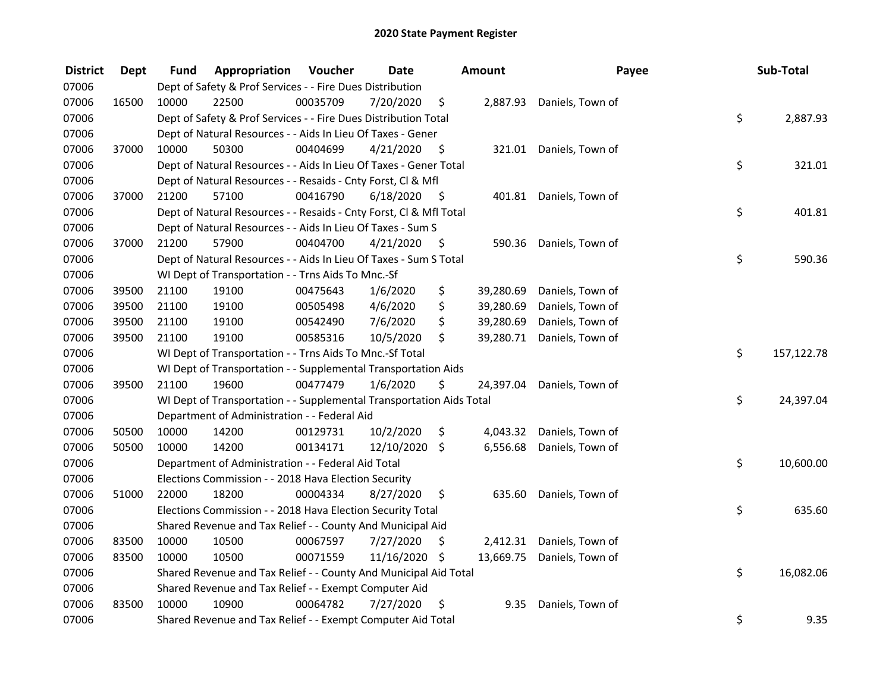| <b>District</b> | <b>Dept</b> | Fund  | Appropriation                                                        | Voucher  | <b>Date</b>   |         | <b>Amount</b> | Payee                     | Sub-Total        |
|-----------------|-------------|-------|----------------------------------------------------------------------|----------|---------------|---------|---------------|---------------------------|------------------|
| 07006           |             |       | Dept of Safety & Prof Services - - Fire Dues Distribution            |          |               |         |               |                           |                  |
| 07006           | 16500       | 10000 | 22500                                                                | 00035709 | 7/20/2020     | \$      |               | 2,887.93 Daniels, Town of |                  |
| 07006           |             |       | Dept of Safety & Prof Services - - Fire Dues Distribution Total      |          |               |         |               |                           | \$<br>2,887.93   |
| 07006           |             |       | Dept of Natural Resources - - Aids In Lieu Of Taxes - Gener          |          |               |         |               |                           |                  |
| 07006           | 37000       | 10000 | 50300                                                                | 00404699 | 4/21/2020     | - \$    |               | 321.01 Daniels, Town of   |                  |
| 07006           |             |       | Dept of Natural Resources - - Aids In Lieu Of Taxes - Gener Total    |          |               |         |               |                           | \$<br>321.01     |
| 07006           |             |       | Dept of Natural Resources - - Resaids - Cnty Forst, Cl & Mfl         |          |               |         |               |                           |                  |
| 07006           | 37000       | 21200 | 57100                                                                | 00416790 | 6/18/2020     | - \$    |               | 401.81 Daniels, Town of   |                  |
| 07006           |             |       | Dept of Natural Resources - - Resaids - Cnty Forst, Cl & Mfl Total   |          |               |         |               |                           | \$<br>401.81     |
| 07006           |             |       | Dept of Natural Resources - - Aids In Lieu Of Taxes - Sum S          |          |               |         |               |                           |                  |
| 07006           | 37000       | 21200 | 57900                                                                | 00404700 | 4/21/2020     | \$      | 590.36        | Daniels, Town of          |                  |
| 07006           |             |       | Dept of Natural Resources - - Aids In Lieu Of Taxes - Sum S Total    |          |               |         |               |                           | \$<br>590.36     |
| 07006           |             |       | WI Dept of Transportation - - Trns Aids To Mnc.-Sf                   |          |               |         |               |                           |                  |
| 07006           | 39500       | 21100 | 19100                                                                | 00475643 | 1/6/2020      | \$      | 39,280.69     | Daniels, Town of          |                  |
| 07006           | 39500       | 21100 | 19100                                                                | 00505498 | 4/6/2020      | \$      | 39,280.69     | Daniels, Town of          |                  |
| 07006           | 39500       | 21100 | 19100                                                                | 00542490 | 7/6/2020      | \$      | 39,280.69     | Daniels, Town of          |                  |
| 07006           | 39500       | 21100 | 19100                                                                | 00585316 | 10/5/2020     | \$      | 39,280.71     | Daniels, Town of          |                  |
| 07006           |             |       | WI Dept of Transportation - - Trns Aids To Mnc.-Sf Total             |          |               |         |               |                           | \$<br>157,122.78 |
| 07006           |             |       | WI Dept of Transportation - - Supplemental Transportation Aids       |          |               |         |               |                           |                  |
| 07006           | 39500       | 21100 | 19600                                                                | 00477479 | 1/6/2020      | \$      | 24,397.04     | Daniels, Town of          |                  |
| 07006           |             |       | WI Dept of Transportation - - Supplemental Transportation Aids Total |          |               |         |               |                           | \$<br>24,397.04  |
| 07006           |             |       | Department of Administration - - Federal Aid                         |          |               |         |               |                           |                  |
| 07006           | 50500       | 10000 | 14200                                                                | 00129731 | 10/2/2020     | \$      | 4,043.32      | Daniels, Town of          |                  |
| 07006           | 50500       | 10000 | 14200                                                                | 00134171 | 12/10/2020    | $\zeta$ | 6,556.68      | Daniels, Town of          |                  |
| 07006           |             |       | Department of Administration - - Federal Aid Total                   |          |               |         |               |                           | \$<br>10,600.00  |
| 07006           |             |       | Elections Commission - - 2018 Hava Election Security                 |          |               |         |               |                           |                  |
| 07006           | 51000       | 22000 | 18200                                                                | 00004334 | 8/27/2020     | \$      | 635.60        | Daniels, Town of          |                  |
| 07006           |             |       | Elections Commission - - 2018 Hava Election Security Total           |          |               |         |               |                           | \$<br>635.60     |
| 07006           |             |       | Shared Revenue and Tax Relief - - County And Municipal Aid           |          |               |         |               |                           |                  |
| 07006           | 83500       | 10000 | 10500                                                                | 00067597 | 7/27/2020     | \$      | 2,412.31      | Daniels, Town of          |                  |
| 07006           | 83500       | 10000 | 10500                                                                | 00071559 | 11/16/2020 \$ |         | 13,669.75     | Daniels, Town of          |                  |
| 07006           |             |       | Shared Revenue and Tax Relief - - County And Municipal Aid Total     |          |               |         |               |                           | \$<br>16,082.06  |
| 07006           |             |       | Shared Revenue and Tax Relief - - Exempt Computer Aid                |          |               |         |               |                           |                  |
| 07006           | 83500       | 10000 | 10900                                                                | 00064782 | 7/27/2020     | \$,     | 9.35          | Daniels, Town of          |                  |
| 07006           |             |       | Shared Revenue and Tax Relief - - Exempt Computer Aid Total          |          |               |         |               |                           | \$<br>9.35       |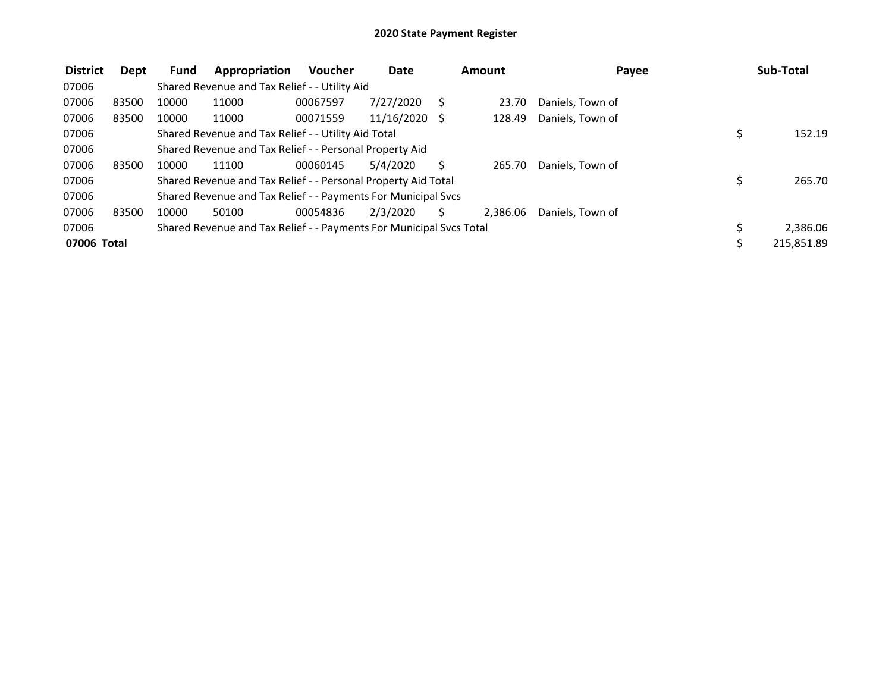| <b>District</b> | Dept  | <b>Fund</b> | Appropriation                                                       | <b>Voucher</b> | <b>Date</b> | Amount   | Payee            |     | Sub-Total  |
|-----------------|-------|-------------|---------------------------------------------------------------------|----------------|-------------|----------|------------------|-----|------------|
| 07006           |       |             | Shared Revenue and Tax Relief - - Utility Aid                       |                |             |          |                  |     |            |
| 07006           | 83500 | 10000       | 11000                                                               | 00067597       | 7/27/2020   | 23.70    | Daniels, Town of |     |            |
| 07006           | 83500 | 10000       | 11000                                                               | 00071559       | 11/16/2020  | 128.49   | Daniels, Town of |     |            |
| 07006           |       |             | Shared Revenue and Tax Relief - - Utility Aid Total                 |                |             |          |                  | \$  | 152.19     |
| 07006           |       |             | Shared Revenue and Tax Relief - - Personal Property Aid             |                |             |          |                  |     |            |
| 07006           | 83500 | 10000       | 11100                                                               | 00060145       | 5/4/2020    | 265.70   | Daniels, Town of |     |            |
| 07006           |       |             | Shared Revenue and Tax Relief - - Personal Property Aid Total       |                |             |          |                  |     | 265.70     |
| 07006           |       |             | Shared Revenue and Tax Relief - - Payments For Municipal Svcs       |                |             |          |                  |     |            |
| 07006           | 83500 | 10000       | 50100                                                               | 00054836       | 2/3/2020    | 2.386.06 | Daniels. Town of |     |            |
| 07006           |       |             | Shared Revenue and Tax Relief - - Payments For Municipal Svcs Total |                |             |          |                  | \$. | 2,386.06   |
| 07006 Total     |       |             |                                                                     |                |             |          |                  | Ś   | 215,851.89 |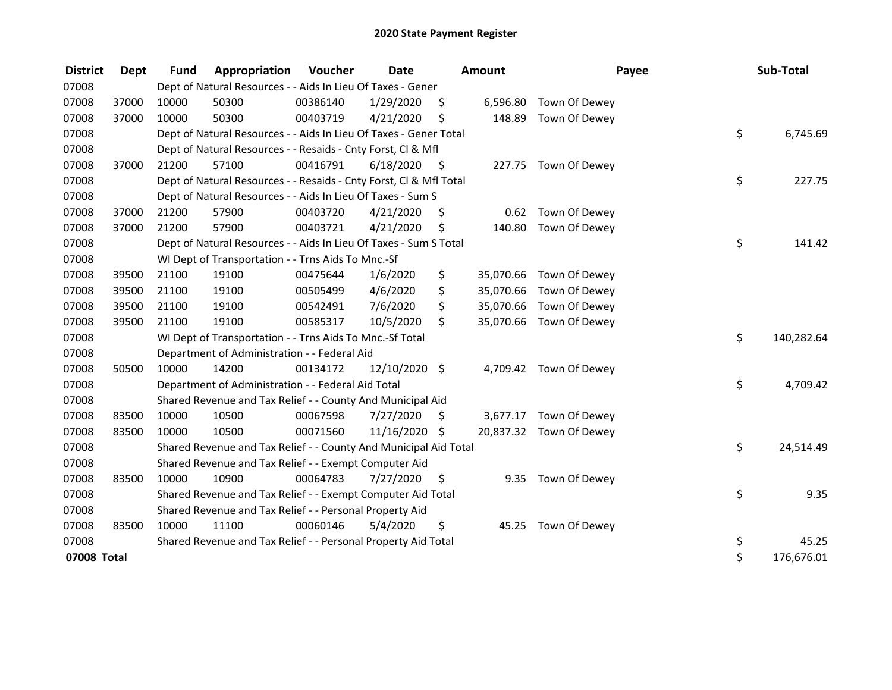| <b>District</b> | <b>Dept</b> | <b>Fund</b> | Appropriation                                                      | Voucher  | <b>Date</b>   |      | Amount    | Payee                   | Sub-Total        |
|-----------------|-------------|-------------|--------------------------------------------------------------------|----------|---------------|------|-----------|-------------------------|------------------|
| 07008           |             |             | Dept of Natural Resources - - Aids In Lieu Of Taxes - Gener        |          |               |      |           |                         |                  |
| 07008           | 37000       | 10000       | 50300                                                              | 00386140 | 1/29/2020     | \$   | 6,596.80  | Town Of Dewey           |                  |
| 07008           | 37000       | 10000       | 50300                                                              | 00403719 | 4/21/2020     | \$   | 148.89    | Town Of Dewey           |                  |
| 07008           |             |             | Dept of Natural Resources - - Aids In Lieu Of Taxes - Gener Total  |          |               |      |           |                         | \$<br>6,745.69   |
| 07008           |             |             | Dept of Natural Resources - - Resaids - Cnty Forst, Cl & Mfl       |          |               |      |           |                         |                  |
| 07008           | 37000       | 21200       | 57100                                                              | 00416791 | 6/18/2020     | - \$ |           | 227.75 Town Of Dewey    |                  |
| 07008           |             |             | Dept of Natural Resources - - Resaids - Cnty Forst, Cl & Mfl Total |          |               |      |           |                         | \$<br>227.75     |
| 07008           |             |             | Dept of Natural Resources - - Aids In Lieu Of Taxes - Sum S        |          |               |      |           |                         |                  |
| 07008           | 37000       | 21200       | 57900                                                              | 00403720 | 4/21/2020     | \$,  | 0.62      | Town Of Dewey           |                  |
| 07008           | 37000       | 21200       | 57900                                                              | 00403721 | 4/21/2020     | \$   | 140.80    | Town Of Dewey           |                  |
| 07008           |             |             | Dept of Natural Resources - - Aids In Lieu Of Taxes - Sum S Total  |          |               |      |           |                         | \$<br>141.42     |
| 07008           |             |             | WI Dept of Transportation - - Trns Aids To Mnc.-Sf                 |          |               |      |           |                         |                  |
| 07008           | 39500       | 21100       | 19100                                                              | 00475644 | 1/6/2020      | \$   |           | 35,070.66 Town Of Dewey |                  |
| 07008           | 39500       | 21100       | 19100                                                              | 00505499 | 4/6/2020      | \$   | 35,070.66 | Town Of Dewey           |                  |
| 07008           | 39500       | 21100       | 19100                                                              | 00542491 | 7/6/2020      | \$   | 35,070.66 | Town Of Dewey           |                  |
| 07008           | 39500       | 21100       | 19100                                                              | 00585317 | 10/5/2020     | \$   |           | 35,070.66 Town Of Dewey |                  |
| 07008           |             |             | WI Dept of Transportation - - Trns Aids To Mnc.-Sf Total           |          |               |      |           |                         | \$<br>140,282.64 |
| 07008           |             |             | Department of Administration - - Federal Aid                       |          |               |      |           |                         |                  |
| 07008           | 50500       | 10000       | 14200                                                              | 00134172 | 12/10/2020 \$ |      |           | 4,709.42 Town Of Dewey  |                  |
| 07008           |             |             | Department of Administration - - Federal Aid Total                 |          |               |      |           |                         | \$<br>4,709.42   |
| 07008           |             |             | Shared Revenue and Tax Relief - - County And Municipal Aid         |          |               |      |           |                         |                  |
| 07008           | 83500       | 10000       | 10500                                                              | 00067598 | 7/27/2020     | \$   | 3,677.17  | Town Of Dewey           |                  |
| 07008           | 83500       | 10000       | 10500                                                              | 00071560 | 11/16/2020    | \$   |           | 20,837.32 Town Of Dewey |                  |
| 07008           |             |             | Shared Revenue and Tax Relief - - County And Municipal Aid Total   |          |               |      |           |                         | \$<br>24,514.49  |
| 07008           |             |             | Shared Revenue and Tax Relief - - Exempt Computer Aid              |          |               |      |           |                         |                  |
| 07008           | 83500       | 10000       | 10900                                                              | 00064783 | 7/27/2020     | \$   | 9.35      | Town Of Dewey           |                  |
| 07008           |             |             | Shared Revenue and Tax Relief - - Exempt Computer Aid Total        |          |               |      |           |                         | \$<br>9.35       |
| 07008           |             |             | Shared Revenue and Tax Relief - - Personal Property Aid            |          |               |      |           |                         |                  |
| 07008           | 83500       | 10000       | 11100                                                              | 00060146 | 5/4/2020      | \$   | 45.25     | Town Of Dewey           |                  |
| 07008           |             |             | Shared Revenue and Tax Relief - - Personal Property Aid Total      |          |               |      |           |                         | \$<br>45.25      |
| 07008 Total     |             |             |                                                                    |          |               |      |           |                         | \$<br>176,676.01 |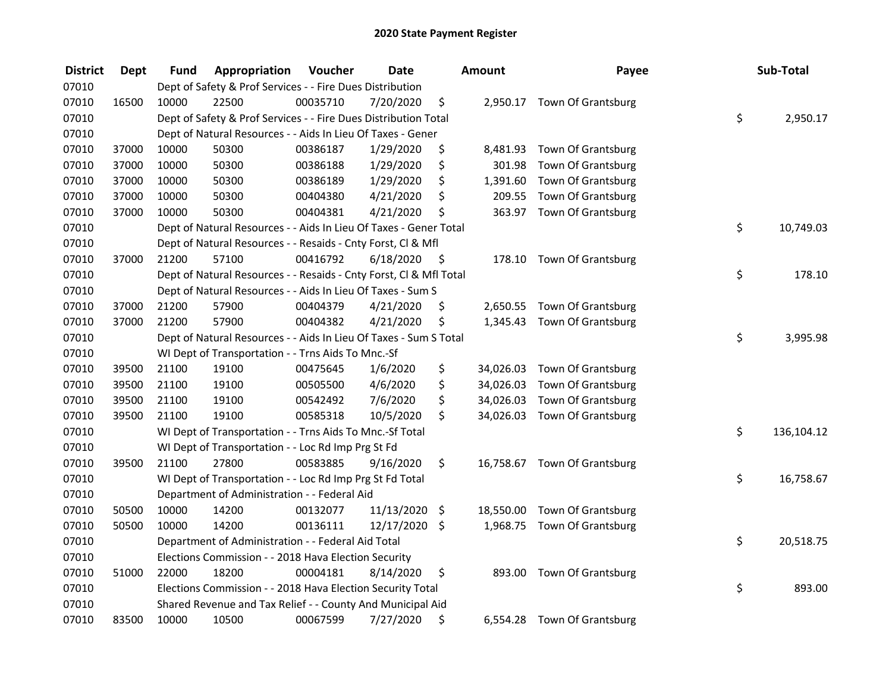| <b>District</b> | <b>Dept</b> | <b>Fund</b> | Appropriation                                                      | Voucher  | <b>Date</b>   |      | <b>Amount</b> | Payee                        | Sub-Total        |
|-----------------|-------------|-------------|--------------------------------------------------------------------|----------|---------------|------|---------------|------------------------------|------------------|
| 07010           |             |             | Dept of Safety & Prof Services - - Fire Dues Distribution          |          |               |      |               |                              |                  |
| 07010           | 16500       | 10000       | 22500                                                              | 00035710 | 7/20/2020     | \$   |               | 2,950.17 Town Of Grantsburg  |                  |
| 07010           |             |             | Dept of Safety & Prof Services - - Fire Dues Distribution Total    |          |               |      |               |                              | \$<br>2,950.17   |
| 07010           |             |             | Dept of Natural Resources - - Aids In Lieu Of Taxes - Gener        |          |               |      |               |                              |                  |
| 07010           | 37000       | 10000       | 50300                                                              | 00386187 | 1/29/2020     | \$   | 8,481.93      | <b>Town Of Grantsburg</b>    |                  |
| 07010           | 37000       | 10000       | 50300                                                              | 00386188 | 1/29/2020     | \$   | 301.98        | <b>Town Of Grantsburg</b>    |                  |
| 07010           | 37000       | 10000       | 50300                                                              | 00386189 | 1/29/2020     | \$   | 1,391.60      | <b>Town Of Grantsburg</b>    |                  |
| 07010           | 37000       | 10000       | 50300                                                              | 00404380 | 4/21/2020     | \$   | 209.55        | <b>Town Of Grantsburg</b>    |                  |
| 07010           | 37000       | 10000       | 50300                                                              | 00404381 | 4/21/2020     | \$   |               | 363.97 Town Of Grantsburg    |                  |
| 07010           |             |             | Dept of Natural Resources - - Aids In Lieu Of Taxes - Gener Total  |          |               |      |               |                              | \$<br>10,749.03  |
| 07010           |             |             | Dept of Natural Resources - - Resaids - Cnty Forst, Cl & Mfl       |          |               |      |               |                              |                  |
| 07010           | 37000       | 21200       | 57100                                                              | 00416792 | 6/18/2020     | - \$ | 178.10        | Town Of Grantsburg           |                  |
| 07010           |             |             | Dept of Natural Resources - - Resaids - Cnty Forst, Cl & Mfl Total |          |               |      |               |                              | \$<br>178.10     |
| 07010           |             |             | Dept of Natural Resources - - Aids In Lieu Of Taxes - Sum S        |          |               |      |               |                              |                  |
| 07010           | 37000       | 21200       | 57900                                                              | 00404379 | 4/21/2020     | \$   | 2,650.55      | Town Of Grantsburg           |                  |
| 07010           | 37000       | 21200       | 57900                                                              | 00404382 | 4/21/2020     | \$   |               | 1,345.43 Town Of Grantsburg  |                  |
| 07010           |             |             | Dept of Natural Resources - - Aids In Lieu Of Taxes - Sum S Total  |          |               |      |               |                              | \$<br>3,995.98   |
| 07010           |             |             | WI Dept of Transportation - - Trns Aids To Mnc.-Sf                 |          |               |      |               |                              |                  |
| 07010           | 39500       | 21100       | 19100                                                              | 00475645 | 1/6/2020      | \$   | 34,026.03     | <b>Town Of Grantsburg</b>    |                  |
| 07010           | 39500       | 21100       | 19100                                                              | 00505500 | 4/6/2020      | \$   | 34,026.03     | <b>Town Of Grantsburg</b>    |                  |
| 07010           | 39500       | 21100       | 19100                                                              | 00542492 | 7/6/2020      | \$   | 34,026.03     | Town Of Grantsburg           |                  |
| 07010           | 39500       | 21100       | 19100                                                              | 00585318 | 10/5/2020     | \$   |               | 34,026.03 Town Of Grantsburg |                  |
| 07010           |             |             | WI Dept of Transportation - - Trns Aids To Mnc.-Sf Total           |          |               |      |               |                              | \$<br>136,104.12 |
| 07010           |             |             | WI Dept of Transportation - - Loc Rd Imp Prg St Fd                 |          |               |      |               |                              |                  |
| 07010           | 39500       | 21100       | 27800                                                              | 00583885 | 9/16/2020     | \$   |               | 16,758.67 Town Of Grantsburg |                  |
| 07010           |             |             | WI Dept of Transportation - - Loc Rd Imp Prg St Fd Total           |          |               |      |               |                              | \$<br>16,758.67  |
| 07010           |             |             | Department of Administration - - Federal Aid                       |          |               |      |               |                              |                  |
| 07010           | 50500       | 10000       | 14200                                                              | 00132077 | 11/13/2020 \$ |      | 18,550.00     | Town Of Grantsburg           |                  |
| 07010           | 50500       | 10000       | 14200                                                              | 00136111 | 12/17/2020 \$ |      | 1,968.75      | <b>Town Of Grantsburg</b>    |                  |
| 07010           |             |             | Department of Administration - - Federal Aid Total                 |          |               |      |               |                              | \$<br>20,518.75  |
| 07010           |             |             | Elections Commission - - 2018 Hava Election Security               |          |               |      |               |                              |                  |
| 07010           | 51000       | 22000       | 18200                                                              | 00004181 | 8/14/2020     | \$   | 893.00        | Town Of Grantsburg           |                  |
| 07010           |             |             | Elections Commission - - 2018 Hava Election Security Total         |          |               |      |               |                              | \$<br>893.00     |
| 07010           |             |             | Shared Revenue and Tax Relief - - County And Municipal Aid         |          |               |      |               |                              |                  |
| 07010           | 83500       | 10000       | 10500                                                              | 00067599 | 7/27/2020     | \$   | 6,554.28      | <b>Town Of Grantsburg</b>    |                  |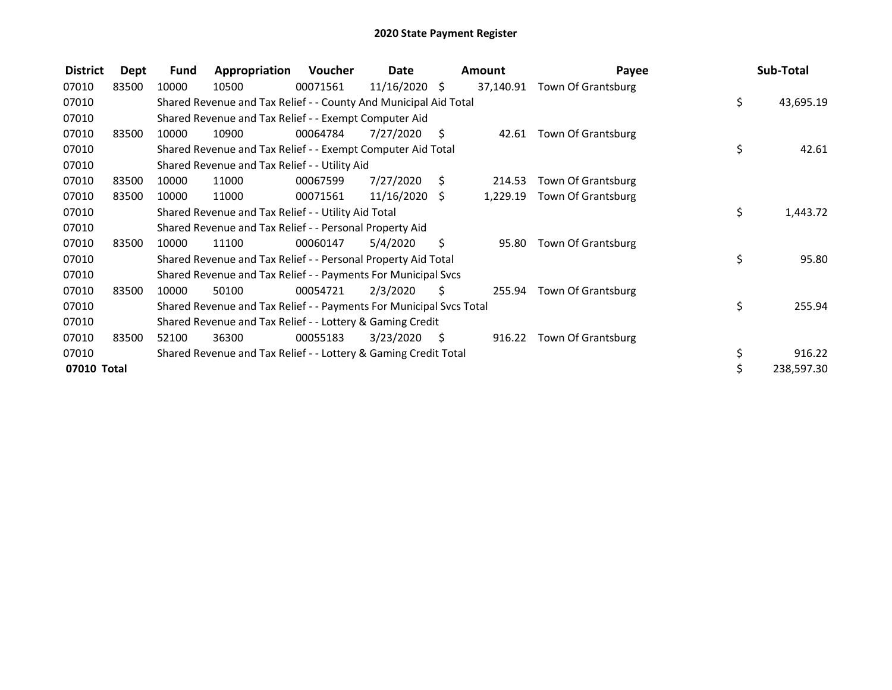| <b>District</b> | Dept  | Fund  | Appropriation                                                       | Voucher  | Date            |      | Amount    | Payee              |     | Sub-Total  |
|-----------------|-------|-------|---------------------------------------------------------------------|----------|-----------------|------|-----------|--------------------|-----|------------|
| 07010           | 83500 | 10000 | 10500                                                               | 00071561 | $11/16/2020$ \$ |      | 37,140.91 | Town Of Grantsburg |     |            |
| 07010           |       |       | Shared Revenue and Tax Relief - - County And Municipal Aid Total    |          |                 |      |           |                    | \$. | 43,695.19  |
| 07010           |       |       | Shared Revenue and Tax Relief - - Exempt Computer Aid               |          |                 |      |           |                    |     |            |
| 07010           | 83500 | 10000 | 10900                                                               | 00064784 | 7/27/2020       | - \$ | 42.61     | Town Of Grantsburg |     |            |
| 07010           |       |       | Shared Revenue and Tax Relief - - Exempt Computer Aid Total         |          |                 |      |           |                    | \$  | 42.61      |
| 07010           |       |       | Shared Revenue and Tax Relief - - Utility Aid                       |          |                 |      |           |                    |     |            |
| 07010           | 83500 | 10000 | 11000                                                               | 00067599 | 7/27/2020       | S.   | 214.53    | Town Of Grantsburg |     |            |
| 07010           | 83500 | 10000 | 11000                                                               | 00071561 | $11/16/2020$ \$ |      | 1,229.19  | Town Of Grantsburg |     |            |
| 07010           |       |       | Shared Revenue and Tax Relief - - Utility Aid Total                 |          |                 |      |           |                    | \$  | 1,443.72   |
| 07010           |       |       | Shared Revenue and Tax Relief - - Personal Property Aid             |          |                 |      |           |                    |     |            |
| 07010           | 83500 | 10000 | 11100                                                               | 00060147 | 5/4/2020        | \$   | 95.80     | Town Of Grantsburg |     |            |
| 07010           |       |       | Shared Revenue and Tax Relief - - Personal Property Aid Total       |          |                 |      |           |                    | \$  | 95.80      |
| 07010           |       |       | Shared Revenue and Tax Relief - - Payments For Municipal Svcs       |          |                 |      |           |                    |     |            |
| 07010           | 83500 | 10000 | 50100                                                               | 00054721 | 2/3/2020        | S    | 255.94    | Town Of Grantsburg |     |            |
| 07010           |       |       | Shared Revenue and Tax Relief - - Payments For Municipal Svcs Total |          |                 |      |           |                    | \$  | 255.94     |
| 07010           |       |       | Shared Revenue and Tax Relief - - Lottery & Gaming Credit           |          |                 |      |           |                    |     |            |
| 07010           | 83500 | 52100 | 36300                                                               | 00055183 | 3/23/2020       | - \$ | 916.22    | Town Of Grantsburg |     |            |
| 07010           |       |       | Shared Revenue and Tax Relief - - Lottery & Gaming Credit Total     |          |                 |      |           |                    | \$  | 916.22     |
| 07010 Total     |       |       |                                                                     |          |                 |      |           |                    | \$. | 238,597.30 |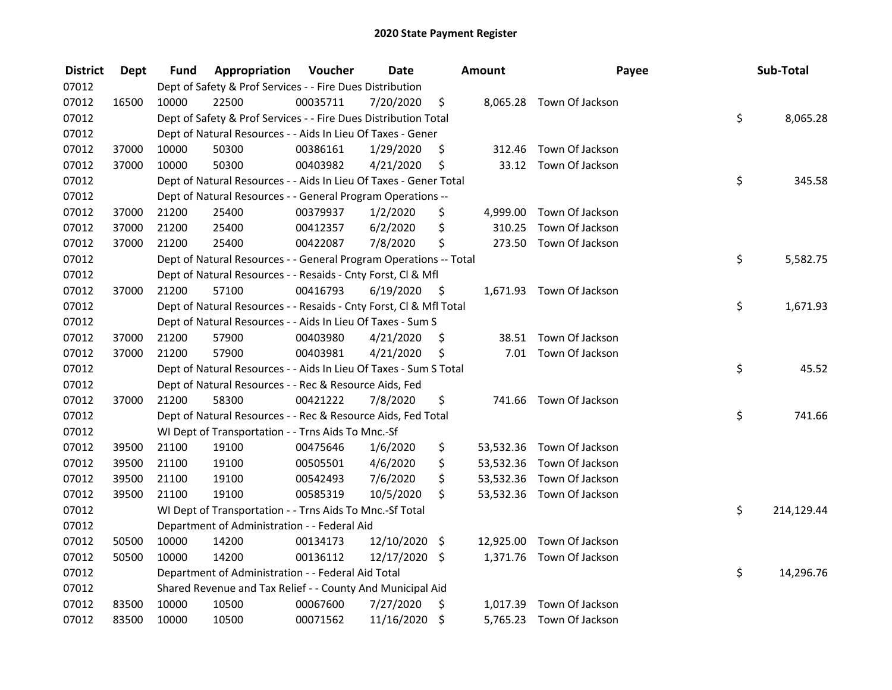| <b>District</b> | <b>Dept</b> | Fund  | Appropriation                                                      | Voucher  | <b>Date</b>   |         | Amount   | Payee                     | Sub-Total        |
|-----------------|-------------|-------|--------------------------------------------------------------------|----------|---------------|---------|----------|---------------------------|------------------|
| 07012           |             |       | Dept of Safety & Prof Services - - Fire Dues Distribution          |          |               |         |          |                           |                  |
| 07012           | 16500       | 10000 | 22500                                                              | 00035711 | 7/20/2020     | \$      |          | 8,065.28 Town Of Jackson  |                  |
| 07012           |             |       | Dept of Safety & Prof Services - - Fire Dues Distribution Total    |          |               |         |          |                           | \$<br>8,065.28   |
| 07012           |             |       | Dept of Natural Resources - - Aids In Lieu Of Taxes - Gener        |          |               |         |          |                           |                  |
| 07012           | 37000       | 10000 | 50300                                                              | 00386161 | 1/29/2020     | \$      |          | 312.46 Town Of Jackson    |                  |
| 07012           | 37000       | 10000 | 50300                                                              | 00403982 | 4/21/2020     | \$      |          | 33.12 Town Of Jackson     |                  |
| 07012           |             |       | Dept of Natural Resources - - Aids In Lieu Of Taxes - Gener Total  |          |               |         |          |                           | \$<br>345.58     |
| 07012           |             |       | Dept of Natural Resources - - General Program Operations --        |          |               |         |          |                           |                  |
| 07012           | 37000       | 21200 | 25400                                                              | 00379937 | 1/2/2020      | \$      |          | 4,999.00 Town Of Jackson  |                  |
| 07012           | 37000       | 21200 | 25400                                                              | 00412357 | 6/2/2020      | \$      | 310.25   | Town Of Jackson           |                  |
| 07012           | 37000       | 21200 | 25400                                                              | 00422087 | 7/8/2020      | \$      |          | 273.50 Town Of Jackson    |                  |
| 07012           |             |       | Dept of Natural Resources - - General Program Operations -- Total  |          |               |         |          |                           | \$<br>5,582.75   |
| 07012           |             |       | Dept of Natural Resources - - Resaids - Cnty Forst, CI & Mfl       |          |               |         |          |                           |                  |
| 07012           | 37000       | 21200 | 57100                                                              | 00416793 | 6/19/2020     | - \$    |          | 1,671.93 Town Of Jackson  |                  |
| 07012           |             |       | Dept of Natural Resources - - Resaids - Cnty Forst, Cl & Mfl Total |          |               |         |          |                           | \$<br>1,671.93   |
| 07012           |             |       | Dept of Natural Resources - - Aids In Lieu Of Taxes - Sum S        |          |               |         |          |                           |                  |
| 07012           | 37000       | 21200 | 57900                                                              | 00403980 | 4/21/2020     | \$      |          | 38.51 Town Of Jackson     |                  |
| 07012           | 37000       | 21200 | 57900                                                              | 00403981 | 4/21/2020     | \$      |          | 7.01 Town Of Jackson      |                  |
| 07012           |             |       | Dept of Natural Resources - - Aids In Lieu Of Taxes - Sum S Total  |          |               |         |          |                           | \$<br>45.52      |
| 07012           |             |       | Dept of Natural Resources - - Rec & Resource Aids, Fed             |          |               |         |          |                           |                  |
| 07012           | 37000       | 21200 | 58300                                                              | 00421222 | 7/8/2020      | \$      |          | 741.66 Town Of Jackson    |                  |
| 07012           |             |       | Dept of Natural Resources - - Rec & Resource Aids, Fed Total       |          |               |         |          |                           | \$<br>741.66     |
| 07012           |             |       | WI Dept of Transportation - - Trns Aids To Mnc.-Sf                 |          |               |         |          |                           |                  |
| 07012           | 39500       | 21100 | 19100                                                              | 00475646 | 1/6/2020      | \$      |          | 53,532.36 Town Of Jackson |                  |
| 07012           | 39500       | 21100 | 19100                                                              | 00505501 | 4/6/2020      | \$      |          | 53,532.36 Town Of Jackson |                  |
| 07012           | 39500       | 21100 | 19100                                                              | 00542493 | 7/6/2020      | \$      |          | 53,532.36 Town Of Jackson |                  |
| 07012           | 39500       | 21100 | 19100                                                              | 00585319 | 10/5/2020     | \$      |          | 53,532.36 Town Of Jackson |                  |
| 07012           |             |       | WI Dept of Transportation - - Trns Aids To Mnc.-Sf Total           |          |               |         |          |                           | \$<br>214,129.44 |
| 07012           |             |       | Department of Administration - - Federal Aid                       |          |               |         |          |                           |                  |
| 07012           | 50500       | 10000 | 14200                                                              | 00134173 | 12/10/2020 \$ |         |          | 12,925.00 Town Of Jackson |                  |
| 07012           | 50500       | 10000 | 14200                                                              | 00136112 | 12/17/2020 \$ |         |          | 1,371.76 Town Of Jackson  |                  |
| 07012           |             |       | Department of Administration - - Federal Aid Total                 |          |               |         |          |                           | \$<br>14,296.76  |
| 07012           |             |       | Shared Revenue and Tax Relief - - County And Municipal Aid         |          |               |         |          |                           |                  |
| 07012           | 83500       | 10000 | 10500                                                              | 00067600 | 7/27/2020     | \$      | 1,017.39 | Town Of Jackson           |                  |
| 07012           | 83500       | 10000 | 10500                                                              | 00071562 | 11/16/2020    | $\zeta$ | 5,765.23 | Town Of Jackson           |                  |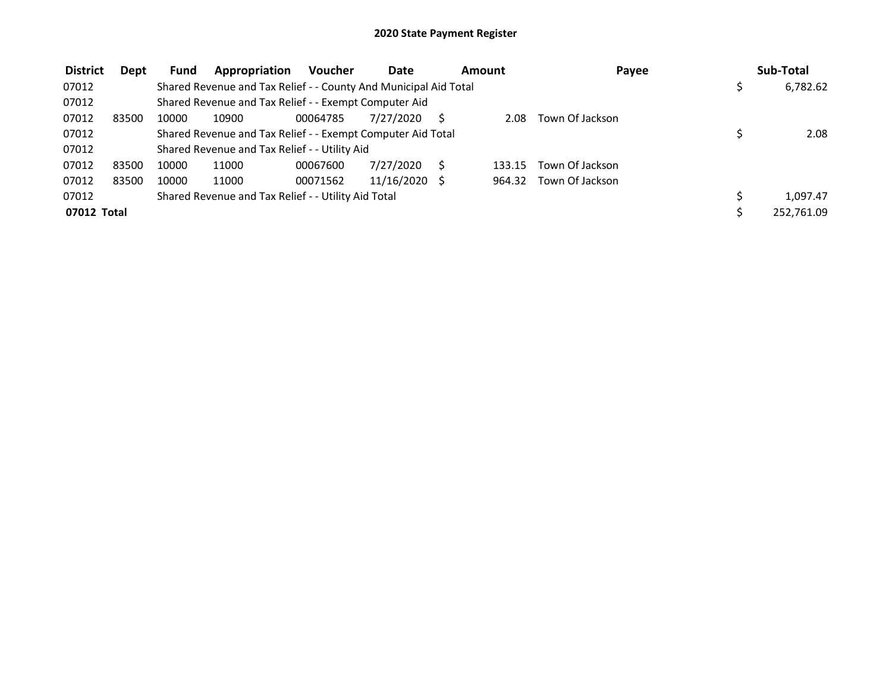| <b>District</b> | Dept  | <b>Fund</b> | Appropriation                                                    | <b>Voucher</b> | Date          | <b>Amount</b> | Payee           | Sub-Total  |
|-----------------|-------|-------------|------------------------------------------------------------------|----------------|---------------|---------------|-----------------|------------|
| 07012           |       |             | Shared Revenue and Tax Relief - - County And Municipal Aid Total |                |               |               |                 | 6,782.62   |
| 07012           |       |             | Shared Revenue and Tax Relief - - Exempt Computer Aid            |                |               |               |                 |            |
| 07012           | 83500 | 10000       | 10900                                                            | 00064785       | 7/27/2020     | 2.08          | Town Of Jackson |            |
| 07012           |       |             | Shared Revenue and Tax Relief - - Exempt Computer Aid Total      |                |               |               |                 | 2.08       |
| 07012           |       |             | Shared Revenue and Tax Relief - - Utility Aid                    |                |               |               |                 |            |
| 07012           | 83500 | 10000       | 11000                                                            | 00067600       | 7/27/2020     | 133.15        | Town Of Jackson |            |
| 07012           | 83500 | 10000       | 11000                                                            | 00071562       | 11/16/2020 \$ | 964.32        | Town Of Jackson |            |
| 07012           |       |             | Shared Revenue and Tax Relief - - Utility Aid Total              |                |               |               |                 | 1.097.47   |
| 07012 Total     |       |             |                                                                  |                |               |               |                 | 252,761.09 |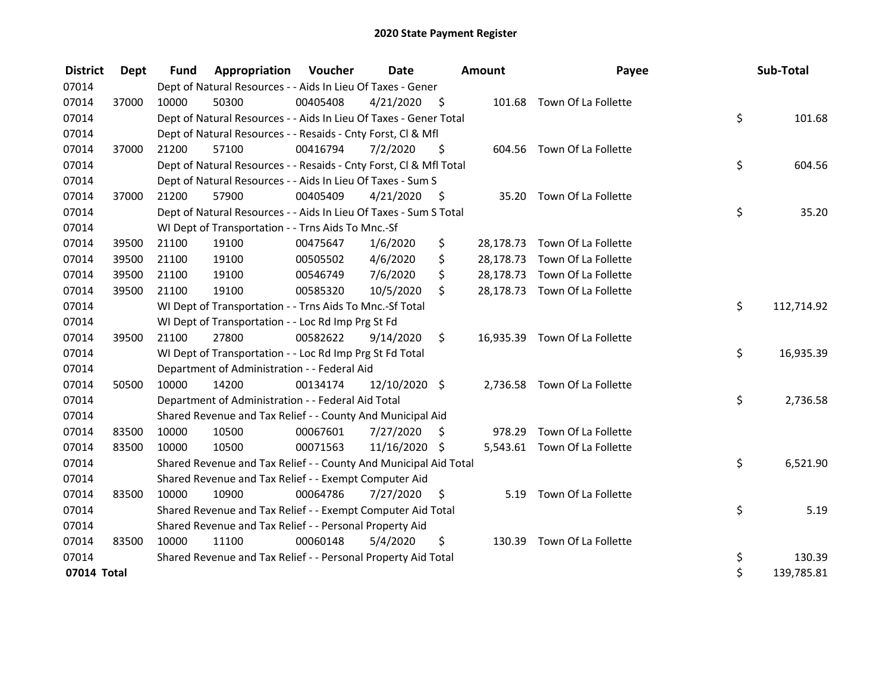| <b>District</b> | Dept  | <b>Fund</b> | <b>Appropriation Voucher</b>                                       |          | Date            |      | <b>Amount</b> | Payee                         | Sub-Total        |
|-----------------|-------|-------------|--------------------------------------------------------------------|----------|-----------------|------|---------------|-------------------------------|------------------|
| 07014           |       |             | Dept of Natural Resources - - Aids In Lieu Of Taxes - Gener        |          |                 |      |               |                               |                  |
| 07014           | 37000 | 10000       | 50300                                                              | 00405408 | 4/21/2020       | - \$ |               | 101.68 Town Of La Follette    |                  |
| 07014           |       |             | Dept of Natural Resources - - Aids In Lieu Of Taxes - Gener Total  |          |                 |      |               |                               | \$<br>101.68     |
| 07014           |       |             | Dept of Natural Resources - - Resaids - Cnty Forst, CI & Mfl       |          |                 |      |               |                               |                  |
| 07014           | 37000 | 21200       | 57100                                                              | 00416794 | 7/2/2020        | \$   |               | 604.56 Town Of La Follette    |                  |
| 07014           |       |             | Dept of Natural Resources - - Resaids - Cnty Forst, Cl & Mfl Total |          |                 |      |               |                               | \$<br>604.56     |
| 07014           |       |             | Dept of Natural Resources - - Aids In Lieu Of Taxes - Sum S        |          |                 |      |               |                               |                  |
| 07014           | 37000 | 21200       | 57900                                                              | 00405409 | 4/21/2020       | - \$ |               | 35.20 Town Of La Follette     |                  |
| 07014           |       |             | Dept of Natural Resources - - Aids In Lieu Of Taxes - Sum S Total  |          |                 |      |               |                               | \$<br>35.20      |
| 07014           |       |             | WI Dept of Transportation - - Trns Aids To Mnc.-Sf                 |          |                 |      |               |                               |                  |
| 07014           | 39500 | 21100       | 19100                                                              | 00475647 | 1/6/2020        | \$   |               | 28,178.73 Town Of La Follette |                  |
| 07014           | 39500 | 21100       | 19100                                                              | 00505502 | 4/6/2020        | \$   |               | 28,178.73 Town Of La Follette |                  |
| 07014           | 39500 | 21100       | 19100                                                              | 00546749 | 7/6/2020        | \$   |               | 28,178.73 Town Of La Follette |                  |
| 07014           | 39500 | 21100       | 19100                                                              | 00585320 | 10/5/2020       | \$.  |               | 28,178.73 Town Of La Follette |                  |
| 07014           |       |             | WI Dept of Transportation - - Trns Aids To Mnc.-Sf Total           |          |                 |      |               |                               | \$<br>112,714.92 |
| 07014           |       |             | WI Dept of Transportation - - Loc Rd Imp Prg St Fd                 |          |                 |      |               |                               |                  |
| 07014           | 39500 | 21100       | 27800                                                              | 00582622 | 9/14/2020       | \$   |               | 16,935.39 Town Of La Follette |                  |
| 07014           |       |             | WI Dept of Transportation - - Loc Rd Imp Prg St Fd Total           |          |                 |      |               |                               | \$<br>16,935.39  |
| 07014           |       |             | Department of Administration - - Federal Aid                       |          |                 |      |               |                               |                  |
| 07014           | 50500 | 10000       | 14200                                                              | 00134174 | $12/10/2020$ \$ |      |               | 2,736.58 Town Of La Follette  |                  |
| 07014           |       |             | Department of Administration - - Federal Aid Total                 |          |                 |      |               |                               | \$<br>2,736.58   |
| 07014           |       |             | Shared Revenue and Tax Relief - - County And Municipal Aid         |          |                 |      |               |                               |                  |
| 07014           | 83500 | 10000       | 10500                                                              | 00067601 | 7/27/2020       | \$   |               | 978.29 Town Of La Follette    |                  |
| 07014           | 83500 | 10000       | 10500                                                              | 00071563 | 11/16/2020 \$   |      |               | 5,543.61 Town Of La Follette  |                  |
| 07014           |       |             | Shared Revenue and Tax Relief - - County And Municipal Aid Total   |          |                 |      |               |                               | \$<br>6,521.90   |
| 07014           |       |             | Shared Revenue and Tax Relief - - Exempt Computer Aid              |          |                 |      |               |                               |                  |
| 07014           | 83500 | 10000       | 10900                                                              | 00064786 | 7/27/2020       | \$   |               | 5.19 Town Of La Follette      |                  |
| 07014           |       |             | Shared Revenue and Tax Relief - - Exempt Computer Aid Total        |          |                 |      |               |                               | \$<br>5.19       |
| 07014           |       |             | Shared Revenue and Tax Relief - - Personal Property Aid            |          |                 |      |               |                               |                  |
| 07014           | 83500 | 10000       | 11100                                                              | 00060148 | 5/4/2020        | \$   |               | 130.39 Town Of La Follette    |                  |
| 07014           |       |             | Shared Revenue and Tax Relief - - Personal Property Aid Total      |          |                 |      |               |                               | \$<br>130.39     |
| 07014 Total     |       |             |                                                                    |          |                 |      |               |                               | \$<br>139,785.81 |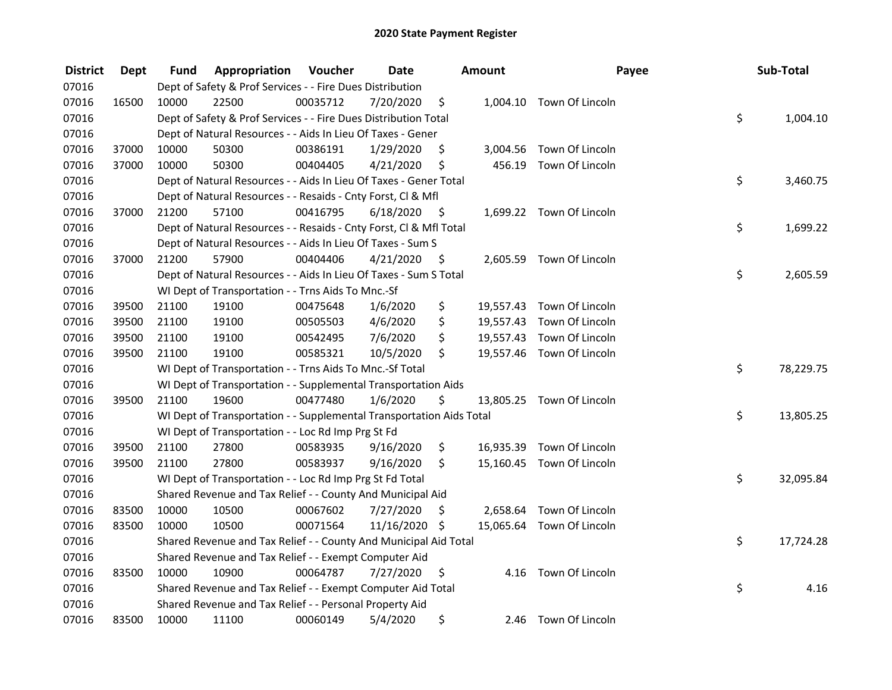| <b>District</b> | <b>Dept</b> | Fund  | Appropriation                                                        | Voucher  | <b>Date</b>   |      | <b>Amount</b> | Payee                     | Sub-Total       |
|-----------------|-------------|-------|----------------------------------------------------------------------|----------|---------------|------|---------------|---------------------------|-----------------|
| 07016           |             |       | Dept of Safety & Prof Services - - Fire Dues Distribution            |          |               |      |               |                           |                 |
| 07016           | 16500       | 10000 | 22500                                                                | 00035712 | 7/20/2020     | \$   |               | 1,004.10 Town Of Lincoln  |                 |
| 07016           |             |       | Dept of Safety & Prof Services - - Fire Dues Distribution Total      |          |               |      |               |                           | \$<br>1,004.10  |
| 07016           |             |       | Dept of Natural Resources - - Aids In Lieu Of Taxes - Gener          |          |               |      |               |                           |                 |
| 07016           | 37000       | 10000 | 50300                                                                | 00386191 | 1/29/2020     | \$   |               | 3,004.56 Town Of Lincoln  |                 |
| 07016           | 37000       | 10000 | 50300                                                                | 00404405 | 4/21/2020     | \$   |               | 456.19 Town Of Lincoln    |                 |
| 07016           |             |       | Dept of Natural Resources - - Aids In Lieu Of Taxes - Gener Total    |          |               |      |               |                           | \$<br>3,460.75  |
| 07016           |             |       | Dept of Natural Resources - - Resaids - Cnty Forst, Cl & Mfl         |          |               |      |               |                           |                 |
| 07016           | 37000       | 21200 | 57100                                                                | 00416795 | 6/18/2020     | - \$ |               | 1,699.22 Town Of Lincoln  |                 |
| 07016           |             |       | Dept of Natural Resources - - Resaids - Cnty Forst, Cl & Mfl Total   |          |               |      |               |                           | \$<br>1,699.22  |
| 07016           |             |       | Dept of Natural Resources - - Aids In Lieu Of Taxes - Sum S          |          |               |      |               |                           |                 |
| 07016           | 37000       | 21200 | 57900                                                                | 00404406 | 4/21/2020     | \$,  |               | 2,605.59 Town Of Lincoln  |                 |
| 07016           |             |       | Dept of Natural Resources - - Aids In Lieu Of Taxes - Sum S Total    |          |               |      |               |                           | \$<br>2,605.59  |
| 07016           |             |       | WI Dept of Transportation - - Trns Aids To Mnc.-Sf                   |          |               |      |               |                           |                 |
| 07016           | 39500       | 21100 | 19100                                                                | 00475648 | 1/6/2020      | \$   | 19,557.43     | Town Of Lincoln           |                 |
| 07016           | 39500       | 21100 | 19100                                                                | 00505503 | 4/6/2020      | \$   |               | 19,557.43 Town Of Lincoln |                 |
| 07016           | 39500       | 21100 | 19100                                                                | 00542495 | 7/6/2020      | \$   |               | 19,557.43 Town Of Lincoln |                 |
| 07016           | 39500       | 21100 | 19100                                                                | 00585321 | 10/5/2020     | \$   |               | 19,557.46 Town Of Lincoln |                 |
| 07016           |             |       | WI Dept of Transportation - - Trns Aids To Mnc.-Sf Total             |          |               |      |               |                           | \$<br>78,229.75 |
| 07016           |             |       | WI Dept of Transportation - - Supplemental Transportation Aids       |          |               |      |               |                           |                 |
| 07016           | 39500       | 21100 | 19600                                                                | 00477480 | 1/6/2020      | \$   |               | 13,805.25 Town Of Lincoln |                 |
| 07016           |             |       | WI Dept of Transportation - - Supplemental Transportation Aids Total |          |               |      |               |                           | \$<br>13,805.25 |
| 07016           |             |       | WI Dept of Transportation - - Loc Rd Imp Prg St Fd                   |          |               |      |               |                           |                 |
| 07016           | 39500       | 21100 | 27800                                                                | 00583935 | 9/16/2020     | \$   |               | 16,935.39 Town Of Lincoln |                 |
| 07016           | 39500       | 21100 | 27800                                                                | 00583937 | 9/16/2020     | \$   |               | 15,160.45 Town Of Lincoln |                 |
| 07016           |             |       | WI Dept of Transportation - - Loc Rd Imp Prg St Fd Total             |          |               |      |               |                           | \$<br>32,095.84 |
| 07016           |             |       | Shared Revenue and Tax Relief - - County And Municipal Aid           |          |               |      |               |                           |                 |
| 07016           | 83500       | 10000 | 10500                                                                | 00067602 | 7/27/2020     | \$   |               | 2,658.64 Town Of Lincoln  |                 |
| 07016           | 83500       | 10000 | 10500                                                                | 00071564 | 11/16/2020 \$ |      |               | 15,065.64 Town Of Lincoln |                 |
| 07016           |             |       | Shared Revenue and Tax Relief - - County And Municipal Aid Total     |          |               |      |               |                           | \$<br>17,724.28 |
| 07016           |             |       | Shared Revenue and Tax Relief - - Exempt Computer Aid                |          |               |      |               |                           |                 |
| 07016           | 83500       | 10000 | 10900                                                                | 00064787 | 7/27/2020     | \$   |               | 4.16 Town Of Lincoln      |                 |
| 07016           |             |       | Shared Revenue and Tax Relief - - Exempt Computer Aid Total          |          |               |      |               |                           | \$<br>4.16      |
| 07016           |             |       | Shared Revenue and Tax Relief - - Personal Property Aid              |          |               |      |               |                           |                 |
| 07016           | 83500       | 10000 | 11100                                                                | 00060149 | 5/4/2020      | \$   | 2.46          | Town Of Lincoln           |                 |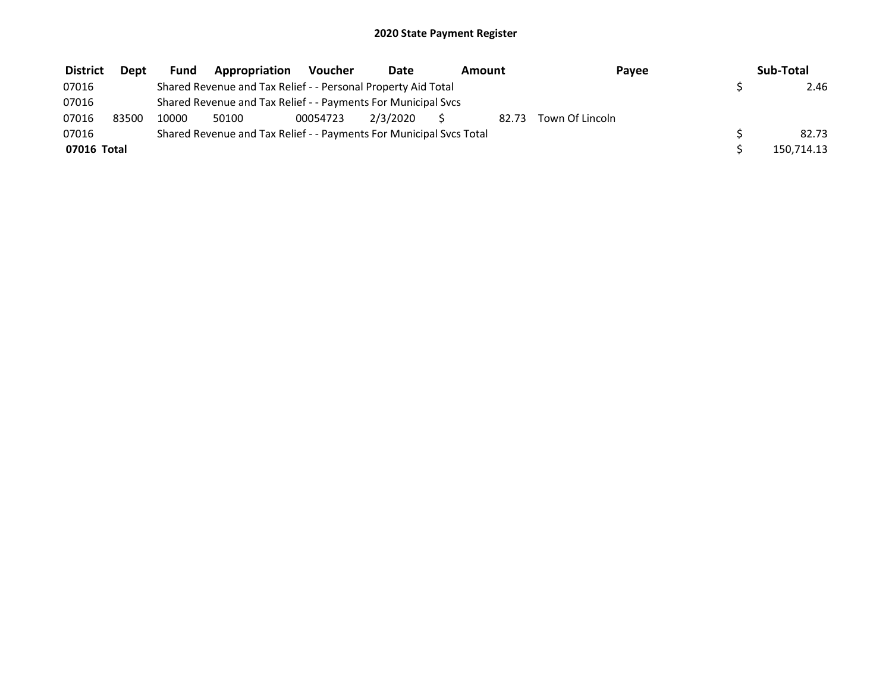| <b>District</b> | <b>Dept</b> | <b>Fund</b> | Appropriation                                                       | Voucher  | <b>Date</b> | Amount |       | Payee           | Sub-Total  |
|-----------------|-------------|-------------|---------------------------------------------------------------------|----------|-------------|--------|-------|-----------------|------------|
| 07016           |             |             | Shared Revenue and Tax Relief - - Personal Property Aid Total       |          |             |        |       |                 | 2.46       |
| 07016           |             |             | Shared Revenue and Tax Relief - - Payments For Municipal Svcs       |          |             |        |       |                 |            |
| 07016           | 83500       | 10000       | 50100                                                               | 00054723 | 2/3/2020    |        | 82.73 | Town Of Lincoln |            |
| 07016           |             |             | Shared Revenue and Tax Relief - - Payments For Municipal Svcs Total |          |             |        |       |                 | 82.73      |
| 07016 Total     |             |             |                                                                     |          |             |        |       |                 | 150,714.13 |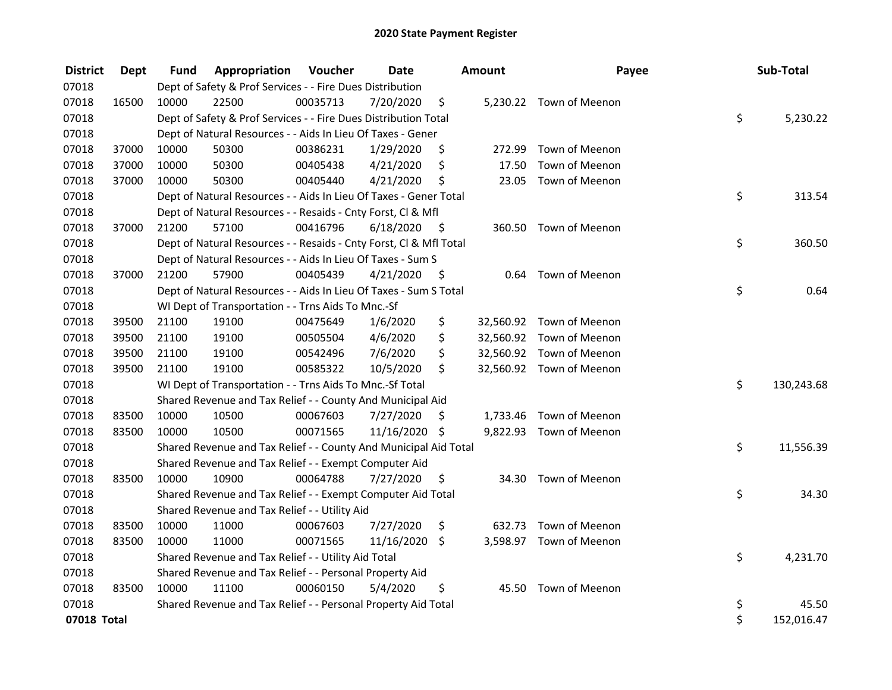| <b>District</b> | <b>Dept</b> | Fund  | Appropriation                                                      | Voucher  | <b>Date</b>   |      | Amount | Payee                    | Sub-Total        |
|-----------------|-------------|-------|--------------------------------------------------------------------|----------|---------------|------|--------|--------------------------|------------------|
| 07018           |             |       | Dept of Safety & Prof Services - - Fire Dues Distribution          |          |               |      |        |                          |                  |
| 07018           | 16500       | 10000 | 22500                                                              | 00035713 | 7/20/2020     | \$   |        | 5,230.22 Town of Meenon  |                  |
| 07018           |             |       | Dept of Safety & Prof Services - - Fire Dues Distribution Total    |          |               |      |        |                          | \$<br>5,230.22   |
| 07018           |             |       | Dept of Natural Resources - - Aids In Lieu Of Taxes - Gener        |          |               |      |        |                          |                  |
| 07018           | 37000       | 10000 | 50300                                                              | 00386231 | 1/29/2020     | \$   | 272.99 | Town of Meenon           |                  |
| 07018           | 37000       | 10000 | 50300                                                              | 00405438 | 4/21/2020     | \$   | 17.50  | Town of Meenon           |                  |
| 07018           | 37000       | 10000 | 50300                                                              | 00405440 | 4/21/2020     | \$   | 23.05  | Town of Meenon           |                  |
| 07018           |             |       | Dept of Natural Resources - - Aids In Lieu Of Taxes - Gener Total  |          |               |      |        |                          | \$<br>313.54     |
| 07018           |             |       | Dept of Natural Resources - - Resaids - Cnty Forst, Cl & Mfl       |          |               |      |        |                          |                  |
| 07018           | 37000       | 21200 | 57100                                                              | 00416796 | 6/18/2020     | - \$ |        | 360.50 Town of Meenon    |                  |
| 07018           |             |       | Dept of Natural Resources - - Resaids - Cnty Forst, Cl & Mfl Total |          |               |      |        |                          | \$<br>360.50     |
| 07018           |             |       | Dept of Natural Resources - - Aids In Lieu Of Taxes - Sum S        |          |               |      |        |                          |                  |
| 07018           | 37000       | 21200 | 57900                                                              | 00405439 | 4/21/2020     | S    | 0.64   | Town of Meenon           |                  |
| 07018           |             |       | Dept of Natural Resources - - Aids In Lieu Of Taxes - Sum S Total  |          |               |      |        |                          | \$<br>0.64       |
| 07018           |             |       | WI Dept of Transportation - - Trns Aids To Mnc.-Sf                 |          |               |      |        |                          |                  |
| 07018           | 39500       | 21100 | 19100                                                              | 00475649 | 1/6/2020      | \$   |        | 32,560.92 Town of Meenon |                  |
| 07018           | 39500       | 21100 | 19100                                                              | 00505504 | 4/6/2020      | \$   |        | 32,560.92 Town of Meenon |                  |
| 07018           | 39500       | 21100 | 19100                                                              | 00542496 | 7/6/2020      | \$   |        | 32,560.92 Town of Meenon |                  |
| 07018           | 39500       | 21100 | 19100                                                              | 00585322 | 10/5/2020     | \$   |        | 32,560.92 Town of Meenon |                  |
| 07018           |             |       | WI Dept of Transportation - - Trns Aids To Mnc.-Sf Total           |          |               |      |        |                          | \$<br>130,243.68 |
| 07018           |             |       | Shared Revenue and Tax Relief - - County And Municipal Aid         |          |               |      |        |                          |                  |
| 07018           | 83500       | 10000 | 10500                                                              | 00067603 | 7/27/2020     | \$.  |        | 1,733.46 Town of Meenon  |                  |
| 07018           | 83500       | 10000 | 10500                                                              | 00071565 | 11/16/2020 \$ |      |        | 9,822.93 Town of Meenon  |                  |
| 07018           |             |       | Shared Revenue and Tax Relief - - County And Municipal Aid Total   |          |               |      |        |                          | \$<br>11,556.39  |
| 07018           |             |       | Shared Revenue and Tax Relief - - Exempt Computer Aid              |          |               |      |        |                          |                  |
| 07018           | 83500       | 10000 | 10900                                                              | 00064788 | 7/27/2020     | \$   | 34.30  | Town of Meenon           |                  |
| 07018           |             |       | Shared Revenue and Tax Relief - - Exempt Computer Aid Total        |          |               |      |        |                          | \$<br>34.30      |
| 07018           |             |       | Shared Revenue and Tax Relief - - Utility Aid                      |          |               |      |        |                          |                  |
| 07018           | 83500       | 10000 | 11000                                                              | 00067603 | 7/27/2020     | \$   |        | 632.73 Town of Meenon    |                  |
| 07018           | 83500       | 10000 | 11000                                                              | 00071565 | 11/16/2020    | \$   |        | 3,598.97 Town of Meenon  |                  |
| 07018           |             |       | Shared Revenue and Tax Relief - - Utility Aid Total                |          |               |      |        |                          | \$<br>4,231.70   |
| 07018           |             |       | Shared Revenue and Tax Relief - - Personal Property Aid            |          |               |      |        |                          |                  |
| 07018           | 83500       | 10000 | 11100                                                              | 00060150 | 5/4/2020      | \$   | 45.50  | Town of Meenon           |                  |
| 07018           |             |       | Shared Revenue and Tax Relief - - Personal Property Aid Total      |          |               |      |        |                          | \$<br>45.50      |
| 07018 Total     |             |       |                                                                    |          |               |      |        |                          | \$<br>152,016.47 |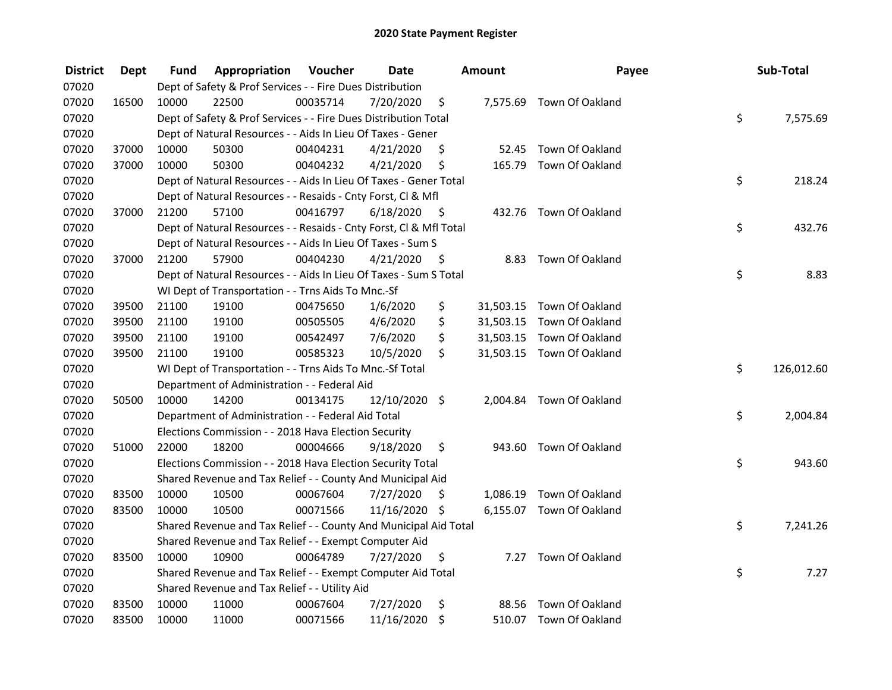| <b>District</b> | <b>Dept</b> | Fund  | Appropriation                                                      | Voucher  | <b>Date</b>   |                     | <b>Amount</b> | Payee                     | Sub-Total        |
|-----------------|-------------|-------|--------------------------------------------------------------------|----------|---------------|---------------------|---------------|---------------------------|------------------|
| 07020           |             |       | Dept of Safety & Prof Services - - Fire Dues Distribution          |          |               |                     |               |                           |                  |
| 07020           | 16500       | 10000 | 22500                                                              | 00035714 | 7/20/2020     | \$                  |               | 7,575.69 Town Of Oakland  |                  |
| 07020           |             |       | Dept of Safety & Prof Services - - Fire Dues Distribution Total    |          |               |                     |               |                           | \$<br>7,575.69   |
| 07020           |             |       | Dept of Natural Resources - - Aids In Lieu Of Taxes - Gener        |          |               |                     |               |                           |                  |
| 07020           | 37000       | 10000 | 50300                                                              | 00404231 | 4/21/2020     | \$                  | 52.45         | Town Of Oakland           |                  |
| 07020           | 37000       | 10000 | 50300                                                              | 00404232 | 4/21/2020     | \$                  | 165.79        | Town Of Oakland           |                  |
| 07020           |             |       | Dept of Natural Resources - - Aids In Lieu Of Taxes - Gener Total  |          |               |                     |               |                           | \$<br>218.24     |
| 07020           |             |       | Dept of Natural Resources - - Resaids - Cnty Forst, Cl & Mfl       |          |               |                     |               |                           |                  |
| 07020           | 37000       | 21200 | 57100                                                              | 00416797 | 6/18/2020     | - \$                |               | 432.76 Town Of Oakland    |                  |
| 07020           |             |       | Dept of Natural Resources - - Resaids - Cnty Forst, Cl & Mfl Total |          |               |                     |               |                           | \$<br>432.76     |
| 07020           |             |       | Dept of Natural Resources - - Aids In Lieu Of Taxes - Sum S        |          |               |                     |               |                           |                  |
| 07020           | 37000       | 21200 | 57900                                                              | 00404230 | 4/21/2020     | -\$                 | 8.83          | Town Of Oakland           |                  |
| 07020           |             |       | Dept of Natural Resources - - Aids In Lieu Of Taxes - Sum S Total  |          |               |                     |               |                           | \$<br>8.83       |
| 07020           |             |       | WI Dept of Transportation - - Trns Aids To Mnc.-Sf                 |          |               |                     |               |                           |                  |
| 07020           | 39500       | 21100 | 19100                                                              | 00475650 | 1/6/2020      | \$                  | 31,503.15     | Town Of Oakland           |                  |
| 07020           | 39500       | 21100 | 19100                                                              | 00505505 | 4/6/2020      | \$                  |               | 31,503.15 Town Of Oakland |                  |
| 07020           | 39500       | 21100 | 19100                                                              | 00542497 | 7/6/2020      | \$                  |               | 31,503.15 Town Of Oakland |                  |
| 07020           | 39500       | 21100 | 19100                                                              | 00585323 | 10/5/2020     | \$                  |               | 31,503.15 Town Of Oakland |                  |
| 07020           |             |       | WI Dept of Transportation - - Trns Aids To Mnc.-Sf Total           |          |               |                     |               |                           | \$<br>126,012.60 |
| 07020           |             |       | Department of Administration - - Federal Aid                       |          |               |                     |               |                           |                  |
| 07020           | 50500       | 10000 | 14200                                                              | 00134175 | 12/10/2020 \$ |                     |               | 2,004.84 Town Of Oakland  |                  |
| 07020           |             |       | Department of Administration - - Federal Aid Total                 |          |               |                     |               |                           | \$<br>2,004.84   |
| 07020           |             |       | Elections Commission - - 2018 Hava Election Security               |          |               |                     |               |                           |                  |
| 07020           | 51000       | 22000 | 18200                                                              | 00004666 | 9/18/2020     | \$                  |               | 943.60 Town Of Oakland    |                  |
| 07020           |             |       | Elections Commission - - 2018 Hava Election Security Total         |          |               |                     |               |                           | \$<br>943.60     |
| 07020           |             |       | Shared Revenue and Tax Relief - - County And Municipal Aid         |          |               |                     |               |                           |                  |
| 07020           | 83500       | 10000 | 10500                                                              | 00067604 | 7/27/2020     | S.                  |               | 1,086.19 Town Of Oakland  |                  |
| 07020           | 83500       | 10000 | 10500                                                              | 00071566 | 11/16/2020 \$ |                     |               | 6,155.07 Town Of Oakland  |                  |
| 07020           |             |       | Shared Revenue and Tax Relief - - County And Municipal Aid Total   |          |               |                     |               |                           | \$<br>7,241.26   |
| 07020           |             |       | Shared Revenue and Tax Relief - - Exempt Computer Aid              |          |               |                     |               |                           |                  |
| 07020           | 83500       | 10000 | 10900                                                              | 00064789 | 7/27/2020     | \$                  | 7.27          | Town Of Oakland           |                  |
| 07020           |             |       | Shared Revenue and Tax Relief - - Exempt Computer Aid Total        |          |               |                     |               |                           | \$<br>7.27       |
| 07020           |             |       | Shared Revenue and Tax Relief - - Utility Aid                      |          |               |                     |               |                           |                  |
| 07020           | 83500       | 10000 | 11000                                                              | 00067604 | 7/27/2020     | \$                  | 88.56         | Town Of Oakland           |                  |
| 07020           | 83500       | 10000 | 11000                                                              | 00071566 | 11/16/2020    | $\ddot{\bm{\zeta}}$ |               | 510.07 Town Of Oakland    |                  |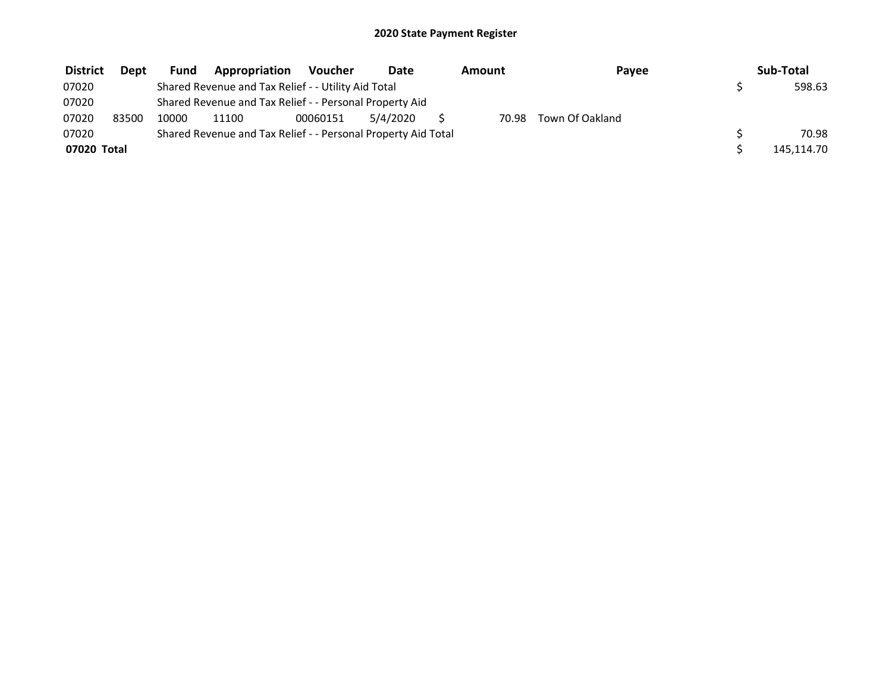| <b>District</b> | Dept  | <b>Fund</b> | Appropriation                                                 | Voucher  | Date     | Amount | Payee           | Sub-Total  |
|-----------------|-------|-------------|---------------------------------------------------------------|----------|----------|--------|-----------------|------------|
| 07020           |       |             | Shared Revenue and Tax Relief - - Utility Aid Total           |          |          |        |                 | 598.63     |
| 07020           |       |             | Shared Revenue and Tax Relief - - Personal Property Aid       |          |          |        |                 |            |
| 07020           | 83500 | 10000       | 11100                                                         | 00060151 | 5/4/2020 | 70.98  | Town Of Oakland |            |
| 07020           |       |             | Shared Revenue and Tax Relief - - Personal Property Aid Total |          |          |        |                 | 70.98      |
| 07020 Total     |       |             |                                                               |          |          |        |                 | 145,114.70 |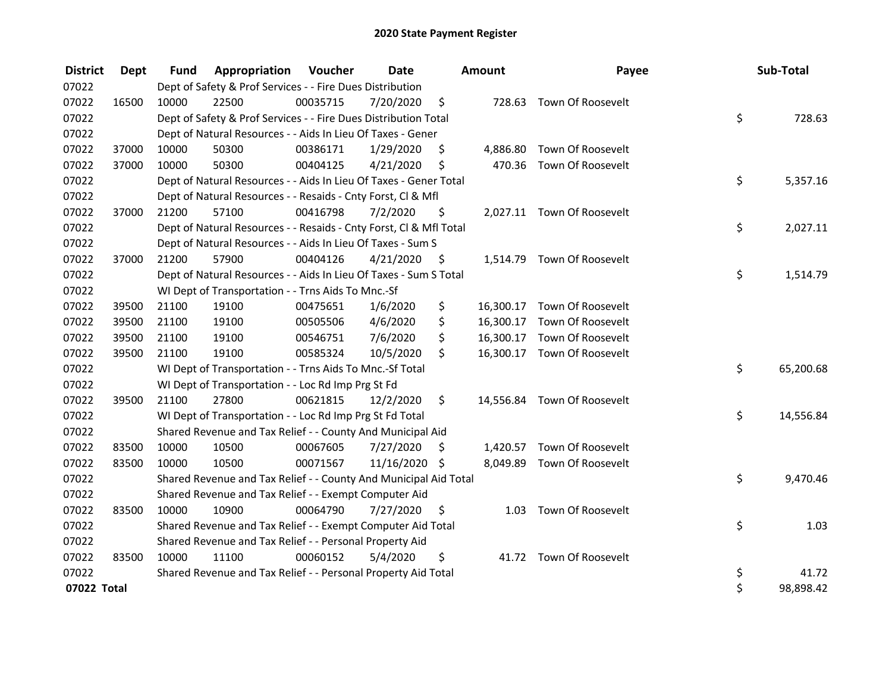| <b>District</b> | <b>Dept</b> | <b>Fund</b> | Appropriation                                                      | Voucher  | Date       |      | Amount   | Payee                       | Sub-Total       |
|-----------------|-------------|-------------|--------------------------------------------------------------------|----------|------------|------|----------|-----------------------------|-----------------|
| 07022           |             |             | Dept of Safety & Prof Services - - Fire Dues Distribution          |          |            |      |          |                             |                 |
| 07022           | 16500       | 10000       | 22500                                                              | 00035715 | 7/20/2020  | \$   |          | 728.63 Town Of Roosevelt    |                 |
| 07022           |             |             | Dept of Safety & Prof Services - - Fire Dues Distribution Total    |          |            |      |          |                             | \$<br>728.63    |
| 07022           |             |             | Dept of Natural Resources - - Aids In Lieu Of Taxes - Gener        |          |            |      |          |                             |                 |
| 07022           | 37000       | 10000       | 50300                                                              | 00386171 | 1/29/2020  | S    | 4,886.80 | Town Of Roosevelt           |                 |
| 07022           | 37000       | 10000       | 50300                                                              | 00404125 | 4/21/2020  | \$   |          | 470.36 Town Of Roosevelt    |                 |
| 07022           |             |             | Dept of Natural Resources - - Aids In Lieu Of Taxes - Gener Total  |          |            |      |          |                             | \$<br>5,357.16  |
| 07022           |             |             | Dept of Natural Resources - - Resaids - Cnty Forst, Cl & Mfl       |          |            |      |          |                             |                 |
| 07022           | 37000       | 21200       | 57100                                                              | 00416798 | 7/2/2020   | \$   |          | 2,027.11 Town Of Roosevelt  |                 |
| 07022           |             |             | Dept of Natural Resources - - Resaids - Cnty Forst, Cl & Mfl Total |          |            |      |          |                             | \$<br>2,027.11  |
| 07022           |             |             | Dept of Natural Resources - - Aids In Lieu Of Taxes - Sum S        |          |            |      |          |                             |                 |
| 07022           | 37000       | 21200       | 57900                                                              | 00404126 | 4/21/2020  | - \$ |          | 1,514.79 Town Of Roosevelt  |                 |
| 07022           |             |             | Dept of Natural Resources - - Aids In Lieu Of Taxes - Sum S Total  |          |            |      |          |                             | \$<br>1,514.79  |
| 07022           |             |             | WI Dept of Transportation - - Trns Aids To Mnc.-Sf                 |          |            |      |          |                             |                 |
| 07022           | 39500       | 21100       | 19100                                                              | 00475651 | 1/6/2020   | \$   |          | 16,300.17 Town Of Roosevelt |                 |
| 07022           | 39500       | 21100       | 19100                                                              | 00505506 | 4/6/2020   | \$   |          | 16,300.17 Town Of Roosevelt |                 |
| 07022           | 39500       | 21100       | 19100                                                              | 00546751 | 7/6/2020   | \$   |          | 16,300.17 Town Of Roosevelt |                 |
| 07022           | 39500       | 21100       | 19100                                                              | 00585324 | 10/5/2020  | \$   |          | 16,300.17 Town Of Roosevelt |                 |
| 07022           |             |             | WI Dept of Transportation - - Trns Aids To Mnc.-Sf Total           |          |            |      |          |                             | \$<br>65,200.68 |
| 07022           |             |             | WI Dept of Transportation - - Loc Rd Imp Prg St Fd                 |          |            |      |          |                             |                 |
| 07022           | 39500       | 21100       | 27800                                                              | 00621815 | 12/2/2020  | \$   |          | 14,556.84 Town Of Roosevelt |                 |
| 07022           |             |             | WI Dept of Transportation - - Loc Rd Imp Prg St Fd Total           |          |            |      |          |                             | \$<br>14,556.84 |
| 07022           |             |             | Shared Revenue and Tax Relief - - County And Municipal Aid         |          |            |      |          |                             |                 |
| 07022           | 83500       | 10000       | 10500                                                              | 00067605 | 7/27/2020  | S    |          | 1,420.57 Town Of Roosevelt  |                 |
| 07022           | 83500       | 10000       | 10500                                                              | 00071567 | 11/16/2020 | -\$  |          | 8,049.89 Town Of Roosevelt  |                 |
| 07022           |             |             | Shared Revenue and Tax Relief - - County And Municipal Aid Total   |          |            |      |          |                             | \$<br>9,470.46  |
| 07022           |             |             | Shared Revenue and Tax Relief - - Exempt Computer Aid              |          |            |      |          |                             |                 |
| 07022           | 83500       | 10000       | 10900                                                              | 00064790 | 7/27/2020  | \$   | 1.03     | Town Of Roosevelt           |                 |
| 07022           |             |             | Shared Revenue and Tax Relief - - Exempt Computer Aid Total        |          |            |      |          |                             | \$<br>1.03      |
| 07022           |             |             | Shared Revenue and Tax Relief - - Personal Property Aid            |          |            |      |          |                             |                 |
| 07022           | 83500       | 10000       | 11100                                                              | 00060152 | 5/4/2020   | \$   |          | 41.72 Town Of Roosevelt     |                 |
| 07022           |             |             | Shared Revenue and Tax Relief - - Personal Property Aid Total      |          |            |      |          |                             | \$<br>41.72     |
| 07022 Total     |             |             |                                                                    |          |            |      |          |                             | \$<br>98,898.42 |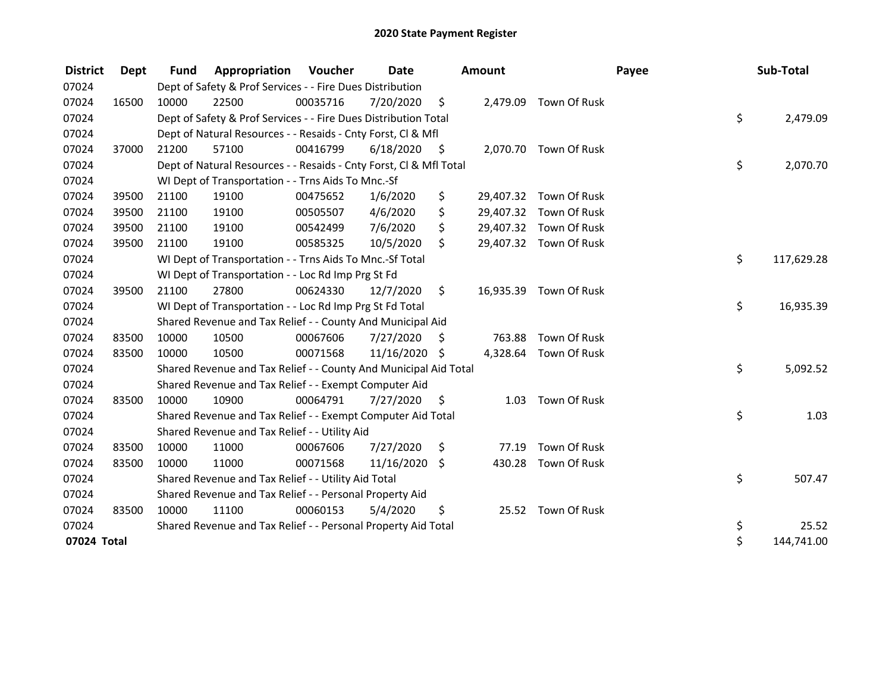| <b>District</b> | Dept  | <b>Fund</b> | Appropriation                                                      | Voucher  | <b>Date</b>   |      | Amount    |                        | Payee | Sub-Total        |
|-----------------|-------|-------------|--------------------------------------------------------------------|----------|---------------|------|-----------|------------------------|-------|------------------|
| 07024           |       |             | Dept of Safety & Prof Services - - Fire Dues Distribution          |          |               |      |           |                        |       |                  |
| 07024           | 16500 | 10000       | 22500                                                              | 00035716 | 7/20/2020     | \$   | 2,479.09  | Town Of Rusk           |       |                  |
| 07024           |       |             | Dept of Safety & Prof Services - - Fire Dues Distribution Total    |          |               |      |           |                        |       | \$<br>2,479.09   |
| 07024           |       |             | Dept of Natural Resources - - Resaids - Cnty Forst, CI & Mfl       |          |               |      |           |                        |       |                  |
| 07024           | 37000 | 21200       | 57100                                                              | 00416799 | 6/18/2020     | - \$ |           | 2,070.70 Town Of Rusk  |       |                  |
| 07024           |       |             | Dept of Natural Resources - - Resaids - Cnty Forst, Cl & Mfl Total |          |               |      |           |                        |       | \$<br>2,070.70   |
| 07024           |       |             | WI Dept of Transportation - - Trns Aids To Mnc.-Sf                 |          |               |      |           |                        |       |                  |
| 07024           | 39500 | 21100       | 19100                                                              | 00475652 | 1/6/2020      | \$   | 29,407.32 | Town Of Rusk           |       |                  |
| 07024           | 39500 | 21100       | 19100                                                              | 00505507 | 4/6/2020      | \$   |           | 29,407.32 Town Of Rusk |       |                  |
| 07024           | 39500 | 21100       | 19100                                                              | 00542499 | 7/6/2020      | \$   |           | 29,407.32 Town Of Rusk |       |                  |
| 07024           | 39500 | 21100       | 19100                                                              | 00585325 | 10/5/2020     | \$   |           | 29,407.32 Town Of Rusk |       |                  |
| 07024           |       |             | WI Dept of Transportation - - Trns Aids To Mnc.-Sf Total           |          |               |      |           |                        |       | \$<br>117,629.28 |
| 07024           |       |             | WI Dept of Transportation - - Loc Rd Imp Prg St Fd                 |          |               |      |           |                        |       |                  |
| 07024           | 39500 | 21100       | 27800                                                              | 00624330 | 12/7/2020     | \$   |           | 16,935.39 Town Of Rusk |       |                  |
| 07024           |       |             | WI Dept of Transportation - - Loc Rd Imp Prg St Fd Total           |          |               |      |           |                        |       | \$<br>16,935.39  |
| 07024           |       |             | Shared Revenue and Tax Relief - - County And Municipal Aid         |          |               |      |           |                        |       |                  |
| 07024           | 83500 | 10000       | 10500                                                              | 00067606 | 7/27/2020     | S    | 763.88    | Town Of Rusk           |       |                  |
| 07024           | 83500 | 10000       | 10500                                                              | 00071568 | 11/16/2020 \$ |      |           | 4,328.64 Town Of Rusk  |       |                  |
| 07024           |       |             | Shared Revenue and Tax Relief - - County And Municipal Aid Total   |          |               |      |           |                        |       | \$<br>5,092.52   |
| 07024           |       |             | Shared Revenue and Tax Relief - - Exempt Computer Aid              |          |               |      |           |                        |       |                  |
| 07024           | 83500 | 10000       | 10900                                                              | 00064791 | 7/27/2020     | \$   | 1.03      | Town Of Rusk           |       |                  |
| 07024           |       |             | Shared Revenue and Tax Relief - - Exempt Computer Aid Total        |          |               |      |           |                        |       | \$<br>1.03       |
| 07024           |       |             | Shared Revenue and Tax Relief - - Utility Aid                      |          |               |      |           |                        |       |                  |
| 07024           | 83500 | 10000       | 11000                                                              | 00067606 | 7/27/2020     | \$   | 77.19     | Town Of Rusk           |       |                  |
| 07024           | 83500 | 10000       | 11000                                                              | 00071568 | 11/16/2020    | \$   | 430.28    | Town Of Rusk           |       |                  |
| 07024           |       |             | Shared Revenue and Tax Relief - - Utility Aid Total                |          |               |      |           |                        |       | \$<br>507.47     |
| 07024           |       |             | Shared Revenue and Tax Relief - - Personal Property Aid            |          |               |      |           |                        |       |                  |
| 07024           | 83500 | 10000       | 11100                                                              | 00060153 | 5/4/2020      | \$   |           | 25.52 Town Of Rusk     |       |                  |
| 07024           |       |             | Shared Revenue and Tax Relief - - Personal Property Aid Total      |          |               |      |           |                        |       | \$<br>25.52      |
| 07024 Total     |       |             |                                                                    |          |               |      |           |                        |       | \$<br>144,741.00 |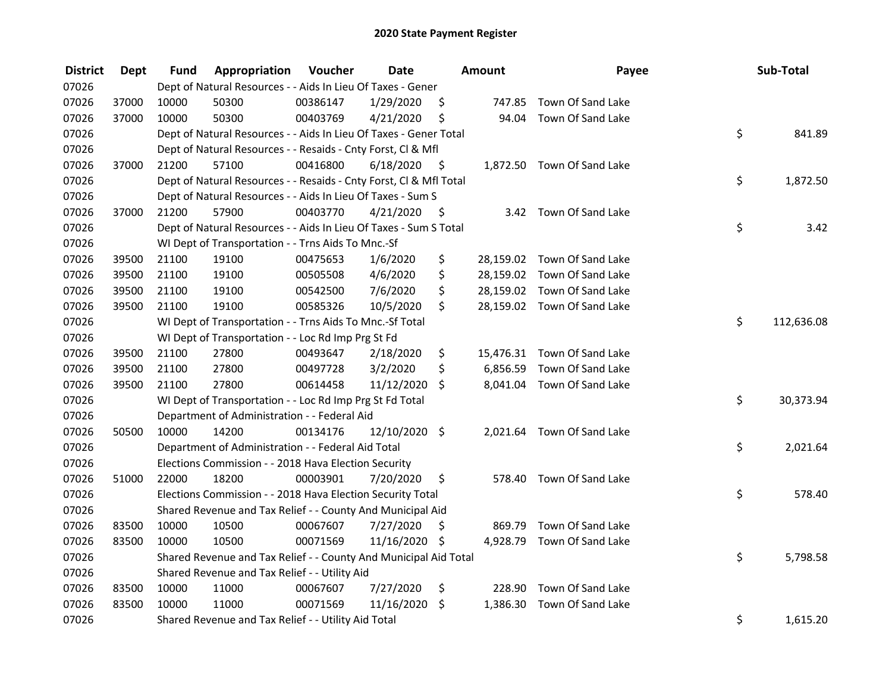| <b>District</b> | <b>Dept</b> | Fund  | Appropriation                                                      | Voucher  | <b>Date</b>   |      | <b>Amount</b> | Payee                       | Sub-Total        |
|-----------------|-------------|-------|--------------------------------------------------------------------|----------|---------------|------|---------------|-----------------------------|------------------|
| 07026           |             |       | Dept of Natural Resources - - Aids In Lieu Of Taxes - Gener        |          |               |      |               |                             |                  |
| 07026           | 37000       | 10000 | 50300                                                              | 00386147 | 1/29/2020     | \$   |               | 747.85 Town Of Sand Lake    |                  |
| 07026           | 37000       | 10000 | 50300                                                              | 00403769 | 4/21/2020     | \$   |               | 94.04 Town Of Sand Lake     |                  |
| 07026           |             |       | Dept of Natural Resources - - Aids In Lieu Of Taxes - Gener Total  |          |               |      |               |                             | \$<br>841.89     |
| 07026           |             |       | Dept of Natural Resources - - Resaids - Cnty Forst, Cl & Mfl       |          |               |      |               |                             |                  |
| 07026           | 37000       | 21200 | 57100                                                              | 00416800 | 6/18/2020     | - \$ |               | 1,872.50 Town Of Sand Lake  |                  |
| 07026           |             |       | Dept of Natural Resources - - Resaids - Cnty Forst, CI & Mfl Total |          |               |      |               |                             | \$<br>1,872.50   |
| 07026           |             |       | Dept of Natural Resources - - Aids In Lieu Of Taxes - Sum S        |          |               |      |               |                             |                  |
| 07026           | 37000       | 21200 | 57900                                                              | 00403770 | 4/21/2020     | - \$ |               | 3.42 Town Of Sand Lake      |                  |
| 07026           |             |       | Dept of Natural Resources - - Aids In Lieu Of Taxes - Sum S Total  |          |               |      |               |                             | \$<br>3.42       |
| 07026           |             |       | WI Dept of Transportation - - Trns Aids To Mnc.-Sf                 |          |               |      |               |                             |                  |
| 07026           | 39500       | 21100 | 19100                                                              | 00475653 | 1/6/2020      | \$   |               | 28,159.02 Town Of Sand Lake |                  |
| 07026           | 39500       | 21100 | 19100                                                              | 00505508 | 4/6/2020      | \$   |               | 28,159.02 Town Of Sand Lake |                  |
| 07026           | 39500       | 21100 | 19100                                                              | 00542500 | 7/6/2020      | \$   |               | 28,159.02 Town Of Sand Lake |                  |
| 07026           | 39500       | 21100 | 19100                                                              | 00585326 | 10/5/2020     | \$   |               | 28,159.02 Town Of Sand Lake |                  |
| 07026           |             |       | WI Dept of Transportation - - Trns Aids To Mnc.-Sf Total           |          |               |      |               |                             | \$<br>112,636.08 |
| 07026           |             |       | WI Dept of Transportation - - Loc Rd Imp Prg St Fd                 |          |               |      |               |                             |                  |
| 07026           | 39500       | 21100 | 27800                                                              | 00493647 | 2/18/2020     | \$   |               | 15,476.31 Town Of Sand Lake |                  |
| 07026           | 39500       | 21100 | 27800                                                              | 00497728 | 3/2/2020      | \$   |               | 6,856.59 Town Of Sand Lake  |                  |
| 07026           | 39500       | 21100 | 27800                                                              | 00614458 | 11/12/2020    | Ŝ.   |               | 8,041.04 Town Of Sand Lake  |                  |
| 07026           |             |       | WI Dept of Transportation - - Loc Rd Imp Prg St Fd Total           |          |               |      |               |                             | \$<br>30,373.94  |
| 07026           |             |       | Department of Administration - - Federal Aid                       |          |               |      |               |                             |                  |
| 07026           | 50500       | 10000 | 14200                                                              | 00134176 | 12/10/2020 \$ |      |               | 2,021.64 Town Of Sand Lake  |                  |
| 07026           |             |       | Department of Administration - - Federal Aid Total                 |          |               |      |               |                             | \$<br>2,021.64   |
| 07026           |             |       | Elections Commission - - 2018 Hava Election Security               |          |               |      |               |                             |                  |
| 07026           | 51000       | 22000 | 18200                                                              | 00003901 | 7/20/2020     | \$   |               | 578.40 Town Of Sand Lake    |                  |
| 07026           |             |       | Elections Commission - - 2018 Hava Election Security Total         |          |               |      |               |                             | \$<br>578.40     |
| 07026           |             |       | Shared Revenue and Tax Relief - - County And Municipal Aid         |          |               |      |               |                             |                  |
| 07026           | 83500       | 10000 | 10500                                                              | 00067607 | 7/27/2020     | \$   | 869.79        | Town Of Sand Lake           |                  |
| 07026           | 83500       | 10000 | 10500                                                              | 00071569 | 11/16/2020 \$ |      |               | 4,928.79 Town Of Sand Lake  |                  |
| 07026           |             |       | Shared Revenue and Tax Relief - - County And Municipal Aid Total   |          |               |      |               |                             | \$<br>5,798.58   |
| 07026           |             |       | Shared Revenue and Tax Relief - - Utility Aid                      |          |               |      |               |                             |                  |
| 07026           | 83500       | 10000 | 11000                                                              | 00067607 | 7/27/2020     | \$   |               | 228.90 Town Of Sand Lake    |                  |
| 07026           | 83500       | 10000 | 11000                                                              | 00071569 | 11/16/2020    | \$   | 1,386.30      | Town Of Sand Lake           |                  |
| 07026           |             |       | Shared Revenue and Tax Relief - - Utility Aid Total                |          |               |      |               |                             | \$<br>1,615.20   |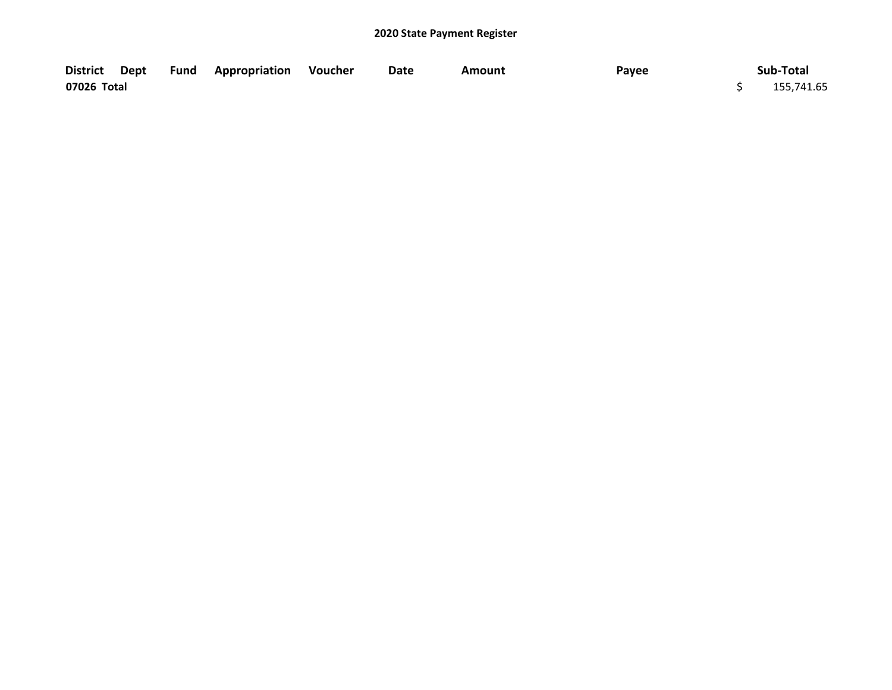|             |  | District Dept Fund Appropriation Voucher | Date | Amount | Payee | Sub-Total  |
|-------------|--|------------------------------------------|------|--------|-------|------------|
| 07026 Total |  |                                          |      |        |       | 155,741.65 |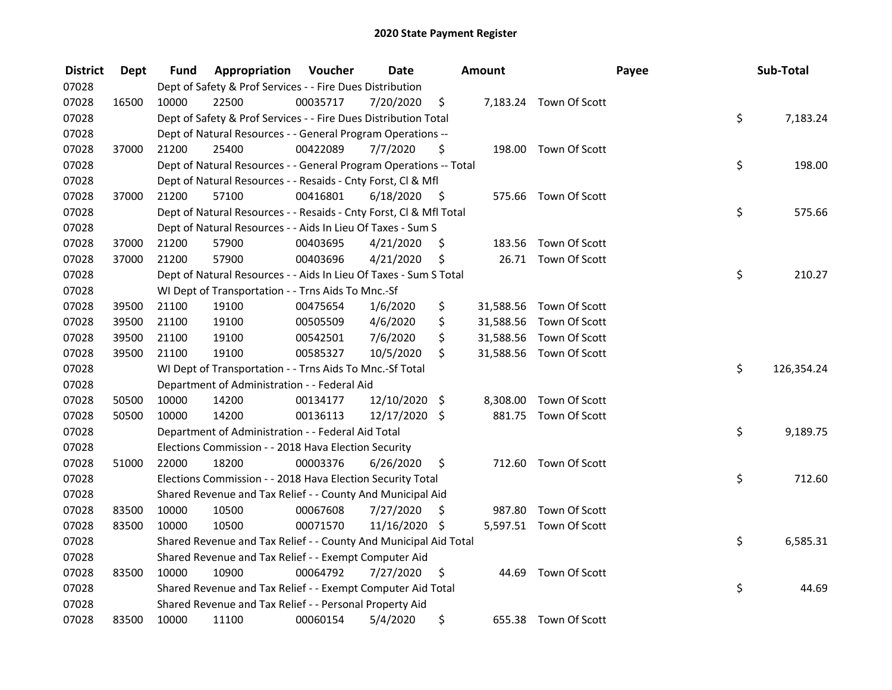| <b>District</b> | Dept  | Fund  | Appropriation                                                      | Voucher  | <b>Date</b>   |      | <b>Amount</b> |                         | Payee | Sub-Total  |
|-----------------|-------|-------|--------------------------------------------------------------------|----------|---------------|------|---------------|-------------------------|-------|------------|
| 07028           |       |       | Dept of Safety & Prof Services - - Fire Dues Distribution          |          |               |      |               |                         |       |            |
| 07028           | 16500 | 10000 | 22500                                                              | 00035717 | 7/20/2020     | \$   |               | 7,183.24 Town Of Scott  |       |            |
| 07028           |       |       | Dept of Safety & Prof Services - - Fire Dues Distribution Total    |          |               |      |               |                         | \$    | 7,183.24   |
| 07028           |       |       | Dept of Natural Resources - - General Program Operations --        |          |               |      |               |                         |       |            |
| 07028           | 37000 | 21200 | 25400                                                              | 00422089 | 7/7/2020      | \$   |               | 198.00 Town Of Scott    |       |            |
| 07028           |       |       | Dept of Natural Resources - - General Program Operations -- Total  |          |               |      |               |                         | \$    | 198.00     |
| 07028           |       |       | Dept of Natural Resources - - Resaids - Cnty Forst, Cl & Mfl       |          |               |      |               |                         |       |            |
| 07028           | 37000 | 21200 | 57100                                                              | 00416801 | 6/18/2020     | - \$ |               | 575.66 Town Of Scott    |       |            |
| 07028           |       |       | Dept of Natural Resources - - Resaids - Cnty Forst, Cl & Mfl Total |          |               |      |               |                         | \$    | 575.66     |
| 07028           |       |       | Dept of Natural Resources - - Aids In Lieu Of Taxes - Sum S        |          |               |      |               |                         |       |            |
| 07028           | 37000 | 21200 | 57900                                                              | 00403695 | 4/21/2020     | \$   | 183.56        | Town Of Scott           |       |            |
| 07028           | 37000 | 21200 | 57900                                                              | 00403696 | 4/21/2020     | \$   |               | 26.71 Town Of Scott     |       |            |
| 07028           |       |       | Dept of Natural Resources - - Aids In Lieu Of Taxes - Sum S Total  |          |               |      |               |                         | \$    | 210.27     |
| 07028           |       |       | WI Dept of Transportation - - Trns Aids To Mnc.-Sf                 |          |               |      |               |                         |       |            |
| 07028           | 39500 | 21100 | 19100                                                              | 00475654 | 1/6/2020      | \$   | 31,588.56     | Town Of Scott           |       |            |
| 07028           | 39500 | 21100 | 19100                                                              | 00505509 | 4/6/2020      | \$   |               | 31,588.56 Town Of Scott |       |            |
| 07028           | 39500 | 21100 | 19100                                                              | 00542501 | 7/6/2020      | \$   | 31,588.56     | Town Of Scott           |       |            |
| 07028           | 39500 | 21100 | 19100                                                              | 00585327 | 10/5/2020     | \$   |               | 31,588.56 Town Of Scott |       |            |
| 07028           |       |       | WI Dept of Transportation - - Trns Aids To Mnc.-Sf Total           |          |               |      |               |                         | \$    | 126,354.24 |
| 07028           |       |       | Department of Administration - - Federal Aid                       |          |               |      |               |                         |       |            |
| 07028           | 50500 | 10000 | 14200                                                              | 00134177 | 12/10/2020    | \$   | 8,308.00      | Town Of Scott           |       |            |
| 07028           | 50500 | 10000 | 14200                                                              | 00136113 | 12/17/2020 \$ |      |               | 881.75 Town Of Scott    |       |            |
| 07028           |       |       | Department of Administration - - Federal Aid Total                 |          |               |      |               |                         | \$    | 9,189.75   |
| 07028           |       |       | Elections Commission - - 2018 Hava Election Security               |          |               |      |               |                         |       |            |
| 07028           | 51000 | 22000 | 18200                                                              | 00003376 | 6/26/2020     | \$   |               | 712.60 Town Of Scott    |       |            |
| 07028           |       |       | Elections Commission - - 2018 Hava Election Security Total         |          |               |      |               |                         | \$    | 712.60     |
| 07028           |       |       | Shared Revenue and Tax Relief - - County And Municipal Aid         |          |               |      |               |                         |       |            |
| 07028           | 83500 | 10000 | 10500                                                              | 00067608 | 7/27/2020     | \$   |               | 987.80 Town Of Scott    |       |            |
| 07028           | 83500 | 10000 | 10500                                                              | 00071570 | 11/16/2020 \$ |      |               | 5,597.51 Town Of Scott  |       |            |
| 07028           |       |       | Shared Revenue and Tax Relief - - County And Municipal Aid Total   |          |               |      |               |                         | \$    | 6,585.31   |
| 07028           |       |       | Shared Revenue and Tax Relief - - Exempt Computer Aid              |          |               |      |               |                         |       |            |
| 07028           | 83500 | 10000 | 10900                                                              | 00064792 | 7/27/2020     | \$   |               | 44.69 Town Of Scott     |       |            |
| 07028           |       |       | Shared Revenue and Tax Relief - - Exempt Computer Aid Total        |          |               |      |               |                         | \$    | 44.69      |
| 07028           |       |       | Shared Revenue and Tax Relief - - Personal Property Aid            |          |               |      |               |                         |       |            |
| 07028           | 83500 | 10000 | 11100                                                              | 00060154 | 5/4/2020      | \$   |               | 655.38 Town Of Scott    |       |            |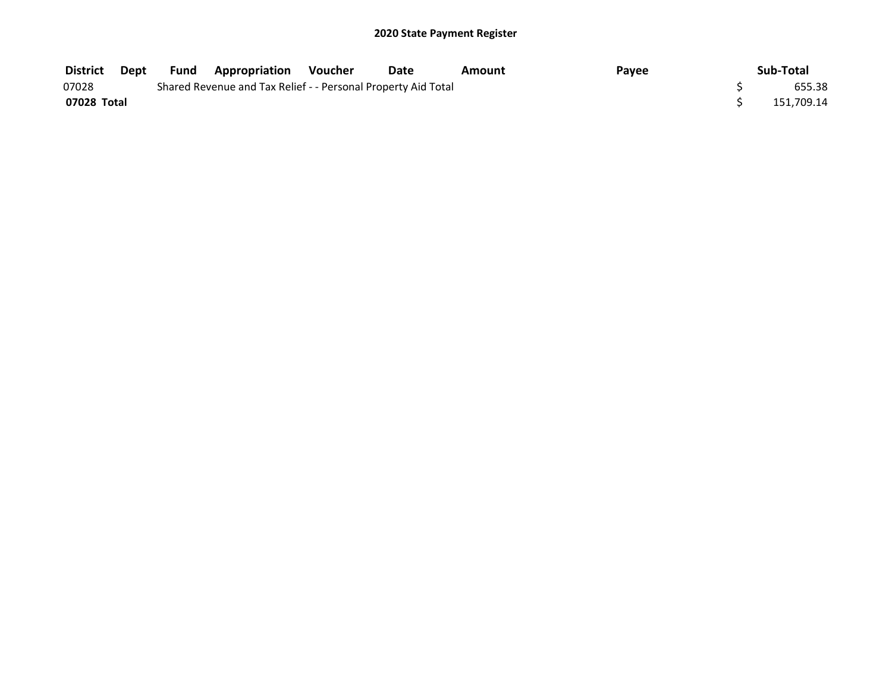| District    | Dept | Fund | <b>Appropriation Voucher</b>                                  | Date | Amount | Payee | Sub-Total  |
|-------------|------|------|---------------------------------------------------------------|------|--------|-------|------------|
| 07028       |      |      | Shared Revenue and Tax Relief - - Personal Property Aid Total |      |        |       | 655.38     |
| 07028 Total |      |      |                                                               |      |        |       | 151.709.14 |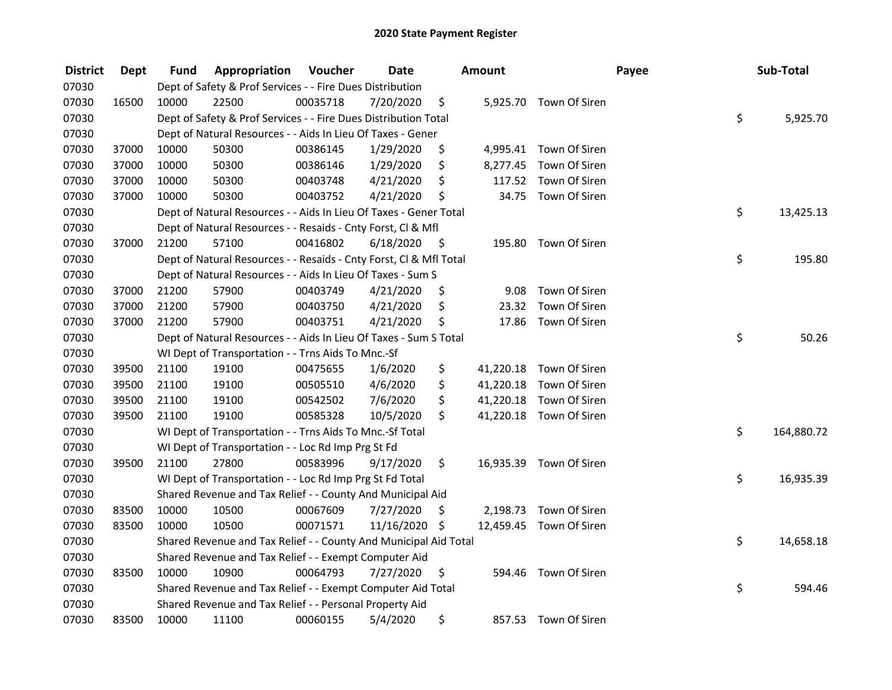| <b>District</b> | <b>Dept</b> | Fund  | Appropriation                                                      | Voucher  | <b>Date</b>   |      | Amount   |                         | Payee | Sub-Total        |
|-----------------|-------------|-------|--------------------------------------------------------------------|----------|---------------|------|----------|-------------------------|-------|------------------|
| 07030           |             |       | Dept of Safety & Prof Services - - Fire Dues Distribution          |          |               |      |          |                         |       |                  |
| 07030           | 16500       | 10000 | 22500                                                              | 00035718 | 7/20/2020     | \$   |          | 5,925.70 Town Of Siren  |       |                  |
| 07030           |             |       | Dept of Safety & Prof Services - - Fire Dues Distribution Total    |          |               |      |          |                         |       | \$<br>5,925.70   |
| 07030           |             |       | Dept of Natural Resources - - Aids In Lieu Of Taxes - Gener        |          |               |      |          |                         |       |                  |
| 07030           | 37000       | 10000 | 50300                                                              | 00386145 | 1/29/2020     | \$   |          | 4,995.41 Town Of Siren  |       |                  |
| 07030           | 37000       | 10000 | 50300                                                              | 00386146 | 1/29/2020     | \$   | 8,277.45 | Town Of Siren           |       |                  |
| 07030           | 37000       | 10000 | 50300                                                              | 00403748 | 4/21/2020     | \$   |          | 117.52 Town Of Siren    |       |                  |
| 07030           | 37000       | 10000 | 50300                                                              | 00403752 | 4/21/2020     | \$   |          | 34.75 Town Of Siren     |       |                  |
| 07030           |             |       | Dept of Natural Resources - - Aids In Lieu Of Taxes - Gener Total  |          |               |      |          |                         |       | \$<br>13,425.13  |
| 07030           |             |       | Dept of Natural Resources - - Resaids - Cnty Forst, Cl & Mfl       |          |               |      |          |                         |       |                  |
| 07030           | 37000       | 21200 | 57100                                                              | 00416802 | 6/18/2020     | - \$ |          | 195.80 Town Of Siren    |       |                  |
| 07030           |             |       | Dept of Natural Resources - - Resaids - Cnty Forst, Cl & Mfl Total |          |               |      |          |                         |       | \$<br>195.80     |
| 07030           |             |       | Dept of Natural Resources - - Aids In Lieu Of Taxes - Sum S        |          |               |      |          |                         |       |                  |
| 07030           | 37000       | 21200 | 57900                                                              | 00403749 | 4/21/2020     | \$,  | 9.08     | Town Of Siren           |       |                  |
| 07030           | 37000       | 21200 | 57900                                                              | 00403750 | 4/21/2020     | \$   | 23.32    | Town Of Siren           |       |                  |
| 07030           | 37000       | 21200 | 57900                                                              | 00403751 | 4/21/2020     | \$   | 17.86    | Town Of Siren           |       |                  |
| 07030           |             |       | Dept of Natural Resources - - Aids In Lieu Of Taxes - Sum S Total  |          |               |      |          |                         |       | \$<br>50.26      |
| 07030           |             |       | WI Dept of Transportation - - Trns Aids To Mnc.-Sf                 |          |               |      |          |                         |       |                  |
| 07030           | 39500       | 21100 | 19100                                                              | 00475655 | 1/6/2020      | \$   |          | 41,220.18 Town Of Siren |       |                  |
| 07030           | 39500       | 21100 | 19100                                                              | 00505510 | 4/6/2020      | \$   |          | 41,220.18 Town Of Siren |       |                  |
| 07030           | 39500       | 21100 | 19100                                                              | 00542502 | 7/6/2020      | \$   |          | 41,220.18 Town Of Siren |       |                  |
| 07030           | 39500       | 21100 | 19100                                                              | 00585328 | 10/5/2020     | \$   |          | 41,220.18 Town Of Siren |       |                  |
| 07030           |             |       | WI Dept of Transportation - - Trns Aids To Mnc.-Sf Total           |          |               |      |          |                         |       | \$<br>164,880.72 |
| 07030           |             |       | WI Dept of Transportation - - Loc Rd Imp Prg St Fd                 |          |               |      |          |                         |       |                  |
| 07030           | 39500       | 21100 | 27800                                                              | 00583996 | 9/17/2020     | \$   |          | 16,935.39 Town Of Siren |       |                  |
| 07030           |             |       | WI Dept of Transportation - - Loc Rd Imp Prg St Fd Total           |          |               |      |          |                         |       | \$<br>16,935.39  |
| 07030           |             |       | Shared Revenue and Tax Relief - - County And Municipal Aid         |          |               |      |          |                         |       |                  |
| 07030           | 83500       | 10000 | 10500                                                              | 00067609 | 7/27/2020     | \$   | 2,198.73 | Town Of Siren           |       |                  |
| 07030           | 83500       | 10000 | 10500                                                              | 00071571 | 11/16/2020 \$ |      |          | 12,459.45 Town Of Siren |       |                  |
| 07030           |             |       | Shared Revenue and Tax Relief - - County And Municipal Aid Total   |          |               |      |          |                         |       | \$<br>14,658.18  |
| 07030           |             |       | Shared Revenue and Tax Relief - - Exempt Computer Aid              |          |               |      |          |                         |       |                  |
| 07030           | 83500       | 10000 | 10900                                                              | 00064793 | 7/27/2020     | \$   |          | 594.46 Town Of Siren    |       |                  |
| 07030           |             |       | Shared Revenue and Tax Relief - - Exempt Computer Aid Total        |          |               |      |          |                         |       | \$<br>594.46     |
| 07030           |             |       | Shared Revenue and Tax Relief - - Personal Property Aid            |          |               |      |          |                         |       |                  |
| 07030           | 83500       | 10000 | 11100                                                              | 00060155 | 5/4/2020      | \$   | 857.53   | Town Of Siren           |       |                  |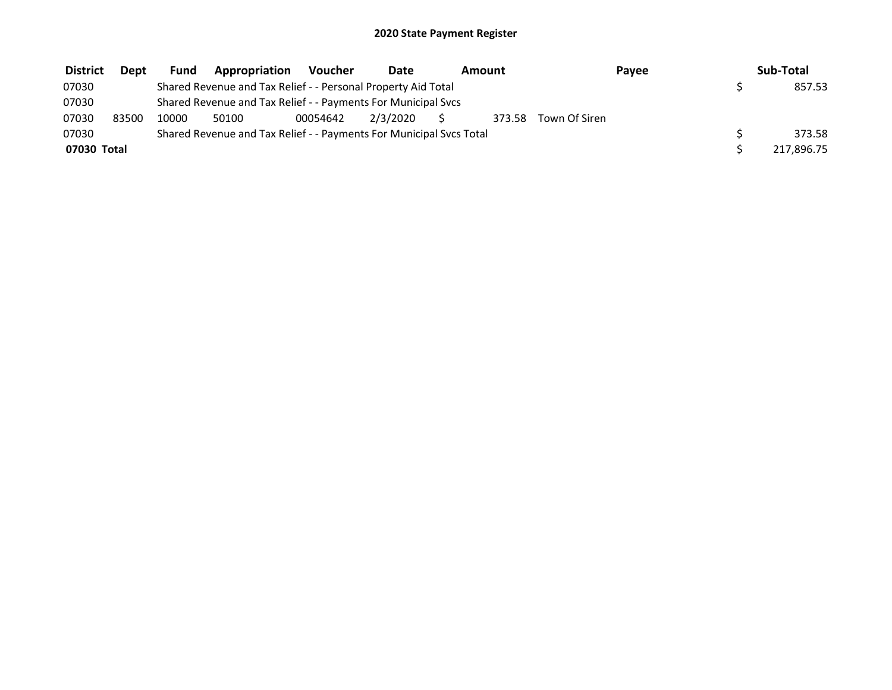| <b>District</b> | Dept  | <b>Fund</b> | Appropriation                                                       | <b>Voucher</b> | Date     | Amount |               | Payee | Sub-Total  |
|-----------------|-------|-------------|---------------------------------------------------------------------|----------------|----------|--------|---------------|-------|------------|
| 07030           |       |             | Shared Revenue and Tax Relief - - Personal Property Aid Total       |                |          |        |               |       | 857.53     |
| 07030           |       |             | Shared Revenue and Tax Relief - - Payments For Municipal Svcs       |                |          |        |               |       |            |
| 07030           | 83500 | 10000       | 50100                                                               | 00054642       | 2/3/2020 | 373.58 | Town Of Siren |       |            |
| 07030           |       |             | Shared Revenue and Tax Relief - - Payments For Municipal Svcs Total |                |          |        |               |       | 373.58     |
| 07030 Total     |       |             |                                                                     |                |          |        |               |       | 217,896.75 |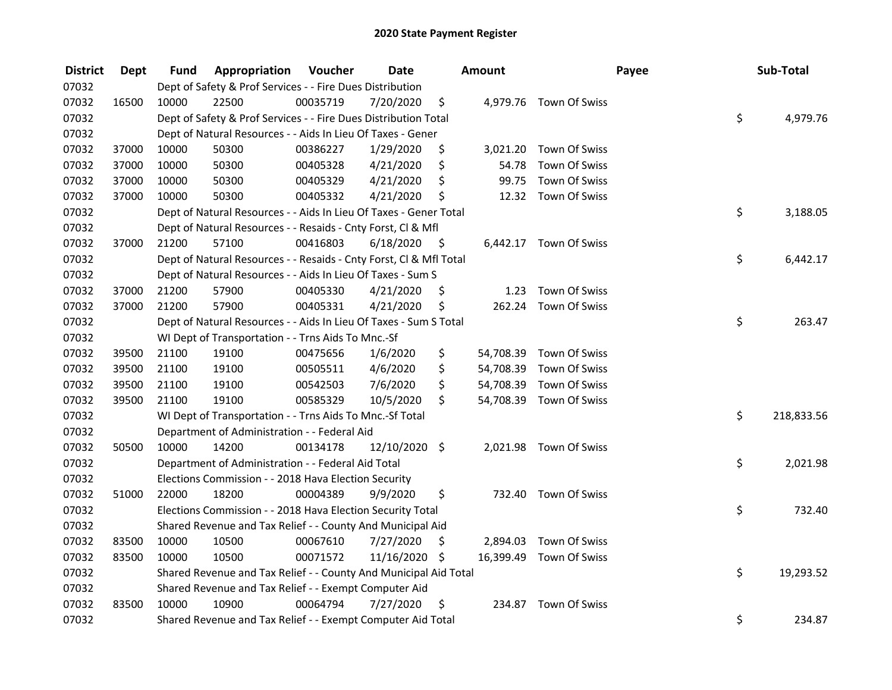| <b>District</b> | <b>Dept</b> | Fund  | Appropriation                                                      | Voucher  | <b>Date</b>   |      | <b>Amount</b> |                         | Payee | Sub-Total        |
|-----------------|-------------|-------|--------------------------------------------------------------------|----------|---------------|------|---------------|-------------------------|-------|------------------|
| 07032           |             |       | Dept of Safety & Prof Services - - Fire Dues Distribution          |          |               |      |               |                         |       |                  |
| 07032           | 16500       | 10000 | 22500                                                              | 00035719 | 7/20/2020     | \$   |               | 4,979.76 Town Of Swiss  |       |                  |
| 07032           |             |       | Dept of Safety & Prof Services - - Fire Dues Distribution Total    |          |               |      |               |                         |       | \$<br>4,979.76   |
| 07032           |             |       | Dept of Natural Resources - - Aids In Lieu Of Taxes - Gener        |          |               |      |               |                         |       |                  |
| 07032           | 37000       | 10000 | 50300                                                              | 00386227 | 1/29/2020     | \$   |               | 3,021.20 Town Of Swiss  |       |                  |
| 07032           | 37000       | 10000 | 50300                                                              | 00405328 | 4/21/2020     | \$   | 54.78         | Town Of Swiss           |       |                  |
| 07032           | 37000       | 10000 | 50300                                                              | 00405329 | 4/21/2020     | \$   | 99.75         | Town Of Swiss           |       |                  |
| 07032           | 37000       | 10000 | 50300                                                              | 00405332 | 4/21/2020     | \$   |               | 12.32 Town Of Swiss     |       |                  |
| 07032           |             |       | Dept of Natural Resources - - Aids In Lieu Of Taxes - Gener Total  |          |               |      |               |                         |       | \$<br>3,188.05   |
| 07032           |             |       | Dept of Natural Resources - - Resaids - Cnty Forst, Cl & Mfl       |          |               |      |               |                         |       |                  |
| 07032           | 37000       | 21200 | 57100                                                              | 00416803 | 6/18/2020     | - \$ |               | 6,442.17 Town Of Swiss  |       |                  |
| 07032           |             |       | Dept of Natural Resources - - Resaids - Cnty Forst, Cl & Mfl Total |          |               |      |               |                         |       | \$<br>6,442.17   |
| 07032           |             |       | Dept of Natural Resources - - Aids In Lieu Of Taxes - Sum S        |          |               |      |               |                         |       |                  |
| 07032           | 37000       | 21200 | 57900                                                              | 00405330 | 4/21/2020     | \$   | 1.23          | Town Of Swiss           |       |                  |
| 07032           | 37000       | 21200 | 57900                                                              | 00405331 | 4/21/2020     | \$   | 262.24        | Town Of Swiss           |       |                  |
| 07032           |             |       | Dept of Natural Resources - - Aids In Lieu Of Taxes - Sum S Total  |          |               |      |               |                         |       | \$<br>263.47     |
| 07032           |             |       | WI Dept of Transportation - - Trns Aids To Mnc.-Sf                 |          |               |      |               |                         |       |                  |
| 07032           | 39500       | 21100 | 19100                                                              | 00475656 | 1/6/2020      | \$   | 54,708.39     | Town Of Swiss           |       |                  |
| 07032           | 39500       | 21100 | 19100                                                              | 00505511 | 4/6/2020      | \$   | 54,708.39     | Town Of Swiss           |       |                  |
| 07032           | 39500       | 21100 | 19100                                                              | 00542503 | 7/6/2020      | \$   | 54,708.39     | Town Of Swiss           |       |                  |
| 07032           | 39500       | 21100 | 19100                                                              | 00585329 | 10/5/2020     | \$   |               | 54,708.39 Town Of Swiss |       |                  |
| 07032           |             |       | WI Dept of Transportation - - Trns Aids To Mnc.-Sf Total           |          |               |      |               |                         |       | \$<br>218,833.56 |
| 07032           |             |       | Department of Administration - - Federal Aid                       |          |               |      |               |                         |       |                  |
| 07032           | 50500       | 10000 | 14200                                                              | 00134178 | 12/10/2020 \$ |      |               | 2,021.98 Town Of Swiss  |       |                  |
| 07032           |             |       | Department of Administration - - Federal Aid Total                 |          |               |      |               |                         |       | \$<br>2,021.98   |
| 07032           |             |       | Elections Commission - - 2018 Hava Election Security               |          |               |      |               |                         |       |                  |
| 07032           | 51000       | 22000 | 18200                                                              | 00004389 | 9/9/2020      | \$   |               | 732.40 Town Of Swiss    |       |                  |
| 07032           |             |       | Elections Commission - - 2018 Hava Election Security Total         |          |               |      |               |                         |       | \$<br>732.40     |
| 07032           |             |       | Shared Revenue and Tax Relief - - County And Municipal Aid         |          |               |      |               |                         |       |                  |
| 07032           | 83500       | 10000 | 10500                                                              | 00067610 | 7/27/2020     | \$   | 2,894.03      | Town Of Swiss           |       |                  |
| 07032           | 83500       | 10000 | 10500                                                              | 00071572 | 11/16/2020 \$ |      | 16,399.49     | Town Of Swiss           |       |                  |
| 07032           |             |       | Shared Revenue and Tax Relief - - County And Municipal Aid Total   |          |               |      |               |                         |       | \$<br>19,293.52  |
| 07032           |             |       | Shared Revenue and Tax Relief - - Exempt Computer Aid              |          |               |      |               |                         |       |                  |
| 07032           | 83500       | 10000 | 10900                                                              | 00064794 | 7/27/2020     | -\$  | 234.87        | Town Of Swiss           |       |                  |
| 07032           |             |       | Shared Revenue and Tax Relief - - Exempt Computer Aid Total        |          |               |      |               |                         |       | \$<br>234.87     |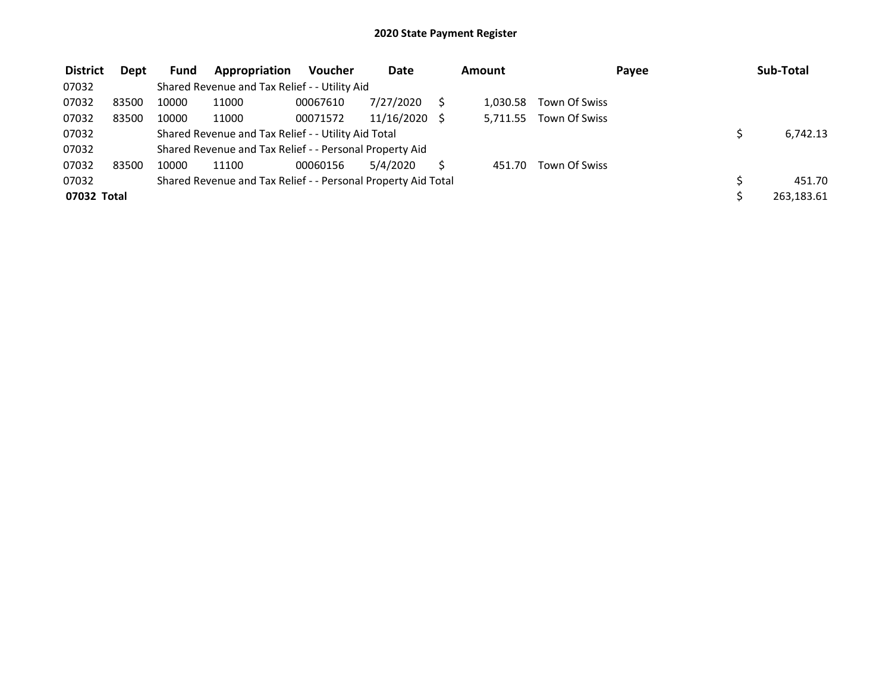| <b>District</b> | <b>Dept</b> | <b>Fund</b> | Appropriation                                                 | <b>Voucher</b> | <b>Date</b> | Amount   |               | Payee | Sub-Total  |
|-----------------|-------------|-------------|---------------------------------------------------------------|----------------|-------------|----------|---------------|-------|------------|
| 07032           |             |             | Shared Revenue and Tax Relief - - Utility Aid                 |                |             |          |               |       |            |
| 07032           | 83500       | 10000       | 11000                                                         | 00067610       | 7/27/2020   | 1.030.58 | Town Of Swiss |       |            |
| 07032           | 83500       | 10000       | 11000                                                         | 00071572       | 11/16/2020  | 5,711.55 | Town Of Swiss |       |            |
| 07032           |             |             | Shared Revenue and Tax Relief - - Utility Aid Total           |                |             |          |               |       | 6,742.13   |
| 07032           |             |             | Shared Revenue and Tax Relief - - Personal Property Aid       |                |             |          |               |       |            |
| 07032           | 83500       | 10000       | 11100                                                         | 00060156       | 5/4/2020    | 451.70   | Town Of Swiss |       |            |
| 07032           |             |             | Shared Revenue and Tax Relief - - Personal Property Aid Total |                |             |          |               |       | 451.70     |
| 07032 Total     |             |             |                                                               |                |             |          |               |       | 263,183.61 |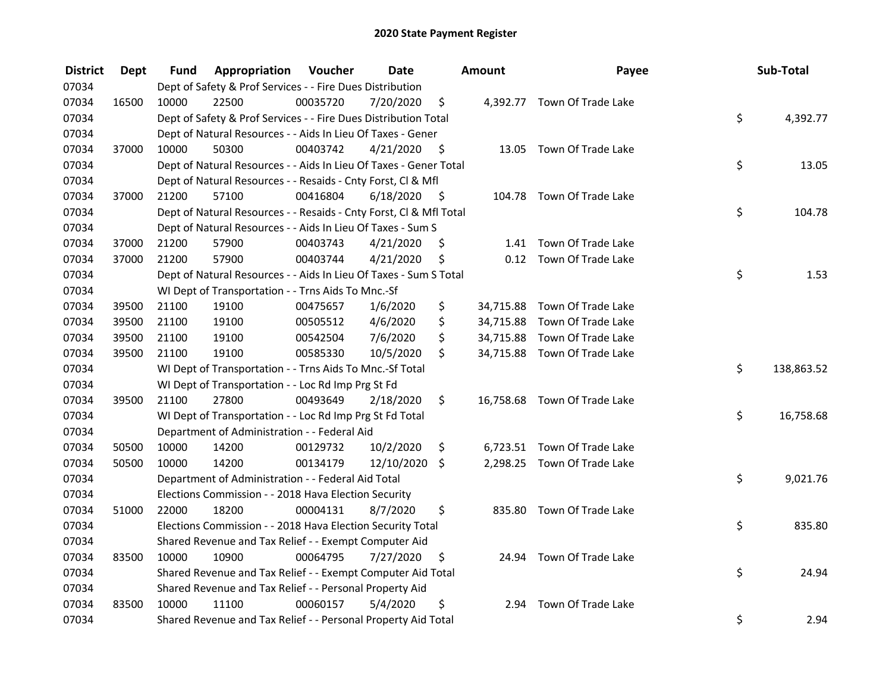| <b>District</b> | <b>Dept</b> | Fund  | Appropriation                                                      | Voucher  | <b>Date</b>   |      | Amount    | Payee                        | Sub-Total        |
|-----------------|-------------|-------|--------------------------------------------------------------------|----------|---------------|------|-----------|------------------------------|------------------|
| 07034           |             |       | Dept of Safety & Prof Services - - Fire Dues Distribution          |          |               |      |           |                              |                  |
| 07034           | 16500       | 10000 | 22500                                                              | 00035720 | 7/20/2020     | \$   |           | 4,392.77 Town Of Trade Lake  |                  |
| 07034           |             |       | Dept of Safety & Prof Services - - Fire Dues Distribution Total    |          |               |      |           |                              | \$<br>4,392.77   |
| 07034           |             |       | Dept of Natural Resources - - Aids In Lieu Of Taxes - Gener        |          |               |      |           |                              |                  |
| 07034           | 37000       | 10000 | 50300                                                              | 00403742 | 4/21/2020     | - \$ |           | 13.05 Town Of Trade Lake     |                  |
| 07034           |             |       | Dept of Natural Resources - - Aids In Lieu Of Taxes - Gener Total  |          |               |      |           |                              | \$<br>13.05      |
| 07034           |             |       | Dept of Natural Resources - - Resaids - Cnty Forst, Cl & Mfl       |          |               |      |           |                              |                  |
| 07034           | 37000       | 21200 | 57100                                                              | 00416804 | 6/18/2020     | - \$ |           | 104.78 Town Of Trade Lake    |                  |
| 07034           |             |       | Dept of Natural Resources - - Resaids - Cnty Forst, Cl & Mfl Total |          |               |      |           |                              | \$<br>104.78     |
| 07034           |             |       | Dept of Natural Resources - - Aids In Lieu Of Taxes - Sum S        |          |               |      |           |                              |                  |
| 07034           | 37000       | 21200 | 57900                                                              | 00403743 | 4/21/2020     | \$   |           | 1.41 Town Of Trade Lake      |                  |
| 07034           | 37000       | 21200 | 57900                                                              | 00403744 | 4/21/2020     | \$   |           | 0.12 Town Of Trade Lake      |                  |
| 07034           |             |       | Dept of Natural Resources - - Aids In Lieu Of Taxes - Sum S Total  |          |               |      |           |                              | \$<br>1.53       |
| 07034           |             |       | WI Dept of Transportation - - Trns Aids To Mnc.-Sf                 |          |               |      |           |                              |                  |
| 07034           | 39500       | 21100 | 19100                                                              | 00475657 | 1/6/2020      | \$   | 34,715.88 | Town Of Trade Lake           |                  |
| 07034           | 39500       | 21100 | 19100                                                              | 00505512 | 4/6/2020      | \$   |           | 34,715.88 Town Of Trade Lake |                  |
| 07034           | 39500       | 21100 | 19100                                                              | 00542504 | 7/6/2020      | \$   |           | 34,715.88 Town Of Trade Lake |                  |
| 07034           | 39500       | 21100 | 19100                                                              | 00585330 | 10/5/2020     | \$   |           | 34,715.88 Town Of Trade Lake |                  |
| 07034           |             |       | WI Dept of Transportation - - Trns Aids To Mnc.-Sf Total           |          |               |      |           |                              | \$<br>138,863.52 |
| 07034           |             |       | WI Dept of Transportation - - Loc Rd Imp Prg St Fd                 |          |               |      |           |                              |                  |
| 07034           | 39500       | 21100 | 27800                                                              | 00493649 | 2/18/2020     | \$   |           | 16,758.68 Town Of Trade Lake |                  |
| 07034           |             |       | WI Dept of Transportation - - Loc Rd Imp Prg St Fd Total           |          |               |      |           |                              | \$<br>16,758.68  |
| 07034           |             |       | Department of Administration - - Federal Aid                       |          |               |      |           |                              |                  |
| 07034           | 50500       | 10000 | 14200                                                              | 00129732 | 10/2/2020     | \$   |           | 6,723.51 Town Of Trade Lake  |                  |
| 07034           | 50500       | 10000 | 14200                                                              | 00134179 | 12/10/2020 \$ |      |           | 2,298.25 Town Of Trade Lake  |                  |
| 07034           |             |       | Department of Administration - - Federal Aid Total                 |          |               |      |           |                              | \$<br>9,021.76   |
| 07034           |             |       | Elections Commission - - 2018 Hava Election Security               |          |               |      |           |                              |                  |
| 07034           | 51000       | 22000 | 18200                                                              | 00004131 | 8/7/2020      | \$   |           | 835.80 Town Of Trade Lake    |                  |
| 07034           |             |       | Elections Commission - - 2018 Hava Election Security Total         |          |               |      |           |                              | \$<br>835.80     |
| 07034           |             |       | Shared Revenue and Tax Relief - - Exempt Computer Aid              |          |               |      |           |                              |                  |
| 07034           | 83500       | 10000 | 10900                                                              | 00064795 | 7/27/2020     | \$   |           | 24.94 Town Of Trade Lake     |                  |
| 07034           |             |       | Shared Revenue and Tax Relief - - Exempt Computer Aid Total        |          |               |      |           |                              | \$<br>24.94      |
| 07034           |             |       | Shared Revenue and Tax Relief - - Personal Property Aid            |          |               |      |           |                              |                  |
| 07034           | 83500       | 10000 | 11100                                                              | 00060157 | 5/4/2020      | \$   |           | 2.94 Town Of Trade Lake      |                  |
| 07034           |             |       | Shared Revenue and Tax Relief - - Personal Property Aid Total      |          |               |      |           |                              | \$<br>2.94       |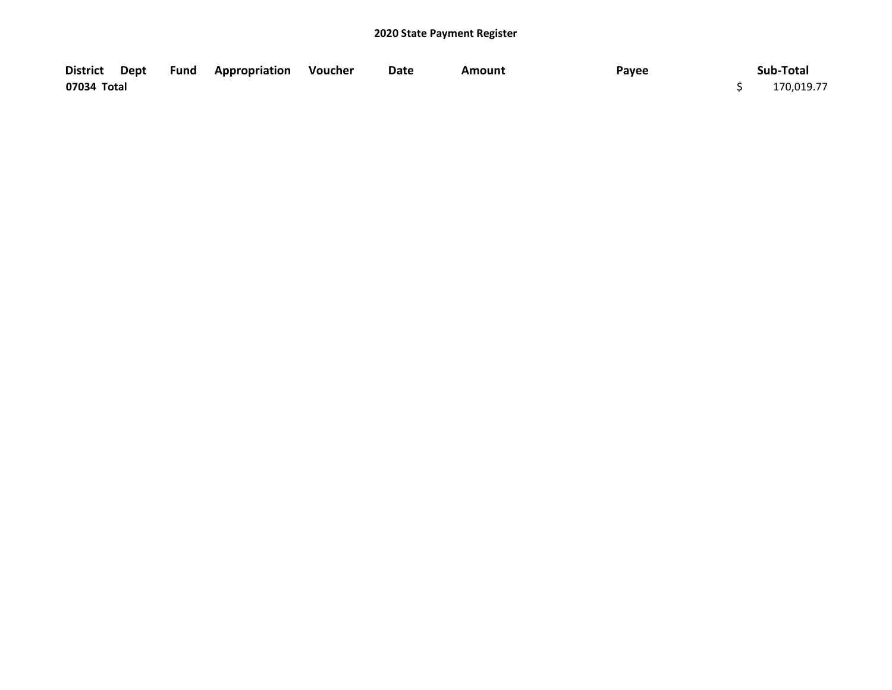|             |  | District Dept Fund Appropriation Voucher | Date | Amount | Payee | Sub-Total  |
|-------------|--|------------------------------------------|------|--------|-------|------------|
| 07034 Total |  |                                          |      |        |       | 170,019.77 |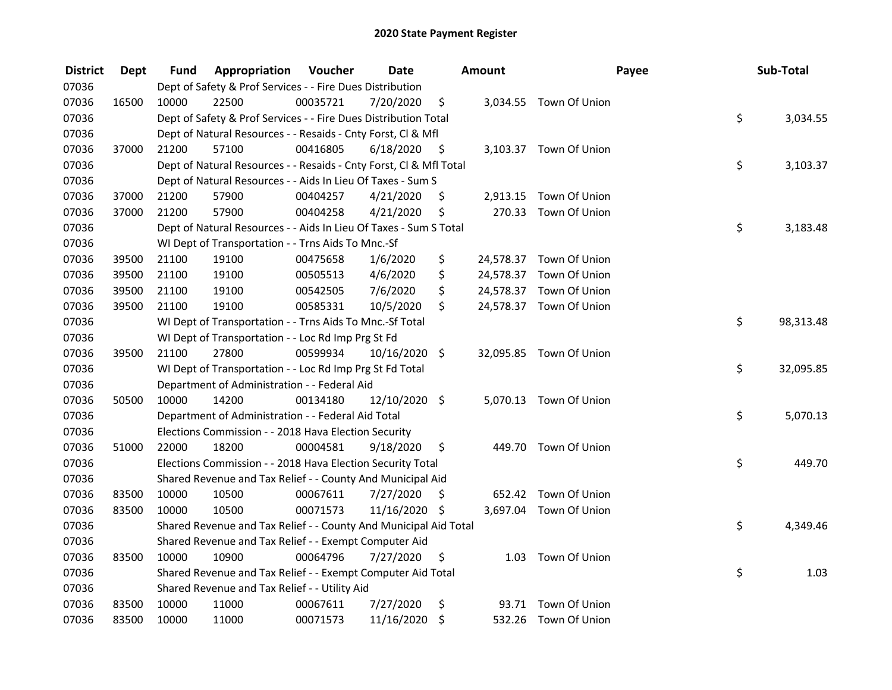| <b>District</b> | <b>Dept</b> | Fund  | Appropriation                                                      | Voucher  | <b>Date</b>   |                     | <b>Amount</b> |                         | Payee | Sub-Total       |
|-----------------|-------------|-------|--------------------------------------------------------------------|----------|---------------|---------------------|---------------|-------------------------|-------|-----------------|
| 07036           |             |       | Dept of Safety & Prof Services - - Fire Dues Distribution          |          |               |                     |               |                         |       |                 |
| 07036           | 16500       | 10000 | 22500                                                              | 00035721 | 7/20/2020     | \$                  |               | 3,034.55 Town Of Union  |       |                 |
| 07036           |             |       | Dept of Safety & Prof Services - - Fire Dues Distribution Total    |          |               |                     |               |                         |       | \$<br>3,034.55  |
| 07036           |             |       | Dept of Natural Resources - - Resaids - Cnty Forst, Cl & Mfl       |          |               |                     |               |                         |       |                 |
| 07036           | 37000       | 21200 | 57100                                                              | 00416805 | 6/18/2020     | - \$                |               | 3,103.37 Town Of Union  |       |                 |
| 07036           |             |       | Dept of Natural Resources - - Resaids - Cnty Forst, Cl & Mfl Total |          |               |                     |               |                         |       | \$<br>3,103.37  |
| 07036           |             |       | Dept of Natural Resources - - Aids In Lieu Of Taxes - Sum S        |          |               |                     |               |                         |       |                 |
| 07036           | 37000       | 21200 | 57900                                                              | 00404257 | 4/21/2020     | \$                  |               | 2,913.15 Town Of Union  |       |                 |
| 07036           | 37000       | 21200 | 57900                                                              | 00404258 | 4/21/2020     | \$                  | 270.33        | Town Of Union           |       |                 |
| 07036           |             |       | Dept of Natural Resources - - Aids In Lieu Of Taxes - Sum S Total  |          |               |                     |               |                         |       | \$<br>3,183.48  |
| 07036           |             |       | WI Dept of Transportation - - Trns Aids To Mnc.-Sf                 |          |               |                     |               |                         |       |                 |
| 07036           | 39500       | 21100 | 19100                                                              | 00475658 | 1/6/2020      | \$                  |               | 24,578.37 Town Of Union |       |                 |
| 07036           | 39500       | 21100 | 19100                                                              | 00505513 | 4/6/2020      | \$                  |               | 24,578.37 Town Of Union |       |                 |
| 07036           | 39500       | 21100 | 19100                                                              | 00542505 | 7/6/2020      | \$                  |               | 24,578.37 Town Of Union |       |                 |
| 07036           | 39500       | 21100 | 19100                                                              | 00585331 | 10/5/2020     | \$                  |               | 24,578.37 Town Of Union |       |                 |
| 07036           |             |       | WI Dept of Transportation - - Trns Aids To Mnc.-Sf Total           |          |               |                     |               |                         |       | \$<br>98,313.48 |
| 07036           |             |       | WI Dept of Transportation - - Loc Rd Imp Prg St Fd                 |          |               |                     |               |                         |       |                 |
| 07036           | 39500       | 21100 | 27800                                                              | 00599934 | 10/16/2020 \$ |                     |               | 32,095.85 Town Of Union |       |                 |
| 07036           |             |       | WI Dept of Transportation - - Loc Rd Imp Prg St Fd Total           |          |               |                     |               |                         |       | \$<br>32,095.85 |
| 07036           |             |       | Department of Administration - - Federal Aid                       |          |               |                     |               |                         |       |                 |
| 07036           | 50500       | 10000 | 14200                                                              | 00134180 | 12/10/2020 \$ |                     |               | 5,070.13 Town Of Union  |       |                 |
| 07036           |             |       | Department of Administration - - Federal Aid Total                 |          |               |                     |               |                         |       | \$<br>5,070.13  |
| 07036           |             |       | Elections Commission - - 2018 Hava Election Security               |          |               |                     |               |                         |       |                 |
| 07036           | 51000       | 22000 | 18200                                                              | 00004581 | 9/18/2020     | \$                  |               | 449.70 Town Of Union    |       |                 |
| 07036           |             |       | Elections Commission - - 2018 Hava Election Security Total         |          |               |                     |               |                         |       | \$<br>449.70    |
| 07036           |             |       | Shared Revenue and Tax Relief - - County And Municipal Aid         |          |               |                     |               |                         |       |                 |
| 07036           | 83500       | 10000 | 10500                                                              | 00067611 | 7/27/2020     | S.                  |               | 652.42 Town Of Union    |       |                 |
| 07036           | 83500       | 10000 | 10500                                                              | 00071573 | 11/16/2020 \$ |                     |               | 3,697.04 Town Of Union  |       |                 |
| 07036           |             |       | Shared Revenue and Tax Relief - - County And Municipal Aid Total   |          |               |                     |               |                         |       | \$<br>4,349.46  |
| 07036           |             |       | Shared Revenue and Tax Relief - - Exempt Computer Aid              |          |               |                     |               |                         |       |                 |
| 07036           | 83500       | 10000 | 10900                                                              | 00064796 | 7/27/2020     | \$                  | 1.03          | Town Of Union           |       |                 |
| 07036           |             |       | Shared Revenue and Tax Relief - - Exempt Computer Aid Total        |          |               |                     |               |                         |       | \$<br>1.03      |
| 07036           |             |       | Shared Revenue and Tax Relief - - Utility Aid                      |          |               |                     |               |                         |       |                 |
| 07036           | 83500       | 10000 | 11000                                                              | 00067611 | 7/27/2020     | \$                  |               | 93.71 Town Of Union     |       |                 |
| 07036           | 83500       | 10000 | 11000                                                              | 00071573 | 11/16/2020    | $\ddot{\bm{\zeta}}$ |               | 532.26 Town Of Union    |       |                 |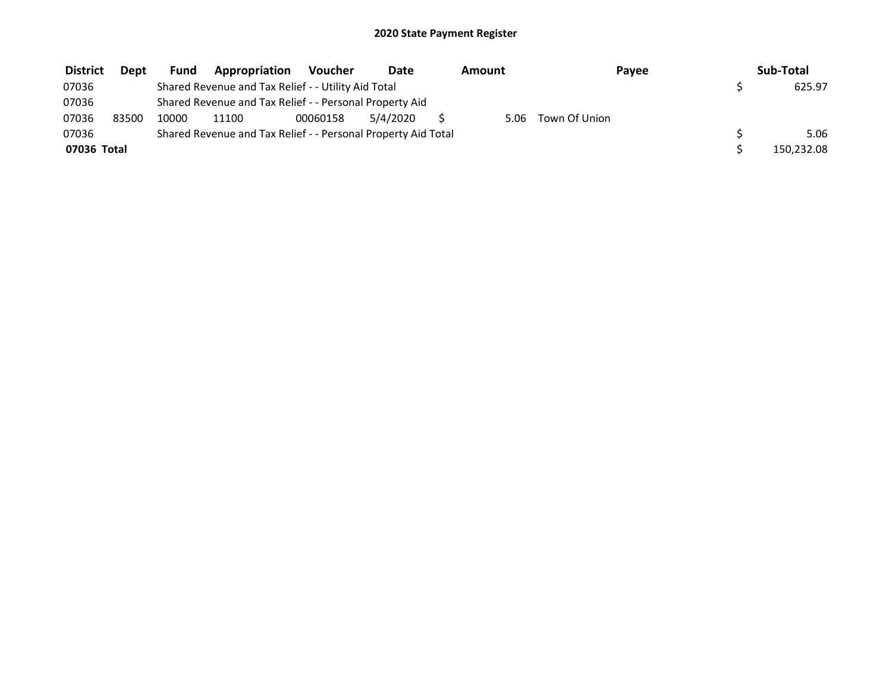| <b>District</b> | Dept  | <b>Fund</b> | Appropriation                                                 | Voucher  | Date     | Amount |               | Payee | Sub-Total  |
|-----------------|-------|-------------|---------------------------------------------------------------|----------|----------|--------|---------------|-------|------------|
| 07036           |       |             | Shared Revenue and Tax Relief - - Utility Aid Total           |          |          |        |               |       | 625.97     |
| 07036           |       |             | Shared Revenue and Tax Relief - - Personal Property Aid       |          |          |        |               |       |            |
| 07036           | 83500 | 10000       | 11100                                                         | 00060158 | 5/4/2020 | 5.06   | Town Of Union |       |            |
| 07036           |       |             | Shared Revenue and Tax Relief - - Personal Property Aid Total |          |          |        |               |       | 5.06       |
| 07036 Total     |       |             |                                                               |          |          |        |               |       | 150,232.08 |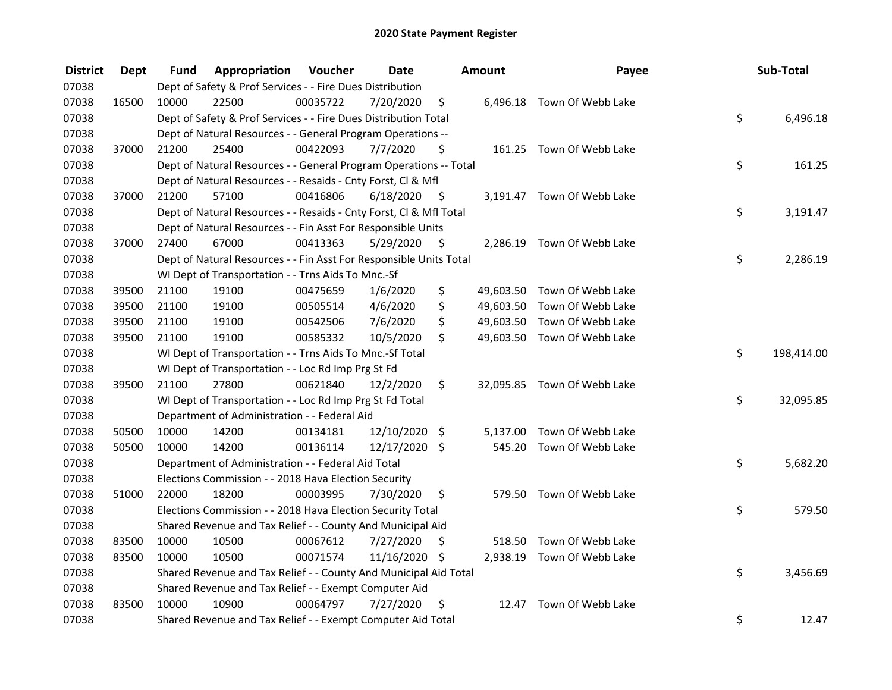| <b>District</b> | <b>Dept</b> | Fund  | Appropriation                                                      | Voucher  | <b>Date</b>   |      | Amount    | Payee                       | Sub-Total        |
|-----------------|-------------|-------|--------------------------------------------------------------------|----------|---------------|------|-----------|-----------------------------|------------------|
| 07038           |             |       | Dept of Safety & Prof Services - - Fire Dues Distribution          |          |               |      |           |                             |                  |
| 07038           | 16500       | 10000 | 22500                                                              | 00035722 | 7/20/2020     | \$   |           | 6,496.18 Town Of Webb Lake  |                  |
| 07038           |             |       | Dept of Safety & Prof Services - - Fire Dues Distribution Total    |          |               |      |           |                             | \$<br>6,496.18   |
| 07038           |             |       | Dept of Natural Resources - - General Program Operations --        |          |               |      |           |                             |                  |
| 07038           | 37000       | 21200 | 25400                                                              | 00422093 | 7/7/2020      | \$   |           | 161.25 Town Of Webb Lake    |                  |
| 07038           |             |       | Dept of Natural Resources - - General Program Operations -- Total  |          |               |      |           |                             | \$<br>161.25     |
| 07038           |             |       | Dept of Natural Resources - - Resaids - Cnty Forst, Cl & Mfl       |          |               |      |           |                             |                  |
| 07038           | 37000       | 21200 | 57100                                                              | 00416806 | 6/18/2020     | - \$ |           | 3,191.47 Town Of Webb Lake  |                  |
| 07038           |             |       | Dept of Natural Resources - - Resaids - Cnty Forst, CI & Mfl Total |          |               |      |           |                             | \$<br>3,191.47   |
| 07038           |             |       | Dept of Natural Resources - - Fin Asst For Responsible Units       |          |               |      |           |                             |                  |
| 07038           | 37000       | 27400 | 67000                                                              | 00413363 | 5/29/2020     | - \$ |           | 2,286.19 Town Of Webb Lake  |                  |
| 07038           |             |       | Dept of Natural Resources - - Fin Asst For Responsible Units Total |          |               |      |           |                             | \$<br>2,286.19   |
| 07038           |             |       | WI Dept of Transportation - - Trns Aids To Mnc.-Sf                 |          |               |      |           |                             |                  |
| 07038           | 39500       | 21100 | 19100                                                              | 00475659 | 1/6/2020      | \$   | 49,603.50 | Town Of Webb Lake           |                  |
| 07038           | 39500       | 21100 | 19100                                                              | 00505514 | 4/6/2020      | \$   | 49,603.50 | Town Of Webb Lake           |                  |
| 07038           | 39500       | 21100 | 19100                                                              | 00542506 | 7/6/2020      | \$   | 49,603.50 | Town Of Webb Lake           |                  |
| 07038           | 39500       | 21100 | 19100                                                              | 00585332 | 10/5/2020     | \$   |           | 49,603.50 Town Of Webb Lake |                  |
| 07038           |             |       | WI Dept of Transportation - - Trns Aids To Mnc.-Sf Total           |          |               |      |           |                             | \$<br>198,414.00 |
| 07038           |             |       | WI Dept of Transportation - - Loc Rd Imp Prg St Fd                 |          |               |      |           |                             |                  |
| 07038           | 39500       | 21100 | 27800                                                              | 00621840 | 12/2/2020     | \$   |           | 32,095.85 Town Of Webb Lake |                  |
| 07038           |             |       | WI Dept of Transportation - - Loc Rd Imp Prg St Fd Total           |          |               |      |           |                             | \$<br>32,095.85  |
| 07038           |             |       | Department of Administration - - Federal Aid                       |          |               |      |           |                             |                  |
| 07038           | 50500       | 10000 | 14200                                                              | 00134181 | 12/10/2020 \$ |      | 5,137.00  | Town Of Webb Lake           |                  |
| 07038           | 50500       | 10000 | 14200                                                              | 00136114 | 12/17/2020 \$ |      |           | 545.20 Town Of Webb Lake    |                  |
| 07038           |             |       | Department of Administration - - Federal Aid Total                 |          |               |      |           |                             | \$<br>5,682.20   |
| 07038           |             |       | Elections Commission - - 2018 Hava Election Security               |          |               |      |           |                             |                  |
| 07038           | 51000       | 22000 | 18200                                                              | 00003995 | 7/30/2020     | \$   |           | 579.50 Town Of Webb Lake    |                  |
| 07038           |             |       | Elections Commission - - 2018 Hava Election Security Total         |          |               |      |           |                             | \$<br>579.50     |
| 07038           |             |       | Shared Revenue and Tax Relief - - County And Municipal Aid         |          |               |      |           |                             |                  |
| 07038           | 83500       | 10000 | 10500                                                              | 00067612 | 7/27/2020     | \$   | 518.50    | Town Of Webb Lake           |                  |
| 07038           | 83500       | 10000 | 10500                                                              | 00071574 | 11/16/2020 \$ |      |           | 2,938.19 Town Of Webb Lake  |                  |
| 07038           |             |       | Shared Revenue and Tax Relief - - County And Municipal Aid Total   |          |               |      |           |                             | \$<br>3,456.69   |
| 07038           |             |       | Shared Revenue and Tax Relief - - Exempt Computer Aid              |          |               |      |           |                             |                  |
| 07038           | 83500       | 10000 | 10900                                                              | 00064797 | 7/27/2020     | \$   | 12.47     | Town Of Webb Lake           |                  |
| 07038           |             |       | Shared Revenue and Tax Relief - - Exempt Computer Aid Total        |          |               |      |           |                             | \$<br>12.47      |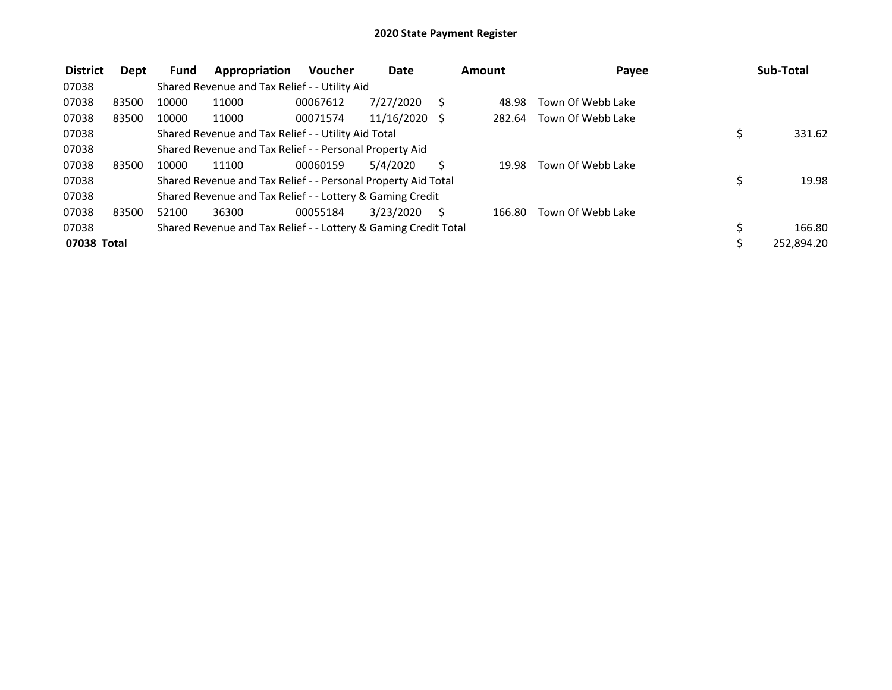| <b>District</b> | Dept  | <b>Fund</b> | Appropriation                                                   | <b>Voucher</b> | Date       | Amount | Payee             | Sub-Total    |
|-----------------|-------|-------------|-----------------------------------------------------------------|----------------|------------|--------|-------------------|--------------|
| 07038           |       |             | Shared Revenue and Tax Relief - - Utility Aid                   |                |            |        |                   |              |
| 07038           | 83500 | 10000       | 11000                                                           | 00067612       | 7/27/2020  | 48.98  | Town Of Webb Lake |              |
| 07038           | 83500 | 10000       | 11000                                                           | 00071574       | 11/16/2020 | 282.64 | Town Of Webb Lake |              |
| 07038           |       |             | Shared Revenue and Tax Relief - - Utility Aid Total             |                |            |        |                   | \$<br>331.62 |
| 07038           |       |             | Shared Revenue and Tax Relief - - Personal Property Aid         |                |            |        |                   |              |
| 07038           | 83500 | 10000       | 11100                                                           | 00060159       | 5/4/2020   | 19.98  | Town Of Webb Lake |              |
| 07038           |       |             | Shared Revenue and Tax Relief - - Personal Property Aid Total   |                |            |        |                   | \$<br>19.98  |
| 07038           |       |             | Shared Revenue and Tax Relief - - Lottery & Gaming Credit       |                |            |        |                   |              |
| 07038           | 83500 | 52100       | 36300                                                           | 00055184       | 3/23/2020  | 166.80 | Town Of Webb Lake |              |
| 07038           |       |             | Shared Revenue and Tax Relief - - Lottery & Gaming Credit Total |                |            |        |                   | \$<br>166.80 |
| 07038 Total     |       |             |                                                                 |                |            |        |                   | 252,894.20   |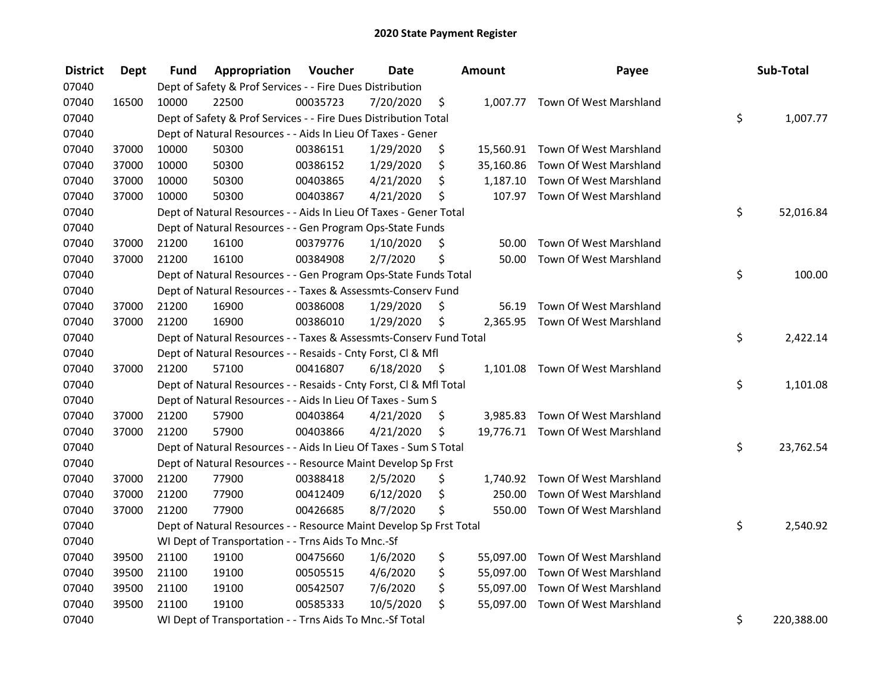| <b>District</b> | <b>Dept</b> | Fund  | Appropriation                                                      | Voucher  | <b>Date</b> |      | <b>Amount</b> | Payee                            | Sub-Total        |
|-----------------|-------------|-------|--------------------------------------------------------------------|----------|-------------|------|---------------|----------------------------------|------------------|
| 07040           |             |       | Dept of Safety & Prof Services - - Fire Dues Distribution          |          |             |      |               |                                  |                  |
| 07040           | 16500       | 10000 | 22500                                                              | 00035723 | 7/20/2020   | \$   |               | 1,007.77 Town Of West Marshland  |                  |
| 07040           |             |       | Dept of Safety & Prof Services - - Fire Dues Distribution Total    |          |             |      |               |                                  | \$<br>1,007.77   |
| 07040           |             |       | Dept of Natural Resources - - Aids In Lieu Of Taxes - Gener        |          |             |      |               |                                  |                  |
| 07040           | 37000       | 10000 | 50300                                                              | 00386151 | 1/29/2020   | \$   |               | 15,560.91 Town Of West Marshland |                  |
| 07040           | 37000       | 10000 | 50300                                                              | 00386152 | 1/29/2020   | \$   | 35,160.86     | Town Of West Marshland           |                  |
| 07040           | 37000       | 10000 | 50300                                                              | 00403865 | 4/21/2020   | \$   | 1,187.10      | Town Of West Marshland           |                  |
| 07040           | 37000       | 10000 | 50300                                                              | 00403867 | 4/21/2020   | \$   |               | 107.97 Town Of West Marshland    |                  |
| 07040           |             |       | Dept of Natural Resources - - Aids In Lieu Of Taxes - Gener Total  |          |             |      |               |                                  | \$<br>52,016.84  |
| 07040           |             |       | Dept of Natural Resources - - Gen Program Ops-State Funds          |          |             |      |               |                                  |                  |
| 07040           | 37000       | 21200 | 16100                                                              | 00379776 | 1/10/2020   | \$   | 50.00         | Town Of West Marshland           |                  |
| 07040           | 37000       | 21200 | 16100                                                              | 00384908 | 2/7/2020    | \$   | 50.00         | Town Of West Marshland           |                  |
| 07040           |             |       | Dept of Natural Resources - - Gen Program Ops-State Funds Total    |          |             |      |               |                                  | \$<br>100.00     |
| 07040           |             |       | Dept of Natural Resources - - Taxes & Assessmts-Conserv Fund       |          |             |      |               |                                  |                  |
| 07040           | 37000       | 21200 | 16900                                                              | 00386008 | 1/29/2020   | \$   | 56.19         | Town Of West Marshland           |                  |
| 07040           | 37000       | 21200 | 16900                                                              | 00386010 | 1/29/2020   | \$   |               | 2,365.95 Town Of West Marshland  |                  |
| 07040           |             |       | Dept of Natural Resources - - Taxes & Assessmts-Conserv Fund Total |          |             |      |               |                                  | \$<br>2,422.14   |
| 07040           |             |       | Dept of Natural Resources - - Resaids - Cnty Forst, Cl & Mfl       |          |             |      |               |                                  |                  |
| 07040           | 37000       | 21200 | 57100                                                              | 00416807 | 6/18/2020   | - \$ |               | 1,101.08 Town Of West Marshland  |                  |
| 07040           |             |       | Dept of Natural Resources - - Resaids - Cnty Forst, Cl & Mfl Total |          |             |      |               |                                  | \$<br>1,101.08   |
| 07040           |             |       | Dept of Natural Resources - - Aids In Lieu Of Taxes - Sum S        |          |             |      |               |                                  |                  |
| 07040           | 37000       | 21200 | 57900                                                              | 00403864 | 4/21/2020   | \$   |               | 3,985.83 Town Of West Marshland  |                  |
| 07040           | 37000       | 21200 | 57900                                                              | 00403866 | 4/21/2020   | \$   |               | 19,776.71 Town Of West Marshland |                  |
| 07040           |             |       | Dept of Natural Resources - - Aids In Lieu Of Taxes - Sum S Total  |          |             |      |               |                                  | \$<br>23,762.54  |
| 07040           |             |       | Dept of Natural Resources - - Resource Maint Develop Sp Frst       |          |             |      |               |                                  |                  |
| 07040           | 37000       | 21200 | 77900                                                              | 00388418 | 2/5/2020    | \$   |               | 1,740.92 Town Of West Marshland  |                  |
| 07040           | 37000       | 21200 | 77900                                                              | 00412409 | 6/12/2020   | \$   | 250.00        | Town Of West Marshland           |                  |
| 07040           | 37000       | 21200 | 77900                                                              | 00426685 | 8/7/2020    | \$   | 550.00        | Town Of West Marshland           |                  |
| 07040           |             |       | Dept of Natural Resources - - Resource Maint Develop Sp Frst Total |          |             |      |               |                                  | \$<br>2,540.92   |
| 07040           |             |       | WI Dept of Transportation - - Trns Aids To Mnc.-Sf                 |          |             |      |               |                                  |                  |
| 07040           | 39500       | 21100 | 19100                                                              | 00475660 | 1/6/2020    | \$   | 55,097.00     | Town Of West Marshland           |                  |
| 07040           | 39500       | 21100 | 19100                                                              | 00505515 | 4/6/2020    | \$   | 55,097.00     | Town Of West Marshland           |                  |
| 07040           | 39500       | 21100 | 19100                                                              | 00542507 | 7/6/2020    | \$   | 55,097.00     | Town Of West Marshland           |                  |
| 07040           | 39500       | 21100 | 19100                                                              | 00585333 | 10/5/2020   | \$   | 55,097.00     | Town Of West Marshland           |                  |
| 07040           |             |       | WI Dept of Transportation - - Trns Aids To Mnc.-Sf Total           |          |             |      |               |                                  | \$<br>220,388.00 |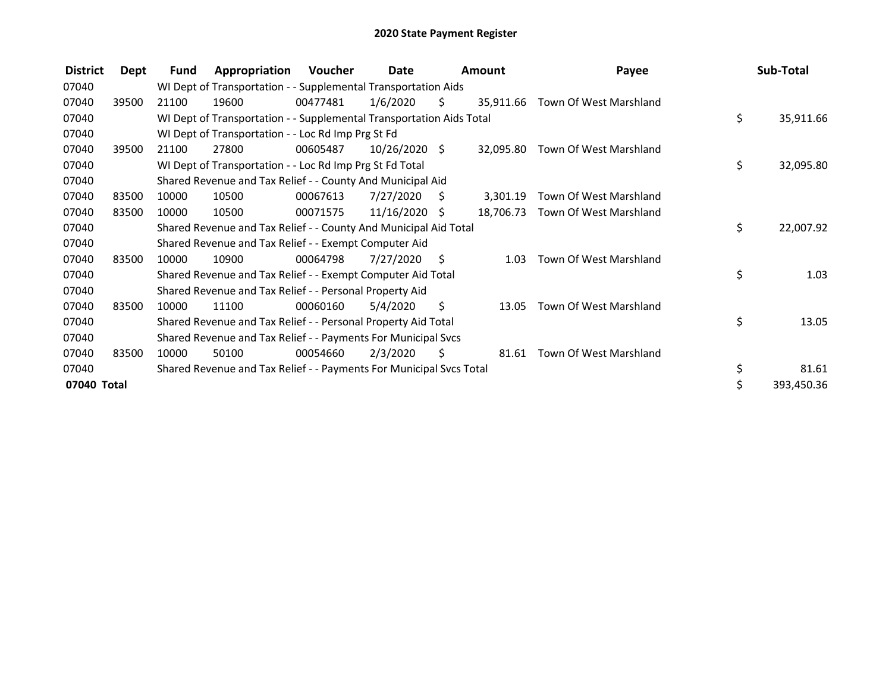| <b>District</b> | Dept  | Fund  | Appropriation                                                        | <b>Voucher</b> | Date            |    | Amount    | Payee                            | Sub-Total       |
|-----------------|-------|-------|----------------------------------------------------------------------|----------------|-----------------|----|-----------|----------------------------------|-----------------|
| 07040           |       |       | WI Dept of Transportation - - Supplemental Transportation Aids       |                |                 |    |           |                                  |                 |
| 07040           | 39500 | 21100 | 19600                                                                | 00477481       | 1/6/2020        | \$ |           | 35,911.66 Town Of West Marshland |                 |
| 07040           |       |       | WI Dept of Transportation - - Supplemental Transportation Aids Total |                |                 |    |           |                                  | \$<br>35,911.66 |
| 07040           |       |       | WI Dept of Transportation - - Loc Rd Imp Prg St Fd                   |                |                 |    |           |                                  |                 |
| 07040           | 39500 | 21100 | 27800                                                                | 00605487       | 10/26/2020 \$   |    | 32,095.80 | Town Of West Marshland           |                 |
| 07040           |       |       | WI Dept of Transportation - - Loc Rd Imp Prg St Fd Total             |                |                 |    |           |                                  | \$<br>32,095.80 |
| 07040           |       |       | Shared Revenue and Tax Relief - - County And Municipal Aid           |                |                 |    |           |                                  |                 |
| 07040           | 83500 | 10000 | 10500                                                                | 00067613       | 7/27/2020       | -S | 3,301.19  | Town Of West Marshland           |                 |
| 07040           | 83500 | 10000 | 10500                                                                | 00071575       | $11/16/2020$ \$ |    | 18,706.73 | Town Of West Marshland           |                 |
| 07040           |       |       | Shared Revenue and Tax Relief - - County And Municipal Aid Total     |                |                 |    |           |                                  | \$<br>22,007.92 |
| 07040           |       |       | Shared Revenue and Tax Relief - - Exempt Computer Aid                |                |                 |    |           |                                  |                 |
| 07040           | 83500 | 10000 | 10900                                                                | 00064798       | 7/27/2020       | S. | 1.03      | Town Of West Marshland           |                 |
| 07040           |       |       | Shared Revenue and Tax Relief - - Exempt Computer Aid Total          |                |                 |    |           |                                  | \$<br>1.03      |
| 07040           |       |       | Shared Revenue and Tax Relief - - Personal Property Aid              |                |                 |    |           |                                  |                 |
| 07040           | 83500 | 10000 | 11100                                                                | 00060160       | 5/4/2020        | \$ | 13.05     | Town Of West Marshland           |                 |
| 07040           |       |       | Shared Revenue and Tax Relief - - Personal Property Aid Total        |                |                 |    |           |                                  | \$<br>13.05     |
| 07040           |       |       | Shared Revenue and Tax Relief - - Payments For Municipal Svcs        |                |                 |    |           |                                  |                 |
| 07040           | 83500 | 10000 | 50100                                                                | 00054660       | 2/3/2020        | \$ | 81.61     | Town Of West Marshland           |                 |
| 07040           |       |       | Shared Revenue and Tax Relief - - Payments For Municipal Svcs Total  |                |                 |    |           |                                  | \$<br>81.61     |
| 07040 Total     |       |       |                                                                      |                |                 |    |           |                                  | 393,450.36      |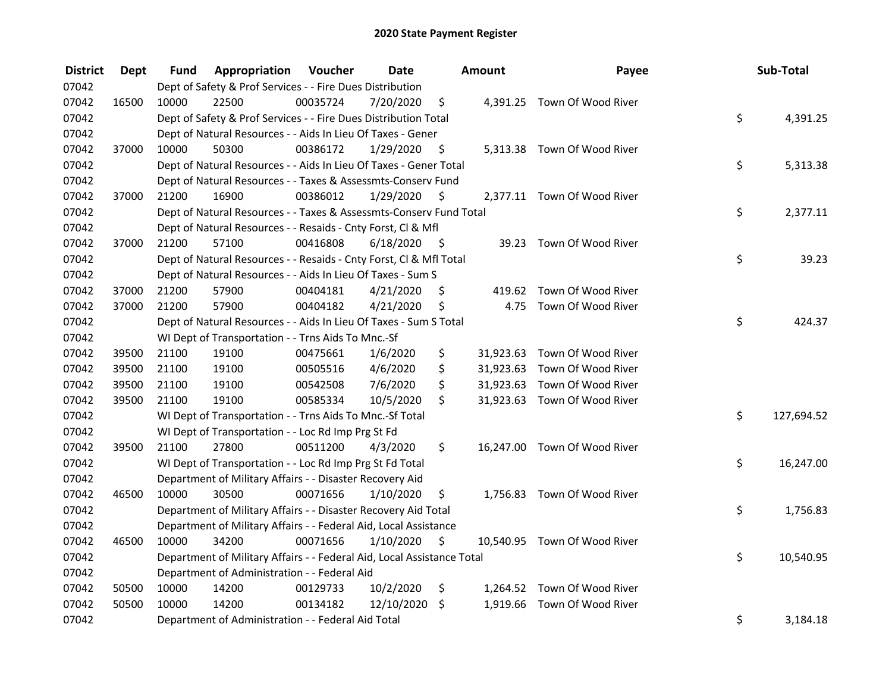| <b>District</b> | <b>Dept</b> | Fund  | Appropriation                                                          | Voucher  | <b>Date</b> |      | Amount    | Payee                        | Sub-Total        |
|-----------------|-------------|-------|------------------------------------------------------------------------|----------|-------------|------|-----------|------------------------------|------------------|
| 07042           |             |       | Dept of Safety & Prof Services - - Fire Dues Distribution              |          |             |      |           |                              |                  |
| 07042           | 16500       | 10000 | 22500                                                                  | 00035724 | 7/20/2020   | \$   |           | 4,391.25 Town Of Wood River  |                  |
| 07042           |             |       | Dept of Safety & Prof Services - - Fire Dues Distribution Total        |          |             |      |           |                              | \$<br>4,391.25   |
| 07042           |             |       | Dept of Natural Resources - - Aids In Lieu Of Taxes - Gener            |          |             |      |           |                              |                  |
| 07042           | 37000       | 10000 | 50300                                                                  | 00386172 | 1/29/2020   | \$   |           | 5,313.38 Town Of Wood River  |                  |
| 07042           |             |       | Dept of Natural Resources - - Aids In Lieu Of Taxes - Gener Total      |          |             |      |           |                              | \$<br>5,313.38   |
| 07042           |             |       | Dept of Natural Resources - - Taxes & Assessmts-Conserv Fund           |          |             |      |           |                              |                  |
| 07042           | 37000       | 21200 | 16900                                                                  | 00386012 | 1/29/2020   | - \$ |           | 2,377.11 Town Of Wood River  |                  |
| 07042           |             |       | Dept of Natural Resources - - Taxes & Assessmts-Conserv Fund Total     |          |             |      |           |                              | \$<br>2,377.11   |
| 07042           |             |       | Dept of Natural Resources - - Resaids - Cnty Forst, Cl & Mfl           |          |             |      |           |                              |                  |
| 07042           | 37000       | 21200 | 57100                                                                  | 00416808 | 6/18/2020   | - S  |           | 39.23 Town Of Wood River     |                  |
| 07042           |             |       | Dept of Natural Resources - - Resaids - Cnty Forst, Cl & Mfl Total     |          |             |      |           |                              | \$<br>39.23      |
| 07042           |             |       | Dept of Natural Resources - - Aids In Lieu Of Taxes - Sum S            |          |             |      |           |                              |                  |
| 07042           | 37000       | 21200 | 57900                                                                  | 00404181 | 4/21/2020   | S    |           | 419.62 Town Of Wood River    |                  |
| 07042           | 37000       | 21200 | 57900                                                                  | 00404182 | 4/21/2020   | \$   | 4.75      | Town Of Wood River           |                  |
| 07042           |             |       | Dept of Natural Resources - - Aids In Lieu Of Taxes - Sum S Total      |          |             |      |           |                              | \$<br>424.37     |
| 07042           |             |       | WI Dept of Transportation - - Trns Aids To Mnc.-Sf                     |          |             |      |           |                              |                  |
| 07042           | 39500       | 21100 | 19100                                                                  | 00475661 | 1/6/2020    | \$   | 31,923.63 | Town Of Wood River           |                  |
| 07042           | 39500       | 21100 | 19100                                                                  | 00505516 | 4/6/2020    | \$   |           | 31,923.63 Town Of Wood River |                  |
| 07042           | 39500       | 21100 | 19100                                                                  | 00542508 | 7/6/2020    | \$   |           | 31,923.63 Town Of Wood River |                  |
| 07042           | 39500       | 21100 | 19100                                                                  | 00585334 | 10/5/2020   | \$   |           | 31,923.63 Town Of Wood River |                  |
| 07042           |             |       | WI Dept of Transportation - - Trns Aids To Mnc.-Sf Total               |          |             |      |           |                              | \$<br>127,694.52 |
| 07042           |             |       | WI Dept of Transportation - - Loc Rd Imp Prg St Fd                     |          |             |      |           |                              |                  |
| 07042           | 39500       | 21100 | 27800                                                                  | 00511200 | 4/3/2020    | \$   |           | 16,247.00 Town Of Wood River |                  |
| 07042           |             |       | WI Dept of Transportation - - Loc Rd Imp Prg St Fd Total               |          |             |      |           |                              | \$<br>16,247.00  |
| 07042           |             |       | Department of Military Affairs - - Disaster Recovery Aid               |          |             |      |           |                              |                  |
| 07042           | 46500       | 10000 | 30500                                                                  | 00071656 | 1/10/2020   | \$   |           | 1,756.83 Town Of Wood River  |                  |
| 07042           |             |       | Department of Military Affairs - - Disaster Recovery Aid Total         |          |             |      |           |                              | \$<br>1,756.83   |
| 07042           |             |       | Department of Military Affairs - - Federal Aid, Local Assistance       |          |             |      |           |                              |                  |
| 07042           | 46500       | 10000 | 34200                                                                  | 00071656 | 1/10/2020   | \$   |           | 10,540.95 Town Of Wood River |                  |
| 07042           |             |       | Department of Military Affairs - - Federal Aid, Local Assistance Total |          |             |      |           |                              | \$<br>10,540.95  |
| 07042           |             |       | Department of Administration - - Federal Aid                           |          |             |      |           |                              |                  |
| 07042           | 50500       | 10000 | 14200                                                                  | 00129733 | 10/2/2020   | \$   |           | 1,264.52 Town Of Wood River  |                  |
| 07042           | 50500       | 10000 | 14200                                                                  | 00134182 | 12/10/2020  | \$   |           | 1,919.66 Town Of Wood River  |                  |
| 07042           |             |       | Department of Administration - - Federal Aid Total                     |          |             |      |           |                              | \$<br>3,184.18   |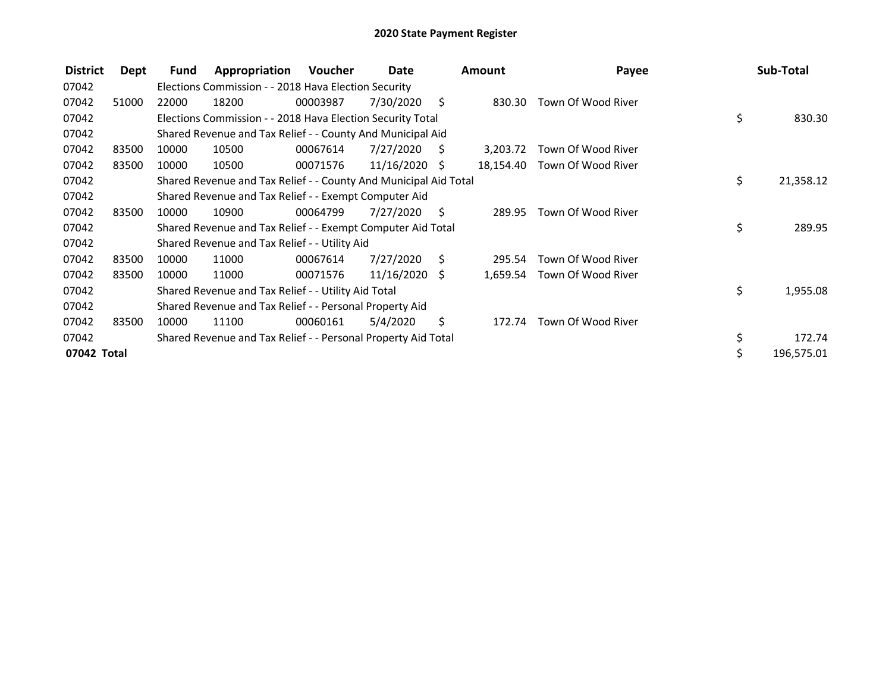| <b>District</b> | Dept  | Fund  | Appropriation                                                    | Voucher  | Date            |      | <b>Amount</b> | Payee              |    | Sub-Total  |
|-----------------|-------|-------|------------------------------------------------------------------|----------|-----------------|------|---------------|--------------------|----|------------|
| 07042           |       |       | Elections Commission - - 2018 Hava Election Security             |          |                 |      |               |                    |    |            |
| 07042           | 51000 | 22000 | 18200                                                            | 00003987 | 7/30/2020       | Ŝ.   | 830.30        | Town Of Wood River |    |            |
| 07042           |       |       | Elections Commission - - 2018 Hava Election Security Total       |          |                 |      |               |                    | \$ | 830.30     |
| 07042           |       |       | Shared Revenue and Tax Relief - - County And Municipal Aid       |          |                 |      |               |                    |    |            |
| 07042           | 83500 | 10000 | 10500                                                            | 00067614 | 7/27/2020       | S    | 3,203.72      | Town Of Wood River |    |            |
| 07042           | 83500 | 10000 | 10500                                                            | 00071576 | $11/16/2020$ \$ |      | 18,154.40     | Town Of Wood River |    |            |
| 07042           |       |       | Shared Revenue and Tax Relief - - County And Municipal Aid Total |          |                 |      |               |                    | \$ | 21,358.12  |
| 07042           |       |       | Shared Revenue and Tax Relief - - Exempt Computer Aid            |          |                 |      |               |                    |    |            |
| 07042           | 83500 | 10000 | 10900                                                            | 00064799 | 7/27/2020       | - \$ | 289.95        | Town Of Wood River |    |            |
| 07042           |       |       | Shared Revenue and Tax Relief - - Exempt Computer Aid Total      |          |                 |      |               |                    | \$ | 289.95     |
| 07042           |       |       | Shared Revenue and Tax Relief - - Utility Aid                    |          |                 |      |               |                    |    |            |
| 07042           | 83500 | 10000 | 11000                                                            | 00067614 | 7/27/2020       | - S  | 295.54        | Town Of Wood River |    |            |
| 07042           | 83500 | 10000 | 11000                                                            | 00071576 | $11/16/2020$ \$ |      | 1,659.54      | Town Of Wood River |    |            |
| 07042           |       |       | Shared Revenue and Tax Relief - - Utility Aid Total              |          |                 |      |               |                    | \$ | 1,955.08   |
| 07042           |       |       | Shared Revenue and Tax Relief - - Personal Property Aid          |          |                 |      |               |                    |    |            |
| 07042           | 83500 | 10000 | 11100                                                            | 00060161 | 5/4/2020        | \$   | 172.74        | Town Of Wood River |    |            |
| 07042           |       |       | Shared Revenue and Tax Relief - - Personal Property Aid Total    |          |                 |      |               |                    | \$ | 172.74     |
| 07042 Total     |       |       |                                                                  |          |                 |      |               |                    | Ś  | 196,575.01 |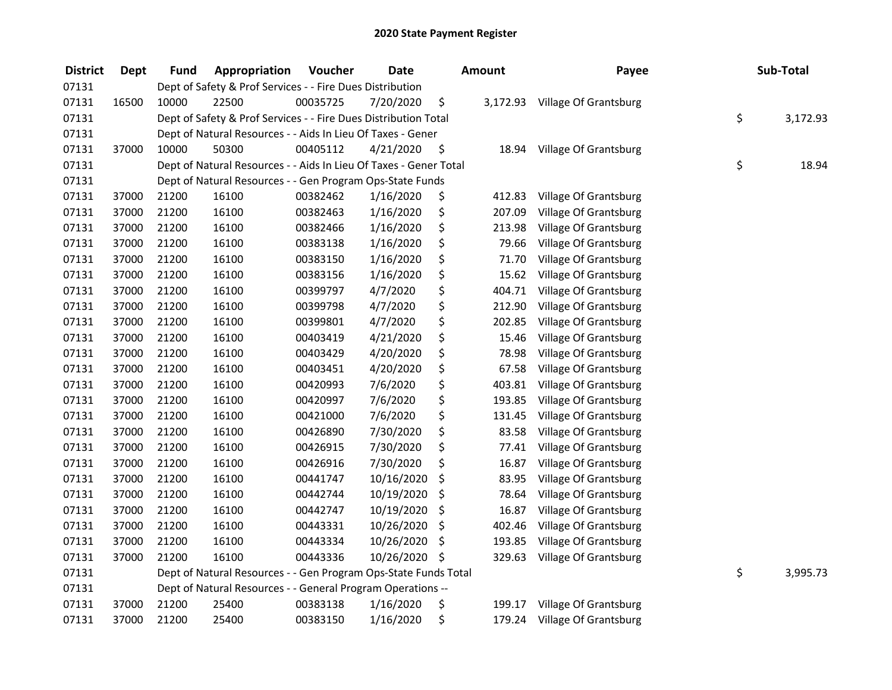| <b>District</b> | Dept  | Fund  | Appropriation                                                     | Voucher  | <b>Date</b> | <b>Amount</b>  | Payee                        | Sub-Total      |
|-----------------|-------|-------|-------------------------------------------------------------------|----------|-------------|----------------|------------------------------|----------------|
| 07131           |       |       | Dept of Safety & Prof Services - - Fire Dues Distribution         |          |             |                |                              |                |
| 07131           | 16500 | 10000 | 22500                                                             | 00035725 | 7/20/2020   | \$<br>3,172.93 | Village Of Grantsburg        |                |
| 07131           |       |       | Dept of Safety & Prof Services - - Fire Dues Distribution Total   |          |             |                |                              | \$<br>3,172.93 |
| 07131           |       |       | Dept of Natural Resources - - Aids In Lieu Of Taxes - Gener       |          |             |                |                              |                |
| 07131           | 37000 | 10000 | 50300                                                             | 00405112 | 4/21/2020   | \$<br>18.94    | Village Of Grantsburg        |                |
| 07131           |       |       | Dept of Natural Resources - - Aids In Lieu Of Taxes - Gener Total |          |             |                |                              | \$<br>18.94    |
| 07131           |       |       | Dept of Natural Resources - - Gen Program Ops-State Funds         |          |             |                |                              |                |
| 07131           | 37000 | 21200 | 16100                                                             | 00382462 | 1/16/2020   | \$<br>412.83   | Village Of Grantsburg        |                |
| 07131           | 37000 | 21200 | 16100                                                             | 00382463 | 1/16/2020   | \$<br>207.09   | Village Of Grantsburg        |                |
| 07131           | 37000 | 21200 | 16100                                                             | 00382466 | 1/16/2020   | \$<br>213.98   | Village Of Grantsburg        |                |
| 07131           | 37000 | 21200 | 16100                                                             | 00383138 | 1/16/2020   | \$<br>79.66    | Village Of Grantsburg        |                |
| 07131           | 37000 | 21200 | 16100                                                             | 00383150 | 1/16/2020   | \$<br>71.70    | Village Of Grantsburg        |                |
| 07131           | 37000 | 21200 | 16100                                                             | 00383156 | 1/16/2020   | \$<br>15.62    | Village Of Grantsburg        |                |
| 07131           | 37000 | 21200 | 16100                                                             | 00399797 | 4/7/2020    | \$<br>404.71   | Village Of Grantsburg        |                |
| 07131           | 37000 | 21200 | 16100                                                             | 00399798 | 4/7/2020    | \$<br>212.90   | Village Of Grantsburg        |                |
| 07131           | 37000 | 21200 | 16100                                                             | 00399801 | 4/7/2020    | \$<br>202.85   | Village Of Grantsburg        |                |
| 07131           | 37000 | 21200 | 16100                                                             | 00403419 | 4/21/2020   | \$<br>15.46    | Village Of Grantsburg        |                |
| 07131           | 37000 | 21200 | 16100                                                             | 00403429 | 4/20/2020   | \$<br>78.98    | Village Of Grantsburg        |                |
| 07131           | 37000 | 21200 | 16100                                                             | 00403451 | 4/20/2020   | \$<br>67.58    | Village Of Grantsburg        |                |
| 07131           | 37000 | 21200 | 16100                                                             | 00420993 | 7/6/2020    | \$<br>403.81   | Village Of Grantsburg        |                |
| 07131           | 37000 | 21200 | 16100                                                             | 00420997 | 7/6/2020    | \$<br>193.85   | Village Of Grantsburg        |                |
| 07131           | 37000 | 21200 | 16100                                                             | 00421000 | 7/6/2020    | \$<br>131.45   | Village Of Grantsburg        |                |
| 07131           | 37000 | 21200 | 16100                                                             | 00426890 | 7/30/2020   | \$<br>83.58    | Village Of Grantsburg        |                |
| 07131           | 37000 | 21200 | 16100                                                             | 00426915 | 7/30/2020   | \$<br>77.41    | Village Of Grantsburg        |                |
| 07131           | 37000 | 21200 | 16100                                                             | 00426916 | 7/30/2020   | \$<br>16.87    | Village Of Grantsburg        |                |
| 07131           | 37000 | 21200 | 16100                                                             | 00441747 | 10/16/2020  | \$<br>83.95    | Village Of Grantsburg        |                |
| 07131           | 37000 | 21200 | 16100                                                             | 00442744 | 10/19/2020  | \$<br>78.64    | Village Of Grantsburg        |                |
| 07131           | 37000 | 21200 | 16100                                                             | 00442747 | 10/19/2020  | \$<br>16.87    | Village Of Grantsburg        |                |
| 07131           | 37000 | 21200 | 16100                                                             | 00443331 | 10/26/2020  | \$<br>402.46   | Village Of Grantsburg        |                |
| 07131           | 37000 | 21200 | 16100                                                             | 00443334 | 10/26/2020  | \$<br>193.85   | Village Of Grantsburg        |                |
| 07131           | 37000 | 21200 | 16100                                                             | 00443336 | 10/26/2020  | \$<br>329.63   | Village Of Grantsburg        |                |
| 07131           |       |       | Dept of Natural Resources - - Gen Program Ops-State Funds Total   |          |             |                |                              | \$<br>3,995.73 |
| 07131           |       |       | Dept of Natural Resources - - General Program Operations --       |          |             |                |                              |                |
| 07131           | 37000 | 21200 | 25400                                                             | 00383138 | 1/16/2020   | \$<br>199.17   | Village Of Grantsburg        |                |
| 07131           | 37000 | 21200 | 25400                                                             | 00383150 | 1/16/2020   | \$<br>179.24   | <b>Village Of Grantsburg</b> |                |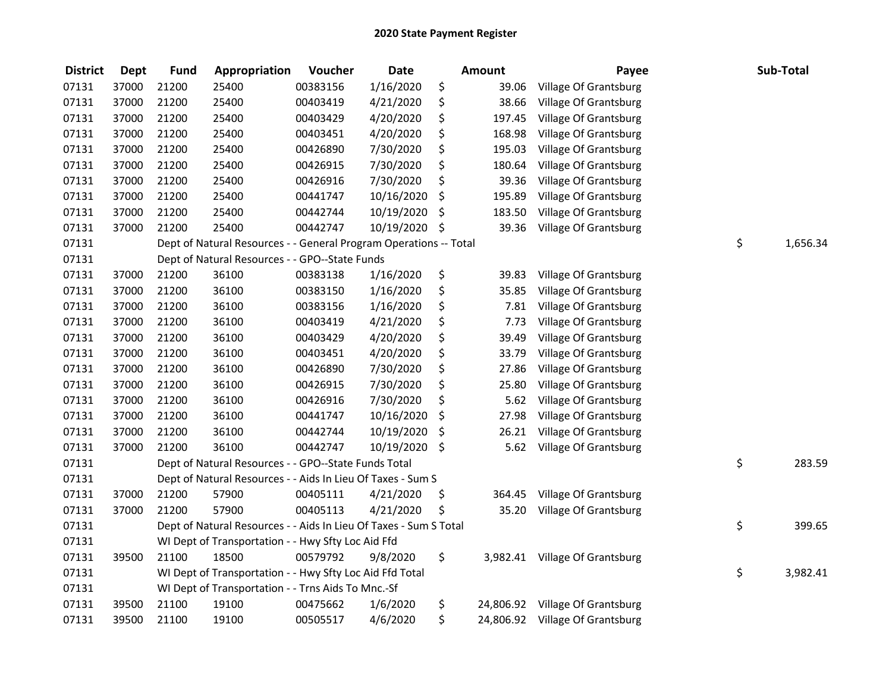| <b>District</b> | <b>Dept</b> | <b>Fund</b> | Appropriation                                                     | Voucher  | <b>Date</b> | <b>Amount</b> | Payee                           | Sub-Total      |
|-----------------|-------------|-------------|-------------------------------------------------------------------|----------|-------------|---------------|---------------------------------|----------------|
| 07131           | 37000       | 21200       | 25400                                                             | 00383156 | 1/16/2020   | \$<br>39.06   | Village Of Grantsburg           |                |
| 07131           | 37000       | 21200       | 25400                                                             | 00403419 | 4/21/2020   | \$<br>38.66   | Village Of Grantsburg           |                |
| 07131           | 37000       | 21200       | 25400                                                             | 00403429 | 4/20/2020   | \$<br>197.45  | Village Of Grantsburg           |                |
| 07131           | 37000       | 21200       | 25400                                                             | 00403451 | 4/20/2020   | \$<br>168.98  | Village Of Grantsburg           |                |
| 07131           | 37000       | 21200       | 25400                                                             | 00426890 | 7/30/2020   | \$<br>195.03  | Village Of Grantsburg           |                |
| 07131           | 37000       | 21200       | 25400                                                             | 00426915 | 7/30/2020   | \$<br>180.64  | Village Of Grantsburg           |                |
| 07131           | 37000       | 21200       | 25400                                                             | 00426916 | 7/30/2020   | \$<br>39.36   | Village Of Grantsburg           |                |
| 07131           | 37000       | 21200       | 25400                                                             | 00441747 | 10/16/2020  | \$<br>195.89  | Village Of Grantsburg           |                |
| 07131           | 37000       | 21200       | 25400                                                             | 00442744 | 10/19/2020  | \$<br>183.50  | Village Of Grantsburg           |                |
| 07131           | 37000       | 21200       | 25400                                                             | 00442747 | 10/19/2020  | \$<br>39.36   | Village Of Grantsburg           |                |
| 07131           |             |             | Dept of Natural Resources - - General Program Operations -- Total |          |             |               |                                 | \$<br>1,656.34 |
| 07131           |             |             | Dept of Natural Resources - - GPO--State Funds                    |          |             |               |                                 |                |
| 07131           | 37000       | 21200       | 36100                                                             | 00383138 | 1/16/2020   | \$<br>39.83   | Village Of Grantsburg           |                |
| 07131           | 37000       | 21200       | 36100                                                             | 00383150 | 1/16/2020   | \$<br>35.85   | Village Of Grantsburg           |                |
| 07131           | 37000       | 21200       | 36100                                                             | 00383156 | 1/16/2020   | \$<br>7.81    | Village Of Grantsburg           |                |
| 07131           | 37000       | 21200       | 36100                                                             | 00403419 | 4/21/2020   | \$<br>7.73    | Village Of Grantsburg           |                |
| 07131           | 37000       | 21200       | 36100                                                             | 00403429 | 4/20/2020   | \$<br>39.49   | Village Of Grantsburg           |                |
| 07131           | 37000       | 21200       | 36100                                                             | 00403451 | 4/20/2020   | \$<br>33.79   | Village Of Grantsburg           |                |
| 07131           | 37000       | 21200       | 36100                                                             | 00426890 | 7/30/2020   | \$<br>27.86   | Village Of Grantsburg           |                |
| 07131           | 37000       | 21200       | 36100                                                             | 00426915 | 7/30/2020   | \$<br>25.80   | Village Of Grantsburg           |                |
| 07131           | 37000       | 21200       | 36100                                                             | 00426916 | 7/30/2020   | \$<br>5.62    | Village Of Grantsburg           |                |
| 07131           | 37000       | 21200       | 36100                                                             | 00441747 | 10/16/2020  | \$<br>27.98   | Village Of Grantsburg           |                |
| 07131           | 37000       | 21200       | 36100                                                             | 00442744 | 10/19/2020  | \$<br>26.21   | Village Of Grantsburg           |                |
| 07131           | 37000       | 21200       | 36100                                                             | 00442747 | 10/19/2020  | \$<br>5.62    | Village Of Grantsburg           |                |
| 07131           |             |             | Dept of Natural Resources - - GPO--State Funds Total              |          |             |               |                                 | \$<br>283.59   |
| 07131           |             |             | Dept of Natural Resources - - Aids In Lieu Of Taxes - Sum S       |          |             |               |                                 |                |
| 07131           | 37000       | 21200       | 57900                                                             | 00405111 | 4/21/2020   | \$<br>364.45  | Village Of Grantsburg           |                |
| 07131           | 37000       | 21200       | 57900                                                             | 00405113 | 4/21/2020   | \$<br>35.20   | <b>Village Of Grantsburg</b>    |                |
| 07131           |             |             | Dept of Natural Resources - - Aids In Lieu Of Taxes - Sum S Total |          |             |               |                                 | \$<br>399.65   |
| 07131           |             |             | WI Dept of Transportation - - Hwy Sfty Loc Aid Ffd                |          |             |               |                                 |                |
| 07131           | 39500       | 21100       | 18500                                                             | 00579792 | 9/8/2020    | \$            | 3,982.41 Village Of Grantsburg  |                |
| 07131           |             |             | WI Dept of Transportation - - Hwy Sfty Loc Aid Ffd Total          |          |             |               |                                 | \$<br>3,982.41 |
| 07131           |             |             | WI Dept of Transportation - - Trns Aids To Mnc.-Sf                |          |             |               |                                 |                |
| 07131           | 39500       | 21100       | 19100                                                             | 00475662 | 1/6/2020    | \$            | 24,806.92 Village Of Grantsburg |                |
| 07131           | 39500       | 21100       | 19100                                                             | 00505517 | 4/6/2020    | \$            | 24,806.92 Village Of Grantsburg |                |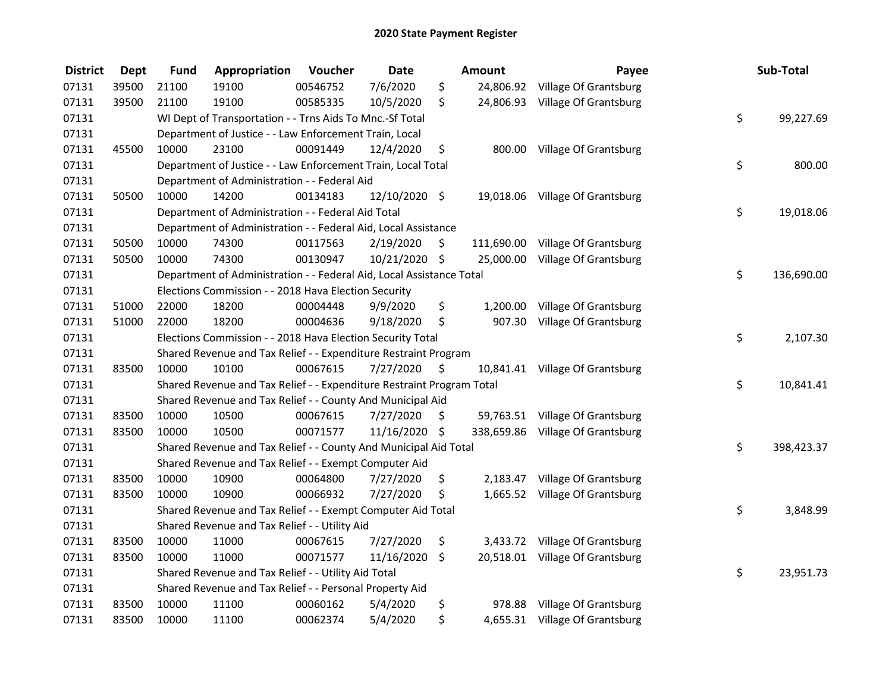| <b>District</b> | <b>Dept</b> | <b>Fund</b> | Appropriation                                                         | Voucher  | <b>Date</b>   |      | <b>Amount</b> | Payee                            | Sub-Total        |
|-----------------|-------------|-------------|-----------------------------------------------------------------------|----------|---------------|------|---------------|----------------------------------|------------------|
| 07131           | 39500       | 21100       | 19100                                                                 | 00546752 | 7/6/2020      | \$   |               | 24,806.92 Village Of Grantsburg  |                  |
| 07131           | 39500       | 21100       | 19100                                                                 | 00585335 | 10/5/2020     | \$   |               | 24,806.93 Village Of Grantsburg  |                  |
| 07131           |             |             | WI Dept of Transportation - - Trns Aids To Mnc.-Sf Total              |          |               |      |               |                                  | \$<br>99,227.69  |
| 07131           |             |             | Department of Justice - - Law Enforcement Train, Local                |          |               |      |               |                                  |                  |
| 07131           | 45500       | 10000       | 23100                                                                 | 00091449 | 12/4/2020     | \$   |               | 800.00 Village Of Grantsburg     |                  |
| 07131           |             |             | Department of Justice - - Law Enforcement Train, Local Total          |          |               |      |               |                                  | \$<br>800.00     |
| 07131           |             |             | Department of Administration - - Federal Aid                          |          |               |      |               |                                  |                  |
| 07131           | 50500       | 10000       | 14200                                                                 | 00134183 | 12/10/2020 \$ |      |               | 19,018.06 Village Of Grantsburg  |                  |
| 07131           |             |             | Department of Administration - - Federal Aid Total                    |          |               |      |               |                                  | \$<br>19,018.06  |
| 07131           |             |             | Department of Administration - - Federal Aid, Local Assistance        |          |               |      |               |                                  |                  |
| 07131           | 50500       | 10000       | 74300                                                                 | 00117563 | 2/19/2020     | \$.  |               | 111,690.00 Village Of Grantsburg |                  |
| 07131           | 50500       | 10000       | 74300                                                                 | 00130947 | 10/21/2020 \$ |      | 25,000.00     | Village Of Grantsburg            |                  |
| 07131           |             |             | Department of Administration - - Federal Aid, Local Assistance Total  |          |               |      |               |                                  | \$<br>136,690.00 |
| 07131           |             |             | Elections Commission - - 2018 Hava Election Security                  |          |               |      |               |                                  |                  |
| 07131           | 51000       | 22000       | 18200                                                                 | 00004448 | 9/9/2020      | \$   | 1,200.00      | Village Of Grantsburg            |                  |
| 07131           | 51000       | 22000       | 18200                                                                 | 00004636 | 9/18/2020     | \$   | 907.30        | Village Of Grantsburg            |                  |
| 07131           |             |             | Elections Commission - - 2018 Hava Election Security Total            |          |               |      |               |                                  | \$<br>2,107.30   |
| 07131           |             |             | Shared Revenue and Tax Relief - - Expenditure Restraint Program       |          |               |      |               |                                  |                  |
| 07131           | 83500       | 10000       | 10100                                                                 | 00067615 | 7/27/2020     | - \$ |               | 10,841.41 Village Of Grantsburg  |                  |
| 07131           |             |             | Shared Revenue and Tax Relief - - Expenditure Restraint Program Total |          |               |      |               |                                  | \$<br>10,841.41  |
| 07131           |             |             | Shared Revenue and Tax Relief - - County And Municipal Aid            |          |               |      |               |                                  |                  |
| 07131           | 83500       | 10000       | 10500                                                                 | 00067615 | 7/27/2020     | S.   |               | 59,763.51 Village Of Grantsburg  |                  |
| 07131           | 83500       | 10000       | 10500                                                                 | 00071577 | 11/16/2020 \$ |      |               | 338,659.86 Village Of Grantsburg |                  |
| 07131           |             |             | Shared Revenue and Tax Relief - - County And Municipal Aid Total      |          |               |      |               |                                  | \$<br>398,423.37 |
| 07131           |             |             | Shared Revenue and Tax Relief - - Exempt Computer Aid                 |          |               |      |               |                                  |                  |
| 07131           | 83500       | 10000       | 10900                                                                 | 00064800 | 7/27/2020     | \$   |               | 2,183.47 Village Of Grantsburg   |                  |
| 07131           | 83500       | 10000       | 10900                                                                 | 00066932 | 7/27/2020     | \$   |               | 1,665.52 Village Of Grantsburg   |                  |
| 07131           |             |             | Shared Revenue and Tax Relief - - Exempt Computer Aid Total           |          |               |      |               |                                  | \$<br>3,848.99   |
| 07131           |             |             | Shared Revenue and Tax Relief - - Utility Aid                         |          |               |      |               |                                  |                  |
| 07131           | 83500       | 10000       | 11000                                                                 | 00067615 | 7/27/2020     | \$   | 3,433.72      | Village Of Grantsburg            |                  |
| 07131           | 83500       | 10000       | 11000                                                                 | 00071577 | 11/16/2020    | \$   |               | 20,518.01 Village Of Grantsburg  |                  |
| 07131           |             |             | Shared Revenue and Tax Relief - - Utility Aid Total                   |          |               |      |               |                                  | \$<br>23,951.73  |
| 07131           |             |             | Shared Revenue and Tax Relief - - Personal Property Aid               |          |               |      |               |                                  |                  |
| 07131           | 83500       | 10000       | 11100                                                                 | 00060162 | 5/4/2020      | \$   |               | 978.88 Village Of Grantsburg     |                  |
| 07131           | 83500       | 10000       | 11100                                                                 | 00062374 | 5/4/2020      | \$   |               | 4,655.31 Village Of Grantsburg   |                  |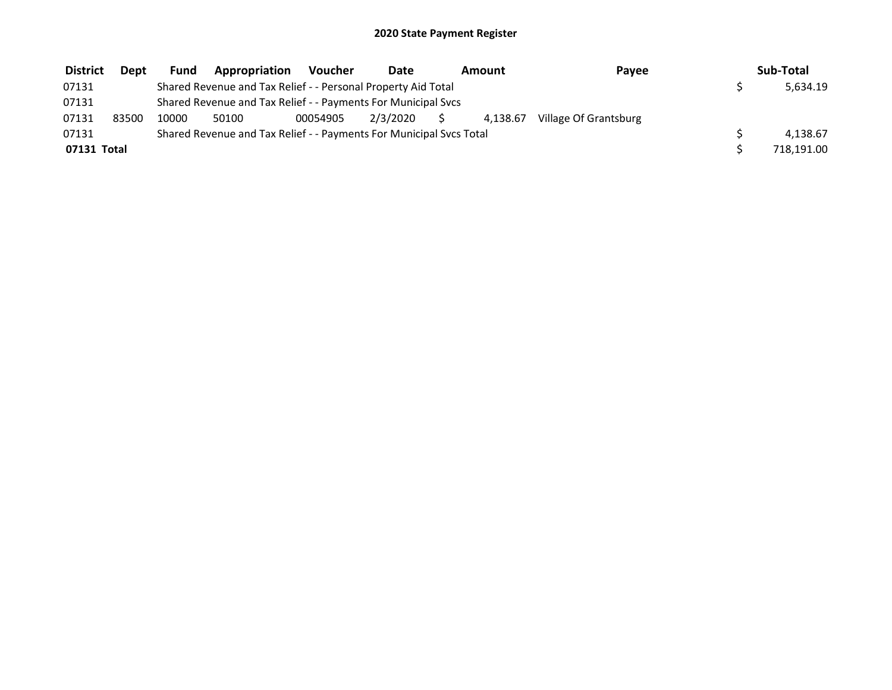| <b>District</b> | Dept  | <b>Fund</b> | Appropriation                                                       | <b>Voucher</b> | Date     | Amount   | Payee                 | Sub-Total  |
|-----------------|-------|-------------|---------------------------------------------------------------------|----------------|----------|----------|-----------------------|------------|
| 07131           |       |             | Shared Revenue and Tax Relief - - Personal Property Aid Total       |                |          |          |                       | 5.634.19   |
| 07131           |       |             | Shared Revenue and Tax Relief - - Payments For Municipal Svcs       |                |          |          |                       |            |
| 07131           | 83500 | 10000       | 50100                                                               | 00054905       | 2/3/2020 | 4.138.67 | Village Of Grantsburg |            |
| 07131           |       |             | Shared Revenue and Tax Relief - - Payments For Municipal Svcs Total |                |          |          |                       | 4.138.67   |
| 07131 Total     |       |             |                                                                     |                |          |          |                       | 718,191.00 |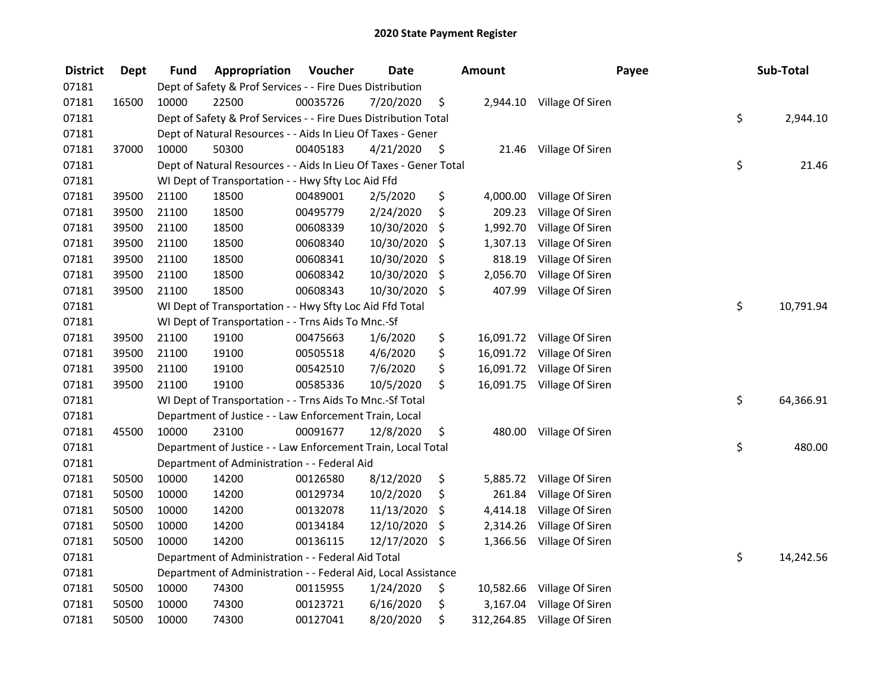| <b>District</b> | <b>Dept</b> | Fund  | Appropriation                                                     | Voucher  | <b>Date</b>   |     | <b>Amount</b> |                           | Payee | Sub-Total       |
|-----------------|-------------|-------|-------------------------------------------------------------------|----------|---------------|-----|---------------|---------------------------|-------|-----------------|
| 07181           |             |       | Dept of Safety & Prof Services - - Fire Dues Distribution         |          |               |     |               |                           |       |                 |
| 07181           | 16500       | 10000 | 22500                                                             | 00035726 | 7/20/2020     | \$  |               | 2,944.10 Village Of Siren |       |                 |
| 07181           |             |       | Dept of Safety & Prof Services - - Fire Dues Distribution Total   |          |               |     |               |                           |       | \$<br>2,944.10  |
| 07181           |             |       | Dept of Natural Resources - - Aids In Lieu Of Taxes - Gener       |          |               |     |               |                           |       |                 |
| 07181           | 37000       | 10000 | 50300                                                             | 00405183 | 4/21/2020     | \$  | 21.46         | Village Of Siren          |       |                 |
| 07181           |             |       | Dept of Natural Resources - - Aids In Lieu Of Taxes - Gener Total |          |               |     |               |                           |       | \$<br>21.46     |
| 07181           |             |       | WI Dept of Transportation - - Hwy Sfty Loc Aid Ffd                |          |               |     |               |                           |       |                 |
| 07181           | 39500       | 21100 | 18500                                                             | 00489001 | 2/5/2020      | \$  | 4,000.00      | Village Of Siren          |       |                 |
| 07181           | 39500       | 21100 | 18500                                                             | 00495779 | 2/24/2020     | \$  | 209.23        | Village Of Siren          |       |                 |
| 07181           | 39500       | 21100 | 18500                                                             | 00608339 | 10/30/2020    | \$  | 1,992.70      | Village Of Siren          |       |                 |
| 07181           | 39500       | 21100 | 18500                                                             | 00608340 | 10/30/2020    | \$  | 1,307.13      | Village Of Siren          |       |                 |
| 07181           | 39500       | 21100 | 18500                                                             | 00608341 | 10/30/2020    | \$  | 818.19        | Village Of Siren          |       |                 |
| 07181           | 39500       | 21100 | 18500                                                             | 00608342 | 10/30/2020    | \$  | 2,056.70      | Village Of Siren          |       |                 |
| 07181           | 39500       | 21100 | 18500                                                             | 00608343 | 10/30/2020    | \$  | 407.99        | Village Of Siren          |       |                 |
| 07181           |             |       | WI Dept of Transportation - - Hwy Sfty Loc Aid Ffd Total          |          |               |     |               |                           |       | \$<br>10,791.94 |
| 07181           |             |       | WI Dept of Transportation - - Trns Aids To Mnc.-Sf                |          |               |     |               |                           |       |                 |
| 07181           | 39500       | 21100 | 19100                                                             | 00475663 | 1/6/2020      | \$  | 16,091.72     | Village Of Siren          |       |                 |
| 07181           | 39500       | 21100 | 19100                                                             | 00505518 | 4/6/2020      | \$  | 16,091.72     | Village Of Siren          |       |                 |
| 07181           | 39500       | 21100 | 19100                                                             | 00542510 | 7/6/2020      | \$  | 16,091.72     | Village Of Siren          |       |                 |
| 07181           | 39500       | 21100 | 19100                                                             | 00585336 | 10/5/2020     | \$  | 16,091.75     | Village Of Siren          |       |                 |
| 07181           |             |       | WI Dept of Transportation - - Trns Aids To Mnc.-Sf Total          |          |               |     |               |                           |       | \$<br>64,366.91 |
| 07181           |             |       | Department of Justice - - Law Enforcement Train, Local            |          |               |     |               |                           |       |                 |
| 07181           | 45500       | 10000 | 23100                                                             | 00091677 | 12/8/2020     | \$  | 480.00        | Village Of Siren          |       |                 |
| 07181           |             |       | Department of Justice - - Law Enforcement Train, Local Total      |          |               |     |               |                           |       | \$<br>480.00    |
| 07181           |             |       | Department of Administration - - Federal Aid                      |          |               |     |               |                           |       |                 |
| 07181           | 50500       | 10000 | 14200                                                             | 00126580 | 8/12/2020     | \$  | 5,885.72      | Village Of Siren          |       |                 |
| 07181           | 50500       | 10000 | 14200                                                             | 00129734 | 10/2/2020     | \$  | 261.84        | Village Of Siren          |       |                 |
| 07181           | 50500       | 10000 | 14200                                                             | 00132078 | 11/13/2020    | \$  | 4,414.18      | Village Of Siren          |       |                 |
| 07181           | 50500       | 10000 | 14200                                                             | 00134184 | 12/10/2020    | \$. | 2,314.26      | Village Of Siren          |       |                 |
| 07181           | 50500       | 10000 | 14200                                                             | 00136115 | 12/17/2020 \$ |     | 1,366.56      | Village Of Siren          |       |                 |
| 07181           |             |       | Department of Administration - - Federal Aid Total                |          |               |     |               |                           |       | \$<br>14,242.56 |
| 07181           |             |       | Department of Administration - - Federal Aid, Local Assistance    |          |               |     |               |                           |       |                 |
| 07181           | 50500       | 10000 | 74300                                                             | 00115955 | 1/24/2020     | \$  | 10,582.66     | Village Of Siren          |       |                 |
| 07181           | 50500       | 10000 | 74300                                                             | 00123721 | 6/16/2020     | \$  | 3,167.04      | Village Of Siren          |       |                 |
| 07181           | 50500       | 10000 | 74300                                                             | 00127041 | 8/20/2020     | \$  | 312,264.85    | Village Of Siren          |       |                 |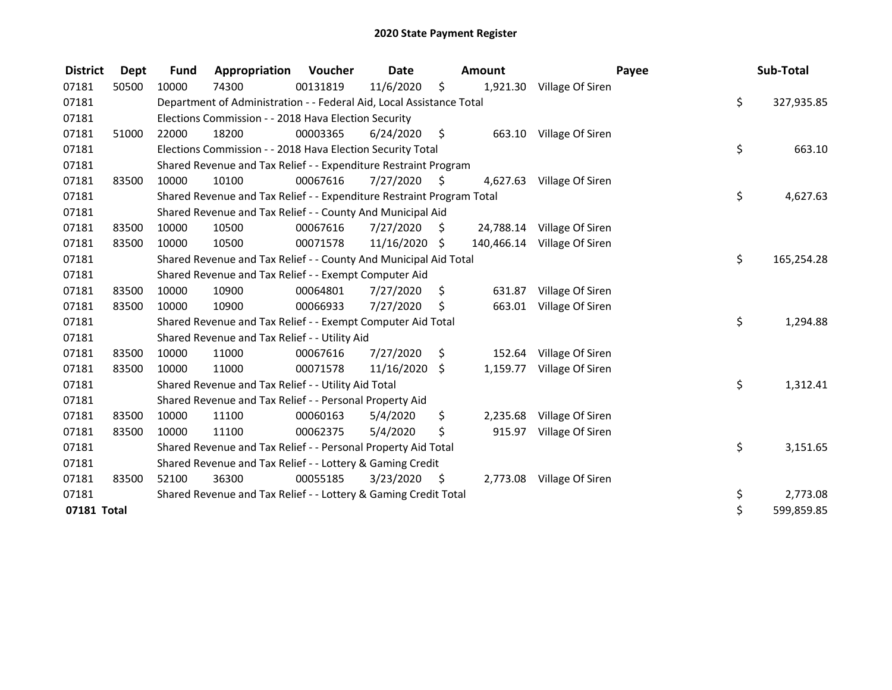| <b>District</b> | <b>Dept</b> | <b>Fund</b> | Appropriation                                                         | Voucher  | <b>Date</b>   |                     | Amount   |                             | Payee | Sub-Total  |
|-----------------|-------------|-------------|-----------------------------------------------------------------------|----------|---------------|---------------------|----------|-----------------------------|-------|------------|
| 07181           | 50500       | 10000       | 74300                                                                 | 00131819 | 11/6/2020     | \$                  | 1,921.30 | Village Of Siren            |       |            |
| 07181           |             |             | Department of Administration - - Federal Aid, Local Assistance Total  |          |               |                     |          |                             | \$    | 327,935.85 |
| 07181           |             |             | Elections Commission - - 2018 Hava Election Security                  |          |               |                     |          |                             |       |            |
| 07181           | 51000       | 22000       | 18200                                                                 | 00003365 | 6/24/2020     | $\ddot{\mathsf{S}}$ | 663.10   | Village Of Siren            |       |            |
| 07181           |             |             | Elections Commission - - 2018 Hava Election Security Total            |          |               |                     |          |                             | \$    | 663.10     |
| 07181           |             |             | Shared Revenue and Tax Relief - - Expenditure Restraint Program       |          |               |                     |          |                             |       |            |
| 07181           | 83500       | 10000       | 10100                                                                 | 00067616 | 7/27/2020     | S                   | 4,627.63 | Village Of Siren            |       |            |
| 07181           |             |             | Shared Revenue and Tax Relief - - Expenditure Restraint Program Total |          |               |                     |          |                             | \$    | 4,627.63   |
| 07181           |             |             | Shared Revenue and Tax Relief - - County And Municipal Aid            |          |               |                     |          |                             |       |            |
| 07181           | 83500       | 10000       | 10500                                                                 | 00067616 | 7/27/2020     | S                   |          | 24,788.14 Village Of Siren  |       |            |
| 07181           | 83500       | 10000       | 10500                                                                 | 00071578 | 11/16/2020 \$ |                     |          | 140,466.14 Village Of Siren |       |            |
| 07181           |             |             | Shared Revenue and Tax Relief - - County And Municipal Aid Total      |          |               |                     |          |                             | \$    | 165,254.28 |
| 07181           |             |             | Shared Revenue and Tax Relief - - Exempt Computer Aid                 |          |               |                     |          |                             |       |            |
| 07181           | 83500       | 10000       | 10900                                                                 | 00064801 | 7/27/2020     | \$.                 | 631.87   | Village Of Siren            |       |            |
| 07181           | 83500       | 10000       | 10900                                                                 | 00066933 | 7/27/2020     | \$                  | 663.01   | Village Of Siren            |       |            |
| 07181           |             |             | Shared Revenue and Tax Relief - - Exempt Computer Aid Total           |          |               |                     |          |                             | \$    | 1,294.88   |
| 07181           |             |             | Shared Revenue and Tax Relief - - Utility Aid                         |          |               |                     |          |                             |       |            |
| 07181           | 83500       | 10000       | 11000                                                                 | 00067616 | 7/27/2020     | \$                  | 152.64   | Village Of Siren            |       |            |
| 07181           | 83500       | 10000       | 11000                                                                 | 00071578 | 11/16/2020    | \$                  | 1,159.77 | Village Of Siren            |       |            |
| 07181           |             |             | Shared Revenue and Tax Relief - - Utility Aid Total                   |          |               |                     |          |                             | \$    | 1,312.41   |
| 07181           |             |             | Shared Revenue and Tax Relief - - Personal Property Aid               |          |               |                     |          |                             |       |            |
| 07181           | 83500       | 10000       | 11100                                                                 | 00060163 | 5/4/2020      | \$                  | 2,235.68 | Village Of Siren            |       |            |
| 07181           | 83500       | 10000       | 11100                                                                 | 00062375 | 5/4/2020      | \$                  | 915.97   | Village Of Siren            |       |            |
| 07181           |             |             | Shared Revenue and Tax Relief - - Personal Property Aid Total         |          |               |                     |          |                             | \$    | 3,151.65   |
| 07181           |             |             | Shared Revenue and Tax Relief - - Lottery & Gaming Credit             |          |               |                     |          |                             |       |            |
| 07181           | 83500       | 52100       | 36300                                                                 | 00055185 | 3/23/2020     | \$                  | 2,773.08 | Village Of Siren            |       |            |
| 07181           |             |             | Shared Revenue and Tax Relief - - Lottery & Gaming Credit Total       |          |               |                     |          |                             | \$    | 2,773.08   |
| 07181 Total     |             |             |                                                                       |          |               |                     |          |                             | \$    | 599,859.85 |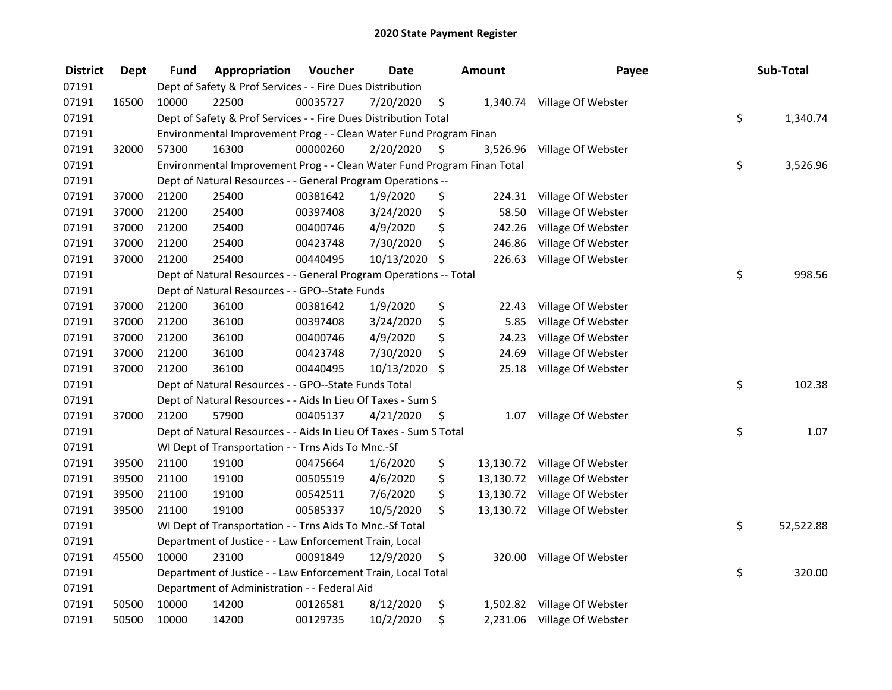| <b>District</b> | <b>Dept</b> | Fund  | Appropriation                                                           | Voucher  | <b>Date</b> |      | <b>Amount</b> | Payee                        | Sub-Total       |
|-----------------|-------------|-------|-------------------------------------------------------------------------|----------|-------------|------|---------------|------------------------------|-----------------|
| 07191           |             |       | Dept of Safety & Prof Services - - Fire Dues Distribution               |          |             |      |               |                              |                 |
| 07191           | 16500       | 10000 | 22500                                                                   | 00035727 | 7/20/2020   | \$   |               | 1,340.74 Village Of Webster  |                 |
| 07191           |             |       | Dept of Safety & Prof Services - - Fire Dues Distribution Total         |          |             |      |               |                              | \$<br>1,340.74  |
| 07191           |             |       | Environmental Improvement Prog - - Clean Water Fund Program Finan       |          |             |      |               |                              |                 |
| 07191           | 32000       | 57300 | 16300                                                                   | 00000260 | 2/20/2020   | \$   | 3,526.96      | Village Of Webster           |                 |
| 07191           |             |       | Environmental Improvement Prog - - Clean Water Fund Program Finan Total |          |             |      |               |                              | \$<br>3,526.96  |
| 07191           |             |       | Dept of Natural Resources - - General Program Operations --             |          |             |      |               |                              |                 |
| 07191           | 37000       | 21200 | 25400                                                                   | 00381642 | 1/9/2020    | \$   |               | 224.31 Village Of Webster    |                 |
| 07191           | 37000       | 21200 | 25400                                                                   | 00397408 | 3/24/2020   | \$   | 58.50         | Village Of Webster           |                 |
| 07191           | 37000       | 21200 | 25400                                                                   | 00400746 | 4/9/2020    | \$   | 242.26        | Village Of Webster           |                 |
| 07191           | 37000       | 21200 | 25400                                                                   | 00423748 | 7/30/2020   | \$   | 246.86        | Village Of Webster           |                 |
| 07191           | 37000       | 21200 | 25400                                                                   | 00440495 | 10/13/2020  | \$   | 226.63        | Village Of Webster           |                 |
| 07191           |             |       | Dept of Natural Resources - - General Program Operations -- Total       |          |             |      |               |                              | \$<br>998.56    |
| 07191           |             |       | Dept of Natural Resources - - GPO--State Funds                          |          |             |      |               |                              |                 |
| 07191           | 37000       | 21200 | 36100                                                                   | 00381642 | 1/9/2020    | \$   | 22.43         | Village Of Webster           |                 |
| 07191           | 37000       | 21200 | 36100                                                                   | 00397408 | 3/24/2020   | \$   | 5.85          | Village Of Webster           |                 |
| 07191           | 37000       | 21200 | 36100                                                                   | 00400746 | 4/9/2020    | \$   | 24.23         | Village Of Webster           |                 |
| 07191           | 37000       | 21200 | 36100                                                                   | 00423748 | 7/30/2020   | \$   | 24.69         | Village Of Webster           |                 |
| 07191           | 37000       | 21200 | 36100                                                                   | 00440495 | 10/13/2020  | \$   | 25.18         | Village Of Webster           |                 |
| 07191           |             |       | Dept of Natural Resources - - GPO--State Funds Total                    |          |             |      |               |                              | \$<br>102.38    |
| 07191           |             |       | Dept of Natural Resources - - Aids In Lieu Of Taxes - Sum S             |          |             |      |               |                              |                 |
| 07191           | 37000       | 21200 | 57900                                                                   | 00405137 | 4/21/2020   | - \$ |               | 1.07 Village Of Webster      |                 |
| 07191           |             |       | Dept of Natural Resources - - Aids In Lieu Of Taxes - Sum S Total       |          |             |      |               |                              | \$<br>1.07      |
| 07191           |             |       | WI Dept of Transportation - - Trns Aids To Mnc.-Sf                      |          |             |      |               |                              |                 |
| 07191           | 39500       | 21100 | 19100                                                                   | 00475664 | 1/6/2020    | \$   |               | 13,130.72 Village Of Webster |                 |
| 07191           | 39500       | 21100 | 19100                                                                   | 00505519 | 4/6/2020    | \$   | 13,130.72     | Village Of Webster           |                 |
| 07191           | 39500       | 21100 | 19100                                                                   | 00542511 | 7/6/2020    | \$   | 13,130.72     | Village Of Webster           |                 |
| 07191           | 39500       | 21100 | 19100                                                                   | 00585337 | 10/5/2020   | \$   |               | 13,130.72 Village Of Webster |                 |
| 07191           |             |       | WI Dept of Transportation - - Trns Aids To Mnc.-Sf Total                |          |             |      |               |                              | \$<br>52,522.88 |
| 07191           |             |       | Department of Justice - - Law Enforcement Train, Local                  |          |             |      |               |                              |                 |
| 07191           | 45500       | 10000 | 23100                                                                   | 00091849 | 12/9/2020   | \$   | 320.00        | Village Of Webster           |                 |
| 07191           |             |       | Department of Justice - - Law Enforcement Train, Local Total            |          |             |      |               |                              | \$<br>320.00    |
| 07191           |             |       | Department of Administration - - Federal Aid                            |          |             |      |               |                              |                 |
| 07191           | 50500       | 10000 | 14200                                                                   | 00126581 | 8/12/2020   | \$   |               | 1,502.82 Village Of Webster  |                 |
| 07191           | 50500       | 10000 | 14200                                                                   | 00129735 | 10/2/2020   | \$   |               | 2,231.06 Village Of Webster  |                 |